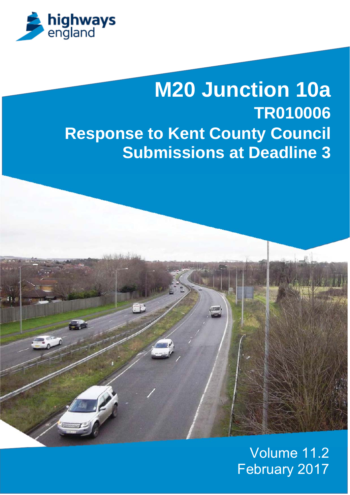

# **M20 Junction 10a TR010006 Response to Kent County Council Submissions at Deadline 3**



### Volume 11.2 February 2017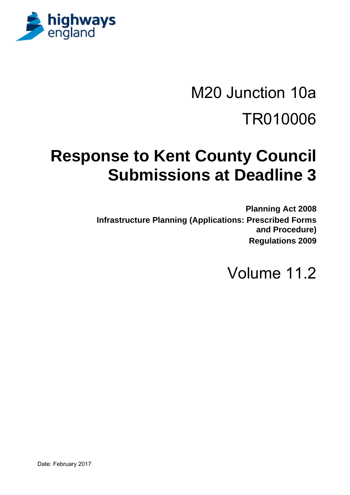

# M20 Junction 10a TR010006

## **Response to Kent County Council Submissions at Deadline 3**

**Planning Act 2008 Infrastructure Planning (Applications: Prescribed Forms and Procedure) Regulations 2009** 

Volume 11.2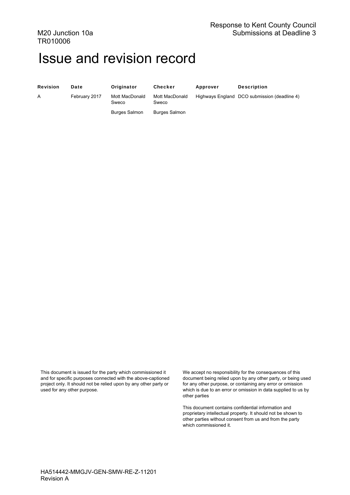### Issue and revision record

Revision Date Originator Checker Approver Description

A February 2017 Mott MacDonald Sweco

Mott MacDonald

Highways England DCO submission (deadline 4)

Burges Salmon

Sweco Burges Salmon

This document is issued for the party which commissioned it and for specific purposes connected with the above-captioned project only. It should not be relied upon by any other party or used for any other purpose.

We accept no responsibility for the consequences of this document being relied upon by any other party, or being used for any other purpose, or containing any error or omission which is due to an error or omission in data supplied to us by other parties

This document contains confidential information and proprietary intellectual property. It should not be shown to other parties without consent from us and from the party which commissioned it.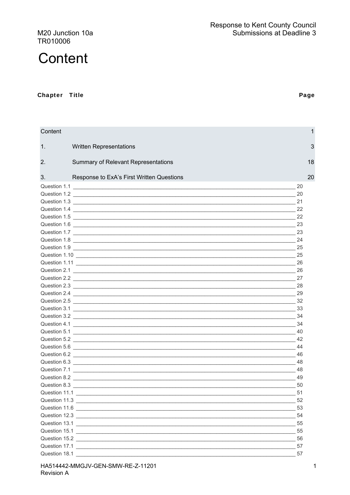M20 Junction 10a TR010006

#### Chapter Title

| Content                                                                                                                                                                                                                              | 1         |
|--------------------------------------------------------------------------------------------------------------------------------------------------------------------------------------------------------------------------------------|-----------|
| 1.<br><b>Written Representations</b>                                                                                                                                                                                                 | 3         |
| 2.<br>Summary of Relevant Representations                                                                                                                                                                                            | 18        |
| 3.<br>Response to ExA's First Written Questions                                                                                                                                                                                      | 20        |
|                                                                                                                                                                                                                                      | 20        |
| Question 1.2 20 20                                                                                                                                                                                                                   |           |
| Question 1.3                                                                                                                                                                                                                         | 21        |
|                                                                                                                                                                                                                                      | 22        |
| Question 1.5 22                                                                                                                                                                                                                      |           |
| Question 1.6 23                                                                                                                                                                                                                      |           |
| Question 1.7 23                                                                                                                                                                                                                      |           |
| Question 1.8 24                                                                                                                                                                                                                      |           |
|                                                                                                                                                                                                                                      |           |
|                                                                                                                                                                                                                                      | 25        |
|                                                                                                                                                                                                                                      | -26       |
| Question 2.1 26 26                                                                                                                                                                                                                   |           |
| Question 2.2 27                                                                                                                                                                                                                      |           |
|                                                                                                                                                                                                                                      |           |
| Question 2.4 29                                                                                                                                                                                                                      |           |
|                                                                                                                                                                                                                                      |           |
|                                                                                                                                                                                                                                      |           |
|                                                                                                                                                                                                                                      |           |
|                                                                                                                                                                                                                                      |           |
|                                                                                                                                                                                                                                      |           |
|                                                                                                                                                                                                                                      | 44        |
|                                                                                                                                                                                                                                      |           |
|                                                                                                                                                                                                                                      |           |
|                                                                                                                                                                                                                                      |           |
|                                                                                                                                                                                                                                      |           |
|                                                                                                                                                                                                                                      |           |
|                                                                                                                                                                                                                                      | 51        |
|                                                                                                                                                                                                                                      | 52        |
|                                                                                                                                                                                                                                      |           |
|                                                                                                                                                                                                                                      |           |
|                                                                                                                                                                                                                                      |           |
|                                                                                                                                                                                                                                      |           |
|                                                                                                                                                                                                                                      |           |
| Question 17.1 <u>Constantine and the set of the set of the set of the set of the set of the set of the set of the set of the set of the set of the set of the set of the set of the set of the set of the set of the set of the </u> | $\sim$ 57 |
| Question 18.1 <u>Contract of the Contract of the Contract of the Contract of the Contract of the Contract of the Contract of the Contract of the Contract of the Contract of the Contract of the Contract of the Contract of the</u> | 57        |

 $\mathbf 1$ 

### Page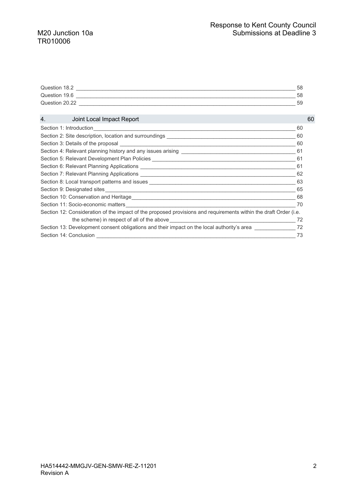| Question 18.2  | 58 |
|----------------|----|
| Question 19.6  | 58 |
| Question 20.22 | 59 |

| 4. Joint Local Impact Report                                                                                                                                                                                                   | 60 |
|--------------------------------------------------------------------------------------------------------------------------------------------------------------------------------------------------------------------------------|----|
|                                                                                                                                                                                                                                | 60 |
|                                                                                                                                                                                                                                | 60 |
|                                                                                                                                                                                                                                | 60 |
| Section 4: Relevant planning history and any issues arising _____________________                                                                                                                                              | 61 |
| Section 5: Relevant Development Plan Policies __________________________________                                                                                                                                               | 61 |
|                                                                                                                                                                                                                                | 61 |
|                                                                                                                                                                                                                                | 62 |
|                                                                                                                                                                                                                                | 63 |
|                                                                                                                                                                                                                                | 65 |
|                                                                                                                                                                                                                                | 68 |
|                                                                                                                                                                                                                                | 70 |
| Section 12: Consideration of the impact of the proposed provisions and requirements within the draft Order (i.e.                                                                                                               |    |
| the scheme) in respect of all of the above example and the scheme of the scheme of the scheme of the scheme of the scheme of the scheme of the scheme of the scheme of the scheme of the scheme of the scheme of the scheme of | 72 |
| Section 13: Development consent obligations and their impact on the local authority's area                                                                                                                                     | 72 |
| Section 14: Conclusion                                                                                                                                                                                                         | 73 |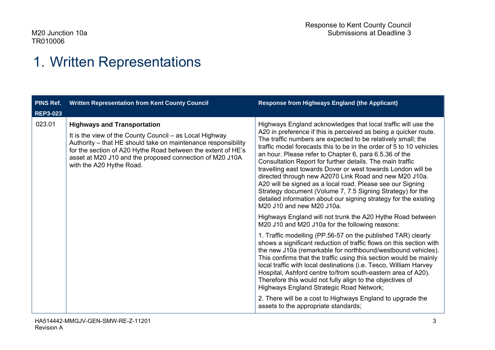### 1. Written Representations

| <b>PINS Ref.</b> | <b>Written Representation from Kent County Council</b>                                                                                                                                                                                                                                                                 | <b>Response from Highways England (the Applicant)</b>                                                                                                                                                                                                                                                                                                                                                                                                                                                                                                                                                                                                                                                                                                  |
|------------------|------------------------------------------------------------------------------------------------------------------------------------------------------------------------------------------------------------------------------------------------------------------------------------------------------------------------|--------------------------------------------------------------------------------------------------------------------------------------------------------------------------------------------------------------------------------------------------------------------------------------------------------------------------------------------------------------------------------------------------------------------------------------------------------------------------------------------------------------------------------------------------------------------------------------------------------------------------------------------------------------------------------------------------------------------------------------------------------|
| <b>REP3-023</b>  |                                                                                                                                                                                                                                                                                                                        |                                                                                                                                                                                                                                                                                                                                                                                                                                                                                                                                                                                                                                                                                                                                                        |
| 023.01           | <b>Highways and Transportation</b><br>It is the view of the County Council – as Local Highway<br>Authority - that HE should take on maintenance responsibility<br>for the section of A20 Hythe Road between the extent of HE's<br>asset at M20 J10 and the proposed connection of M20 J10A<br>with the A20 Hythe Road. | Highways England acknowledges that local traffic will use the<br>A20 in preference if this is perceived as being a quicker route.<br>The traffic numbers are expected to be relatively small; the<br>traffic model forecasts this to be in the order of 5 to 10 vehicles<br>an hour. Please refer to Chapter 6, para 6.5.36 of the<br>Consultation Report for further details. The main traffic<br>travelling east towards Dover or west towards London will be<br>directed through new A2070 Link Road and new M20 J10a.<br>A20 will be signed as a local road. Please see our Signing<br>Strategy document (Volume 7, 7.5 Signing Strategy) for the<br>detailed information about our signing strategy for the existing<br>M20 J10 and new M20 J10a. |
|                  |                                                                                                                                                                                                                                                                                                                        | Highways England will not trunk the A20 Hythe Road between<br>M20 J10 and M20 J10a for the following reasons:                                                                                                                                                                                                                                                                                                                                                                                                                                                                                                                                                                                                                                          |
|                  |                                                                                                                                                                                                                                                                                                                        | 1. Traffic modelling (PP.56-57 on the published TAR) clearly<br>shows a significant reduction of traffic flows on this section with<br>the new J10a (remarkable for northbound/westbound vehicles).<br>This confirms that the traffic using this section would be mainly<br>local traffic with local destinations (i.e. Tesco, William Harvey<br>Hospital, Ashford centre to/from south-eastern area of A20).<br>Therefore this would not fully align to the objectives of<br>Highways England Strategic Road Network;                                                                                                                                                                                                                                 |
|                  |                                                                                                                                                                                                                                                                                                                        | 2. There will be a cost to Highways England to upgrade the<br>assets to the appropriate standards;                                                                                                                                                                                                                                                                                                                                                                                                                                                                                                                                                                                                                                                     |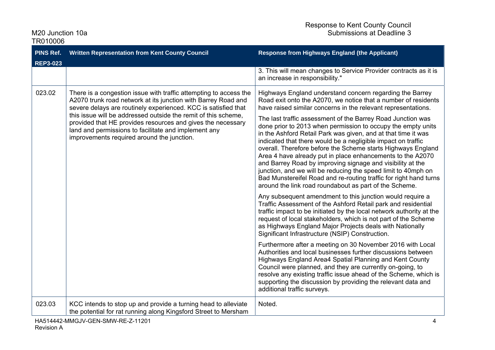| <b>PINS Ref.</b>  | <b>Written Representation from Kent County Council</b>                                                                                                                                                                              | <b>Response from Highways England (the Applicant)</b>                                                                                                                                                                                                                                                                                                                                                                                                                                                                                                                                                                                                    |
|-------------------|-------------------------------------------------------------------------------------------------------------------------------------------------------------------------------------------------------------------------------------|----------------------------------------------------------------------------------------------------------------------------------------------------------------------------------------------------------------------------------------------------------------------------------------------------------------------------------------------------------------------------------------------------------------------------------------------------------------------------------------------------------------------------------------------------------------------------------------------------------------------------------------------------------|
| <b>REP3-023</b>   |                                                                                                                                                                                                                                     |                                                                                                                                                                                                                                                                                                                                                                                                                                                                                                                                                                                                                                                          |
|                   |                                                                                                                                                                                                                                     | 3. This will mean changes to Service Provider contracts as it is<br>an increase in responsibility."                                                                                                                                                                                                                                                                                                                                                                                                                                                                                                                                                      |
| 023.02            | There is a congestion issue with traffic attempting to access the<br>A2070 trunk road network at its junction with Barrey Road and<br>severe delays are routinely experienced. KCC is satisfied that                                | Highways England understand concern regarding the Barrey<br>Road exit onto the A2070, we notice that a number of residents<br>have raised similar concerns in the relevant representations.                                                                                                                                                                                                                                                                                                                                                                                                                                                              |
|                   | this issue will be addressed outside the remit of this scheme,<br>provided that HE provides resources and gives the necessary<br>land and permissions to facilitate and implement any<br>improvements required around the junction. | The last traffic assessment of the Barrey Road Junction was<br>done prior to 2013 when permission to occupy the empty units<br>in the Ashford Retail Park was given, and at that time it was<br>indicated that there would be a negligible impact on traffic<br>overall. Therefore before the Scheme starts Highways England<br>Area 4 have already put in place enhancements to the A2070<br>and Barrey Road by improving signage and visibility at the<br>junction, and we will be reducing the speed limit to 40mph on<br>Bad Munstereifel Road and re-routing traffic for right hand turns<br>around the link road roundabout as part of the Scheme. |
|                   |                                                                                                                                                                                                                                     | Any subsequent amendment to this junction would require a<br>Traffic Assessment of the Ashford Retail park and residential<br>traffic impact to be initiated by the local network authority at the<br>request of local stakeholders, which is not part of the Scheme<br>as Highways England Major Projects deals with Nationally<br>Significant Infrastructure (NSIP) Construction.                                                                                                                                                                                                                                                                      |
|                   |                                                                                                                                                                                                                                     | Furthermore after a meeting on 30 November 2016 with Local<br>Authorities and local businesses further discussions between<br>Highways England Area4 Spatial Planning and Kent County<br>Council were planned, and they are currently on-going, to<br>resolve any existing traffic issue ahead of the Scheme, which is<br>supporting the discussion by providing the relevant data and<br>additional traffic surveys.                                                                                                                                                                                                                                    |
| 023.03            | KCC intends to stop up and provide a turning head to alleviate<br>the potential for rat running along Kingsford Street to Mersham                                                                                                   | Noted.                                                                                                                                                                                                                                                                                                                                                                                                                                                                                                                                                                                                                                                   |
| <b>Revision A</b> | HA514442-MMGJV-GEN-SMW-RE-Z-11201                                                                                                                                                                                                   | 4                                                                                                                                                                                                                                                                                                                                                                                                                                                                                                                                                                                                                                                        |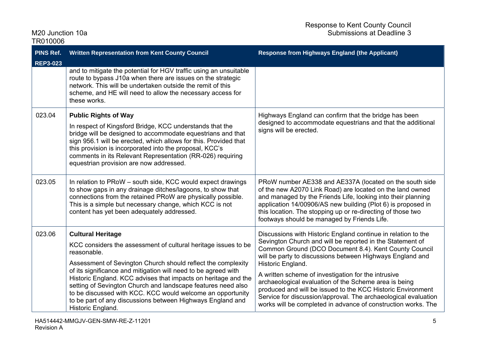| <b>PINS Ref.</b><br><b>REP3-023</b> | <b>Written Representation from Kent County Council</b>                                                                                                                                                                                                                                                                                                                                                                                                                                                                         | <b>Response from Highways England (the Applicant)</b>                                                                                                                                                                                                                                                                                                                                                                                                                                                                                                                                   |
|-------------------------------------|--------------------------------------------------------------------------------------------------------------------------------------------------------------------------------------------------------------------------------------------------------------------------------------------------------------------------------------------------------------------------------------------------------------------------------------------------------------------------------------------------------------------------------|-----------------------------------------------------------------------------------------------------------------------------------------------------------------------------------------------------------------------------------------------------------------------------------------------------------------------------------------------------------------------------------------------------------------------------------------------------------------------------------------------------------------------------------------------------------------------------------------|
|                                     | and to mitigate the potential for HGV traffic using an unsuitable<br>route to bypass J10a when there are issues on the strategic<br>network. This will be undertaken outside the remit of this<br>scheme, and HE will need to allow the necessary access for<br>these works.                                                                                                                                                                                                                                                   |                                                                                                                                                                                                                                                                                                                                                                                                                                                                                                                                                                                         |
| 023.04                              | <b>Public Rights of Way</b><br>In respect of Kingsford Bridge, KCC understands that the<br>bridge will be designed to accommodate equestrians and that<br>sign 956.1 will be erected, which allows for this. Provided that<br>this provision is incorporated into the proposal, KCC's<br>comments in its Relevant Representation (RR-026) requiring<br>equestrian provision are now addressed.                                                                                                                                 | Highways England can confirm that the bridge has been<br>designed to accommodate equestrians and that the additional<br>signs will be erected.                                                                                                                                                                                                                                                                                                                                                                                                                                          |
| 023.05                              | In relation to PRoW – south side, KCC would expect drawings<br>to show gaps in any drainage ditches/lagoons, to show that<br>connections from the retained PRoW are physically possible.<br>This is a simple but necessary change, which KCC is not<br>content has yet been adequately addressed.                                                                                                                                                                                                                              | PRoW number AE338 and AE337A (located on the south side<br>of the new A2070 Link Road) are located on the land owned<br>and managed by the Friends Life, looking into their planning<br>application 14/00906/AS new building (Plot 6) is proposed in<br>this location. The stopping up or re-directing of those two<br>footways should be managed by Friends Life.                                                                                                                                                                                                                      |
| 023.06                              | <b>Cultural Heritage</b><br>KCC considers the assessment of cultural heritage issues to be<br>reasonable.<br>Assessment of Sevington Church should reflect the complexity<br>of its significance and mitigation will need to be agreed with<br>Historic England. KCC advises that impacts on heritage and the<br>setting of Sevington Church and landscape features need also<br>to be discussed with KCC. KCC would welcome an opportunity<br>to be part of any discussions between Highways England and<br>Historic England. | Discussions with Historic England continue in relation to the<br>Sevington Church and will be reported in the Statement of<br>Common Ground (DCO Document 8.4). Kent County Council<br>will be party to discussions between Highways England and<br>Historic England.<br>A written scheme of investigation for the intrusive<br>archaeological evaluation of the Scheme area is being<br>produced and will be issued to the KCC Historic Environment<br>Service for discussion/approval. The archaeological evaluation<br>works will be completed in advance of construction works. The |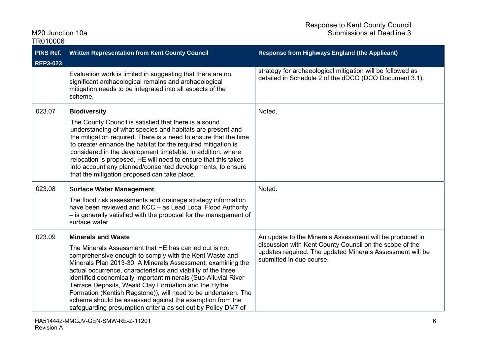| TR010006        |                                                                                                                                                                                                                                                                                                                                                                                                                                                                                                                                                                                                        |                                                                                                                                                                                                              |
|-----------------|--------------------------------------------------------------------------------------------------------------------------------------------------------------------------------------------------------------------------------------------------------------------------------------------------------------------------------------------------------------------------------------------------------------------------------------------------------------------------------------------------------------------------------------------------------------------------------------------------------|--------------------------------------------------------------------------------------------------------------------------------------------------------------------------------------------------------------|
| PINS Ref.       | <b>Written Representation from Kent County Council</b>                                                                                                                                                                                                                                                                                                                                                                                                                                                                                                                                                 | <b>Response from Highways England (the Applicant)</b>                                                                                                                                                        |
| <b>REP3-023</b> | Evaluation work is limited in suggesting that there are no<br>significant archaeological remains and archaeological<br>mitigation needs to be integrated into all aspects of the<br>scheme.                                                                                                                                                                                                                                                                                                                                                                                                            | strategy for archaeological mitigation will be followed as<br>detailed in Schedule 2 of the dDCO (DCO Document 3.1).                                                                                         |
| 023.07          | <b>Biodiversity</b><br>The County Council is satisfied that there is a sound<br>understanding of what species and habitats are present and<br>the mitigation required. There is a need to ensure that the time<br>to create/ enhance the habitat for the required mitigation is<br>considered in the development timetable. In addition, where<br>relocation is proposed, HE will need to ensure that this takes<br>into account any planned/consented developments, to ensure<br>that the mitigation proposed can take place.                                                                         | Noted.                                                                                                                                                                                                       |
| 023.08          | <b>Surface Water Management</b><br>The flood risk assessments and drainage strategy information<br>have been reviewed and KCC - as Lead Local Flood Authority<br>- is generally satisfied with the proposal for the management of<br>surface water.                                                                                                                                                                                                                                                                                                                                                    | Noted.                                                                                                                                                                                                       |
| 023.09          | <b>Minerals and Waste</b><br>The Minerals Assessment that HE has carried out is not<br>comprehensive enough to comply with the Kent Waste and<br>Minerals Plan 2013-30. A Minerals Assessment, examining the<br>actual occurrence, characteristics and viability of the three<br>identified economically important minerals (Sub-Alluvial River<br>Terrace Deposits, Weald Clay Formation and the Hythe<br>Formation (Kentish Ragstone)), will need to be undertaken. The<br>scheme should be assessed against the exemption from the<br>safeguarding presumption criteria as set out by Policy DM7 of | An update to the Minerals Assessment will be produced in<br>discussion with Kent County Council on the scope of the<br>updates required. The updated Minerals Assessment will be<br>submitted in due course. |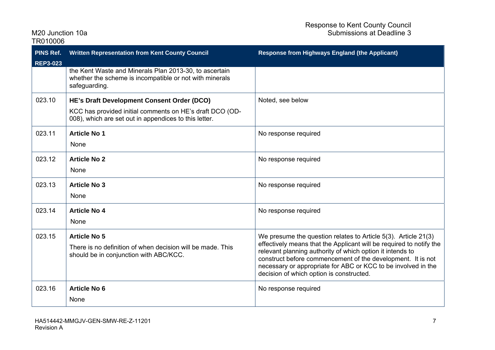| TR010006                            |                                                                                                                                    |                                                                                                                                                                                                 |
|-------------------------------------|------------------------------------------------------------------------------------------------------------------------------------|-------------------------------------------------------------------------------------------------------------------------------------------------------------------------------------------------|
| <b>PINS Ref.</b><br><b>REP3-023</b> | <b>Written Representation from Kent County Council</b>                                                                             | <b>Response from Highways England (the Applicant)</b>                                                                                                                                           |
|                                     | the Kent Waste and Minerals Plan 2013-30, to ascertain<br>whether the scheme is incompatible or not with minerals<br>safeguarding. |                                                                                                                                                                                                 |
| 023.10                              | HE's Draft Development Consent Order (DCO)                                                                                         | Noted, see below                                                                                                                                                                                |
|                                     | KCC has provided initial comments on HE's draft DCO (OD-<br>008), which are set out in appendices to this letter.                  |                                                                                                                                                                                                 |
| 023.11                              | <b>Article No 1</b>                                                                                                                | No response required                                                                                                                                                                            |
|                                     | None                                                                                                                               |                                                                                                                                                                                                 |
| 023.12                              | <b>Article No 2</b>                                                                                                                | No response required                                                                                                                                                                            |
|                                     | None                                                                                                                               |                                                                                                                                                                                                 |
| 023.13                              | <b>Article No 3</b>                                                                                                                | No response required                                                                                                                                                                            |
|                                     | None                                                                                                                               |                                                                                                                                                                                                 |
| 023.14                              | <b>Article No 4</b>                                                                                                                | No response required                                                                                                                                                                            |
|                                     | None                                                                                                                               |                                                                                                                                                                                                 |
| 023.15                              | <b>Article No 5</b>                                                                                                                | We presume the question relates to Article 5(3). Article 21(3)                                                                                                                                  |
|                                     | There is no definition of when decision will be made. This<br>should be in conjunction with ABC/KCC.                               | effectively means that the Applicant will be required to notify the<br>relevant planning authority of which option it intends to<br>construct before commencement of the development. It is not |
|                                     |                                                                                                                                    | necessary or appropriate for ABC or KCC to be involved in the<br>decision of which option is constructed.                                                                                       |
| 023.16                              | <b>Article No 6</b>                                                                                                                | No response required                                                                                                                                                                            |
|                                     | None                                                                                                                               |                                                                                                                                                                                                 |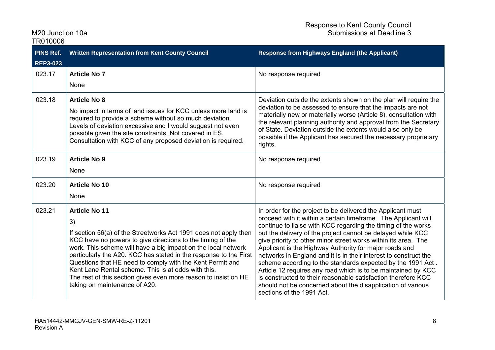| <b>PINS Ref.</b><br><b>REP3-023</b> | <b>Written Representation from Kent County Council</b>                                                                                                                                                                                                                                                                                                                                                                                                                                                                     | <b>Response from Highways England (the Applicant)</b>                                                                                                                                                                                                                                                                                                                                                                                                                                                                                                                                                                                                                                                                                                      |
|-------------------------------------|----------------------------------------------------------------------------------------------------------------------------------------------------------------------------------------------------------------------------------------------------------------------------------------------------------------------------------------------------------------------------------------------------------------------------------------------------------------------------------------------------------------------------|------------------------------------------------------------------------------------------------------------------------------------------------------------------------------------------------------------------------------------------------------------------------------------------------------------------------------------------------------------------------------------------------------------------------------------------------------------------------------------------------------------------------------------------------------------------------------------------------------------------------------------------------------------------------------------------------------------------------------------------------------------|
| 023.17                              | <b>Article No 7</b><br>None                                                                                                                                                                                                                                                                                                                                                                                                                                                                                                | No response required                                                                                                                                                                                                                                                                                                                                                                                                                                                                                                                                                                                                                                                                                                                                       |
| 023.18                              | <b>Article No 8</b><br>No impact in terms of land issues for KCC unless more land is<br>required to provide a scheme without so much deviation.<br>Levels of deviation excessive and I would suggest not even<br>possible given the site constraints. Not covered in ES.<br>Consultation with KCC of any proposed deviation is required.                                                                                                                                                                                   | Deviation outside the extents shown on the plan will require the<br>deviation to be assessed to ensure that the impacts are not<br>materially new or materially worse (Article 8), consultation with<br>the relevant planning authority and approval from the Secretary<br>of State. Deviation outside the extents would also only be<br>possible if the Applicant has secured the necessary proprietary<br>rights.                                                                                                                                                                                                                                                                                                                                        |
| 023.19                              | <b>Article No 9</b><br>None                                                                                                                                                                                                                                                                                                                                                                                                                                                                                                | No response required                                                                                                                                                                                                                                                                                                                                                                                                                                                                                                                                                                                                                                                                                                                                       |
| 023.20                              | <b>Article No 10</b><br>None                                                                                                                                                                                                                                                                                                                                                                                                                                                                                               | No response required                                                                                                                                                                                                                                                                                                                                                                                                                                                                                                                                                                                                                                                                                                                                       |
| 023.21                              | <b>Article No 11</b><br>3)<br>If section 56(a) of the Streetworks Act 1991 does not apply then<br>KCC have no powers to give directions to the timing of the<br>work. This scheme will have a big impact on the local network<br>particularly the A20. KCC has stated in the response to the First<br>Questions that HE need to comply with the Kent Permit and<br>Kent Lane Rental scheme. This is at odds with this.<br>The rest of this section gives even more reason to insist on HE<br>taking on maintenance of A20. | In order for the project to be delivered the Applicant must<br>proceed with it within a certain timeframe. The Applicant will<br>continue to liaise with KCC regarding the timing of the works<br>but the delivery of the project cannot be delayed while KCC<br>give priority to other minor street works within its area. The<br>Applicant is the Highway Authority for major roads and<br>networks in England and it is in their interest to construct the<br>scheme according to the standards expected by the 1991 Act.<br>Article 12 requires any road which is to be maintained by KCC<br>is constructed to their reasonable satisfaction therefore KCC<br>should not be concerned about the disapplication of various<br>sections of the 1991 Act. |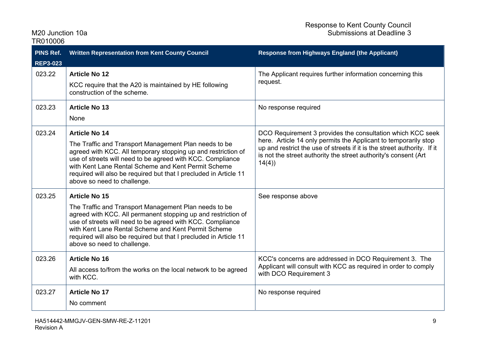| TR010006                     |                                                                                                                                                                                                                                                                                                                                                                         |                                                                                                                                                                                                                                                                                       |
|------------------------------|-------------------------------------------------------------------------------------------------------------------------------------------------------------------------------------------------------------------------------------------------------------------------------------------------------------------------------------------------------------------------|---------------------------------------------------------------------------------------------------------------------------------------------------------------------------------------------------------------------------------------------------------------------------------------|
| PINS Ref.<br><b>REP3-023</b> | <b>Written Representation from Kent County Council</b>                                                                                                                                                                                                                                                                                                                  | <b>Response from Highways England (the Applicant)</b>                                                                                                                                                                                                                                 |
| 023.22                       | <b>Article No 12</b><br>KCC require that the A20 is maintained by HE following<br>construction of the scheme.                                                                                                                                                                                                                                                           | The Applicant requires further information concerning this<br>request.                                                                                                                                                                                                                |
| 023.23                       | <b>Article No 13</b><br>None                                                                                                                                                                                                                                                                                                                                            | No response required                                                                                                                                                                                                                                                                  |
| 023.24                       | <b>Article No 14</b><br>The Traffic and Transport Management Plan needs to be<br>agreed with KCC. All temporary stopping up and restriction of<br>use of streets will need to be agreed with KCC. Compliance<br>with Kent Lane Rental Scheme and Kent Permit Scheme<br>required will also be required but that I precluded in Article 11<br>above so need to challenge. | DCO Requirement 3 provides the consultation which KCC seek<br>here. Article 14 only permits the Applicant to temporarily stop<br>up and restrict the use of streets if it is the street authority. If it<br>is not the street authority the street authority's consent (Art)<br>14(4) |
| 023.25                       | <b>Article No 15</b><br>The Traffic and Transport Management Plan needs to be<br>agreed with KCC. All permanent stopping up and restriction of<br>use of streets will need to be agreed with KCC. Compliance<br>with Kent Lane Rental Scheme and Kent Permit Scheme<br>required will also be required but that I precluded in Article 11<br>above so need to challenge. | See response above                                                                                                                                                                                                                                                                    |
| 023.26                       | <b>Article No 16</b><br>All access to/from the works on the local network to be agreed<br>with KCC.                                                                                                                                                                                                                                                                     | KCC's concerns are addressed in DCO Requirement 3. The<br>Applicant will consult with KCC as required in order to comply<br>with DCO Requirement 3                                                                                                                                    |
| 023.27                       | <b>Article No 17</b><br>No comment                                                                                                                                                                                                                                                                                                                                      | No response required                                                                                                                                                                                                                                                                  |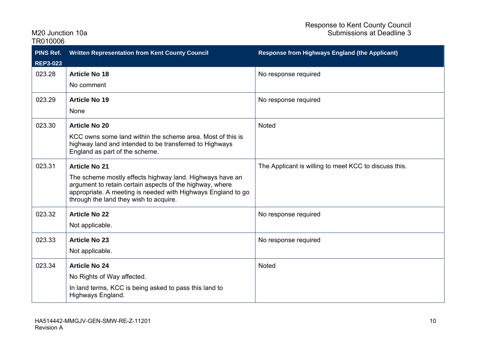| TR010006         |                                                                                                                                                                                                                                |                                                       |
|------------------|--------------------------------------------------------------------------------------------------------------------------------------------------------------------------------------------------------------------------------|-------------------------------------------------------|
| <b>PINS Ref.</b> | <b>Written Representation from Kent County Council</b>                                                                                                                                                                         | <b>Response from Highways England (the Applicant)</b> |
| <b>REP3-023</b>  |                                                                                                                                                                                                                                |                                                       |
| 023.28           | <b>Article No 18</b>                                                                                                                                                                                                           | No response required                                  |
|                  | No comment                                                                                                                                                                                                                     |                                                       |
| 023.29           | <b>Article No 19</b>                                                                                                                                                                                                           | No response required                                  |
|                  | None                                                                                                                                                                                                                           |                                                       |
| 023.30           | <b>Article No 20</b>                                                                                                                                                                                                           | <b>Noted</b>                                          |
|                  | KCC owns some land within the scheme area. Most of this is<br>highway land and intended to be transferred to Highways<br>England as part of the scheme.                                                                        |                                                       |
| 023.31           | <b>Article No 21</b>                                                                                                                                                                                                           | The Applicant is willing to meet KCC to discuss this. |
|                  | The scheme mostly effects highway land. Highways have an<br>argument to retain certain aspects of the highway, where<br>appropriate. A meeting is needed with Highways England to go<br>through the land they wish to acquire. |                                                       |
| 023.32           | <b>Article No 22</b>                                                                                                                                                                                                           | No response required                                  |
|                  | Not applicable.                                                                                                                                                                                                                |                                                       |
| 023.33           | <b>Article No 23</b>                                                                                                                                                                                                           | No response required                                  |
|                  | Not applicable.                                                                                                                                                                                                                |                                                       |
| 023.34           | <b>Article No 24</b>                                                                                                                                                                                                           | <b>Noted</b>                                          |
|                  | No Rights of Way affected.                                                                                                                                                                                                     |                                                       |
|                  | In land terms, KCC is being asked to pass this land to<br>Highways England.                                                                                                                                                    |                                                       |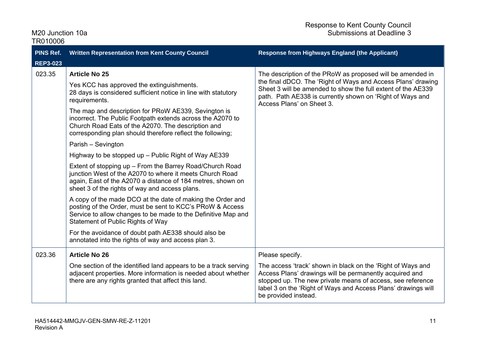| TR010006        |                                                                                                                                                                                                                                        |                                                                                                                                                                                                                                                                               |
|-----------------|----------------------------------------------------------------------------------------------------------------------------------------------------------------------------------------------------------------------------------------|-------------------------------------------------------------------------------------------------------------------------------------------------------------------------------------------------------------------------------------------------------------------------------|
| PINS Ref.       | Written Representation from Kent County Council                                                                                                                                                                                        | <b>Response from Highways England (the Applicant)</b>                                                                                                                                                                                                                         |
| <b>REP3-023</b> |                                                                                                                                                                                                                                        |                                                                                                                                                                                                                                                                               |
| 023.35          | <b>Article No 25</b>                                                                                                                                                                                                                   | The description of the PRoW as proposed will be amended in                                                                                                                                                                                                                    |
|                 | Yes KCC has approved the extinguishments.<br>28 days is considered sufficient notice in line with statutory<br>requirements.                                                                                                           | the final dDCO. The 'Right of Ways and Access Plans' drawing<br>Sheet 3 will be amended to show the full extent of the AE339<br>path. Path AE338 is currently shown on 'Right of Ways and<br>Access Plans' on Sheet 3.                                                        |
|                 | The map and description for PRoW AE339, Sevington is<br>incorrect. The Public Footpath extends across the A2070 to<br>Church Road Eats of the A2070. The description and<br>corresponding plan should therefore reflect the following; |                                                                                                                                                                                                                                                                               |
|                 | Parish - Sevington                                                                                                                                                                                                                     |                                                                                                                                                                                                                                                                               |
|                 | Highway to be stopped up - Public Right of Way AE339                                                                                                                                                                                   |                                                                                                                                                                                                                                                                               |
|                 | Extent of stopping up - From the Barrey Road/Church Road<br>junction West of the A2070 to where it meets Church Road<br>again, East of the A2070 a distance of 184 metres, shown on<br>sheet 3 of the rights of way and access plans.  |                                                                                                                                                                                                                                                                               |
|                 | A copy of the made DCO at the date of making the Order and<br>posting of the Order, must be sent to KCC's PRoW & Access<br>Service to allow changes to be made to the Definitive Map and<br>Statement of Public Rights of Way          |                                                                                                                                                                                                                                                                               |
|                 | For the avoidance of doubt path AE338 should also be<br>annotated into the rights of way and access plan 3.                                                                                                                            |                                                                                                                                                                                                                                                                               |
| 023.36          | <b>Article No 26</b>                                                                                                                                                                                                                   | Please specify.                                                                                                                                                                                                                                                               |
|                 | One section of the identified land appears to be a track serving<br>adjacent properties. More information is needed about whether<br>there are any rights granted that affect this land.                                               | The access 'track' shown in black on the 'Right of Ways and<br>Access Plans' drawings will be permanently acquired and<br>stopped up. The new private means of access, see reference<br>label 3 on the 'Right of Ways and Access Plans' drawings will<br>be provided instead. |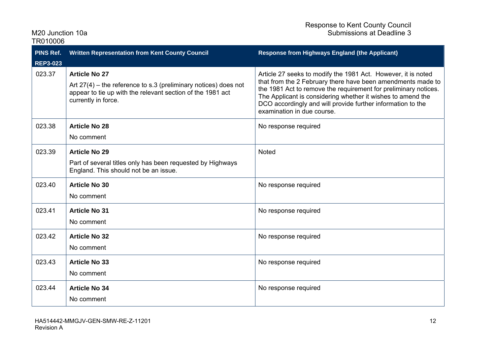| TR010006                            |                                                                                                                                                                                |                                                                                                                                                                                                                                                                                                                                                             |
|-------------------------------------|--------------------------------------------------------------------------------------------------------------------------------------------------------------------------------|-------------------------------------------------------------------------------------------------------------------------------------------------------------------------------------------------------------------------------------------------------------------------------------------------------------------------------------------------------------|
| <b>PINS Ref.</b><br><b>REP3-023</b> | Written Representation from Kent County Council                                                                                                                                | <b>Response from Highways England (the Applicant)</b>                                                                                                                                                                                                                                                                                                       |
| 023.37                              | <b>Article No 27</b><br>Art $27(4)$ – the reference to s.3 (preliminary notices) does not<br>appear to tie up with the relevant section of the 1981 act<br>currently in force. | Article 27 seeks to modify the 1981 Act. However, it is noted<br>that from the 2 February there have been amendments made to<br>the 1981 Act to remove the requirement for preliminary notices.<br>The Applicant is considering whether it wishes to amend the<br>DCO accordingly and will provide further information to the<br>examination in due course. |
| 023.38                              | <b>Article No 28</b><br>No comment                                                                                                                                             | No response required                                                                                                                                                                                                                                                                                                                                        |
| 023.39                              | <b>Article No 29</b><br>Part of several titles only has been requested by Highways<br>England. This should not be an issue.                                                    | <b>Noted</b>                                                                                                                                                                                                                                                                                                                                                |
| 023.40                              | <b>Article No 30</b><br>No comment                                                                                                                                             | No response required                                                                                                                                                                                                                                                                                                                                        |
| 023.41                              | <b>Article No 31</b><br>No comment                                                                                                                                             | No response required                                                                                                                                                                                                                                                                                                                                        |
| 023.42                              | <b>Article No 32</b><br>No comment                                                                                                                                             | No response required                                                                                                                                                                                                                                                                                                                                        |
| 023.43                              | <b>Article No 33</b><br>No comment                                                                                                                                             | No response required                                                                                                                                                                                                                                                                                                                                        |
| 023.44                              | <b>Article No 34</b><br>No comment                                                                                                                                             | No response required                                                                                                                                                                                                                                                                                                                                        |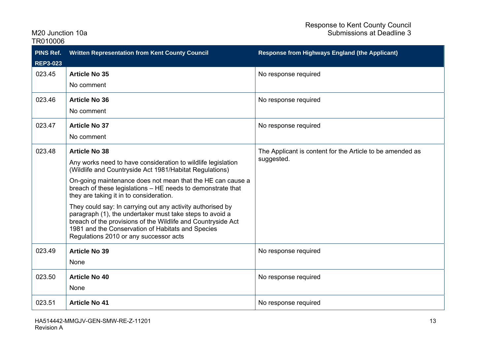| <b>PINS Ref.</b><br><b>REP3-023</b> | <b>Written Representation from Kent County Council</b>                                                                                                                                                                                                                                                                                                                                                                                                                                                                                                                                                           | <b>Response from Highways England (the Applicant)</b>                   |
|-------------------------------------|------------------------------------------------------------------------------------------------------------------------------------------------------------------------------------------------------------------------------------------------------------------------------------------------------------------------------------------------------------------------------------------------------------------------------------------------------------------------------------------------------------------------------------------------------------------------------------------------------------------|-------------------------------------------------------------------------|
| 023.45                              | <b>Article No 35</b><br>No comment                                                                                                                                                                                                                                                                                                                                                                                                                                                                                                                                                                               | No response required                                                    |
| 023.46                              | <b>Article No 36</b><br>No comment                                                                                                                                                                                                                                                                                                                                                                                                                                                                                                                                                                               | No response required                                                    |
| 023.47                              | <b>Article No 37</b><br>No comment                                                                                                                                                                                                                                                                                                                                                                                                                                                                                                                                                                               | No response required                                                    |
| 023.48                              | <b>Article No 38</b><br>Any works need to have consideration to wildlife legislation<br>(Wildlife and Countryside Act 1981/Habitat Regulations)<br>On-going maintenance does not mean that the HE can cause a<br>breach of these legislations - HE needs to demonstrate that<br>they are taking it in to consideration.<br>They could say: In carrying out any activity authorised by<br>paragraph (1), the undertaker must take steps to avoid a<br>breach of the provisions of the Wildlife and Countryside Act<br>1981 and the Conservation of Habitats and Species<br>Regulations 2010 or any successor acts | The Applicant is content for the Article to be amended as<br>suggested. |
| 023.49                              | <b>Article No 39</b><br>None                                                                                                                                                                                                                                                                                                                                                                                                                                                                                                                                                                                     | No response required                                                    |
| 023.50                              | <b>Article No 40</b><br>None                                                                                                                                                                                                                                                                                                                                                                                                                                                                                                                                                                                     | No response required                                                    |
| 023.51                              | <b>Article No 41</b>                                                                                                                                                                                                                                                                                                                                                                                                                                                                                                                                                                                             | No response required                                                    |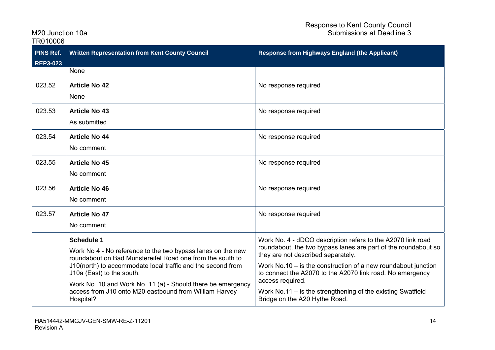| <b>PINS Ref.</b><br><b>REP3-023</b> | <b>Written Representation from Kent County Council</b>                                                                                        | <b>Response from Highways England (the Applicant)</b>                                                                                                               |
|-------------------------------------|-----------------------------------------------------------------------------------------------------------------------------------------------|---------------------------------------------------------------------------------------------------------------------------------------------------------------------|
|                                     | None                                                                                                                                          |                                                                                                                                                                     |
| 023.52                              | <b>Article No 42</b><br>None                                                                                                                  | No response required                                                                                                                                                |
| 023.53                              | <b>Article No 43</b><br>As submitted                                                                                                          | No response required                                                                                                                                                |
| 023.54                              | <b>Article No 44</b><br>No comment                                                                                                            | No response required                                                                                                                                                |
| 023.55                              | <b>Article No 45</b><br>No comment                                                                                                            | No response required                                                                                                                                                |
| 023.56                              | <b>Article No 46</b><br>No comment                                                                                                            | No response required                                                                                                                                                |
| 023.57                              | <b>Article No 47</b><br>No comment                                                                                                            | No response required                                                                                                                                                |
|                                     | <b>Schedule 1</b><br>Work No 4 - No reference to the two bypass lanes on the new<br>roundabout on Bad Munstereifel Road one from the south to | Work No. 4 - dDCO description refers to the A2070 link road<br>roundabout, the two bypass lanes are part of the roundabout so<br>they are not described separately. |
|                                     | J10(north) to accommodate local traffic and the second from<br>J10a (East) to the south.                                                      | Work No.10 $-$ is the construction of a new roundabout junction<br>to connect the A2070 to the A2070 link road. No emergency<br>access required.                    |
|                                     | Work No. 10 and Work No. 11 (a) - Should there be emergency<br>access from J10 onto M20 eastbound from William Harvey<br>Hospital?            | Work No.11 $-$ is the strengthening of the existing Swatfield<br>Bridge on the A20 Hythe Road.                                                                      |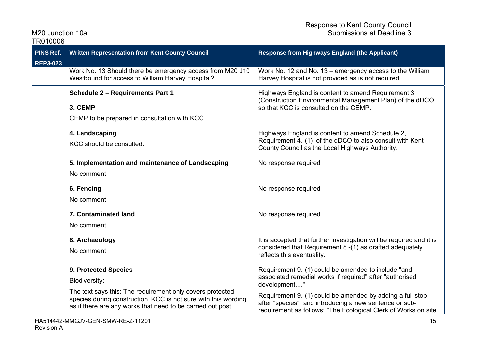| PINS Ref.<br><b>REP3-023</b> | <b>Written Representation from Kent County Council</b>                                                                                                                                                                              | <b>Response from Highways England (the Applicant)</b>                                                                                                                                                                                                                                                                    |
|------------------------------|-------------------------------------------------------------------------------------------------------------------------------------------------------------------------------------------------------------------------------------|--------------------------------------------------------------------------------------------------------------------------------------------------------------------------------------------------------------------------------------------------------------------------------------------------------------------------|
|                              | Work No. 13 Should there be emergency access from M20 J10<br>Westbound for access to William Harvey Hospital?                                                                                                                       | Work No. 12 and No. 13 - emergency access to the William<br>Harvey Hospital is not provided as is not required.                                                                                                                                                                                                          |
|                              | <b>Schedule 2 - Requirements Part 1</b><br>3. CEMP<br>CEMP to be prepared in consultation with KCC.                                                                                                                                 | Highways England is content to amend Requirement 3<br>(Construction Environmental Management Plan) of the dDCO<br>so that KCC is consulted on the CEMP.                                                                                                                                                                  |
|                              | 4. Landscaping<br>KCC should be consulted.                                                                                                                                                                                          | Highways England is content to amend Schedule 2,<br>Requirement 4.-(1) of the dDCO to also consult with Kent<br>County Council as the Local Highways Authority.                                                                                                                                                          |
|                              | 5. Implementation and maintenance of Landscaping<br>No comment.                                                                                                                                                                     | No response required                                                                                                                                                                                                                                                                                                     |
|                              | 6. Fencing<br>No comment                                                                                                                                                                                                            | No response required                                                                                                                                                                                                                                                                                                     |
|                              | <b>7. Contaminated land</b><br>No comment                                                                                                                                                                                           | No response required                                                                                                                                                                                                                                                                                                     |
|                              | 8. Archaeology<br>No comment                                                                                                                                                                                                        | It is accepted that further investigation will be required and it is<br>considered that Requirement 8.-(1) as drafted adequately<br>reflects this eventuality.                                                                                                                                                           |
|                              | 9. Protected Species<br>Biodiversity:<br>The text says this: The requirement only covers protected<br>species during construction. KCC is not sure with this wording,<br>as if there are any works that need to be carried out post | Requirement 9.-(1) could be amended to include "and<br>associated remedial works if required" after "authorised<br>development"<br>Requirement 9.-(1) could be amended by adding a full stop<br>after "species" and introducing a new sentence or sub-<br>requirement as follows: "The Ecological Clerk of Works on site |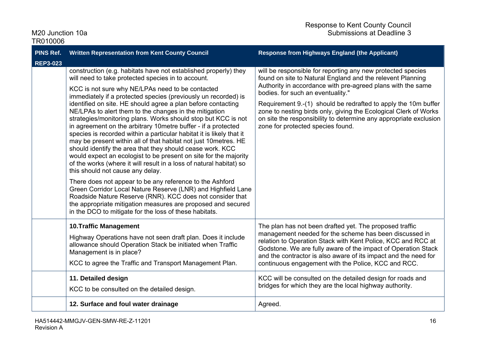| <b>PINS Ref.</b><br><b>REP3-023</b> | <b>Written Representation from Kent County Council</b>                                                                                                                                                                                                                                                                                                                                                                                                                                                                                                                                                                                                                                                                                                                                                                                                                                                                                                                                                                                                                                                                                                    | <b>Response from Highways England (the Applicant)</b>                                                                                                                                                                                                                                                                                                                                                                                                                         |
|-------------------------------------|-----------------------------------------------------------------------------------------------------------------------------------------------------------------------------------------------------------------------------------------------------------------------------------------------------------------------------------------------------------------------------------------------------------------------------------------------------------------------------------------------------------------------------------------------------------------------------------------------------------------------------------------------------------------------------------------------------------------------------------------------------------------------------------------------------------------------------------------------------------------------------------------------------------------------------------------------------------------------------------------------------------------------------------------------------------------------------------------------------------------------------------------------------------|-------------------------------------------------------------------------------------------------------------------------------------------------------------------------------------------------------------------------------------------------------------------------------------------------------------------------------------------------------------------------------------------------------------------------------------------------------------------------------|
|                                     | construction (e.g. habitats have not established properly) they<br>will need to take protected species in to account.<br>KCC is not sure why NE/LPAs need to be contacted<br>immediately if a protected species (previously un recorded) is<br>identified on site. HE should agree a plan before contacting<br>NE/LPAs to alert them to the changes in the mitigation<br>strategies/monitoring plans. Works should stop but KCC is not<br>in agreement on the arbitrary 10 metre buffer - if a protected<br>species is recorded within a particular habitat it is likely that it<br>may be present within all of that habitat not just 10 metres. HE<br>should identify the area that they should cease work. KCC<br>would expect an ecologist to be present on site for the majority<br>of the works (where it will result in a loss of natural habitat) so<br>this should not cause any delay.<br>There does not appear to be any reference to the Ashford<br>Green Corridor Local Nature Reserve (LNR) and Highfield Lane<br>Roadside Nature Reserve (RNR). KCC does not consider that<br>the appropriate mitigation measures are proposed and secured | will be responsible for reporting any new protected species<br>found on site to Natural England and the relevent Planning<br>Authority in accordance with pre-agreed plans with the same<br>bodies. for such an eventuality."<br>Requirement 9.-(1) should be redrafted to apply the 10m buffer<br>zone to nesting birds only, giving the Ecological Clerk of Works<br>on site the responsibility to determine any appropriate exclusion<br>zone for protected species found. |
|                                     | in the DCO to mitigate for the loss of these habitats.                                                                                                                                                                                                                                                                                                                                                                                                                                                                                                                                                                                                                                                                                                                                                                                                                                                                                                                                                                                                                                                                                                    |                                                                                                                                                                                                                                                                                                                                                                                                                                                                               |
|                                     | <b>10.Traffic Management</b><br>Highway Operations have not seen draft plan. Does it include<br>allowance should Operation Stack be initiated when Traffic<br>Management is in place?<br>KCC to agree the Traffic and Transport Management Plan.                                                                                                                                                                                                                                                                                                                                                                                                                                                                                                                                                                                                                                                                                                                                                                                                                                                                                                          | The plan has not been drafted yet. The proposed traffic<br>management needed for the scheme has been discussed in<br>relation to Operation Stack with Kent Police, KCC and RCC at<br>Godstone. We are fully aware of the impact of Operation Stack<br>and the contractor is also aware of its impact and the need for<br>continuous engagement with the Police, KCC and RCC.                                                                                                  |
|                                     | 11. Detailed design<br>KCC to be consulted on the detailed design.                                                                                                                                                                                                                                                                                                                                                                                                                                                                                                                                                                                                                                                                                                                                                                                                                                                                                                                                                                                                                                                                                        | KCC will be consulted on the detailed design for roads and<br>bridges for which they are the local highway authority.                                                                                                                                                                                                                                                                                                                                                         |
|                                     | 12. Surface and foul water drainage                                                                                                                                                                                                                                                                                                                                                                                                                                                                                                                                                                                                                                                                                                                                                                                                                                                                                                                                                                                                                                                                                                                       | Agreed.                                                                                                                                                                                                                                                                                                                                                                                                                                                                       |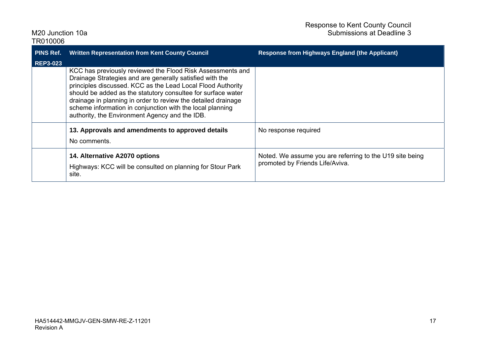| TR010006         |                                                                                                                                                                                                                                                                                                                                                                                                                                       |                                                                                             |
|------------------|---------------------------------------------------------------------------------------------------------------------------------------------------------------------------------------------------------------------------------------------------------------------------------------------------------------------------------------------------------------------------------------------------------------------------------------|---------------------------------------------------------------------------------------------|
| <b>PINS Ref.</b> | <b>Written Representation from Kent County Council</b>                                                                                                                                                                                                                                                                                                                                                                                | <b>Response from Highways England (the Applicant)</b>                                       |
| <b>REP3-023</b>  | KCC has previously reviewed the Flood Risk Assessments and<br>Drainage Strategies and are generally satisfied with the<br>principles discussed. KCC as the Lead Local Flood Authority<br>should be added as the statutory consultee for surface water<br>drainage in planning in order to review the detailed drainage<br>scheme information in conjunction with the local planning<br>authority, the Environment Agency and the IDB. |                                                                                             |
|                  | 13. Approvals and amendments to approved details<br>No comments.                                                                                                                                                                                                                                                                                                                                                                      | No response required                                                                        |
|                  | 14. Alternative A2070 options<br>Highways: KCC will be consulted on planning for Stour Park<br>site.                                                                                                                                                                                                                                                                                                                                  | Noted. We assume you are referring to the U19 site being<br>promoted by Friends Life/Aviva. |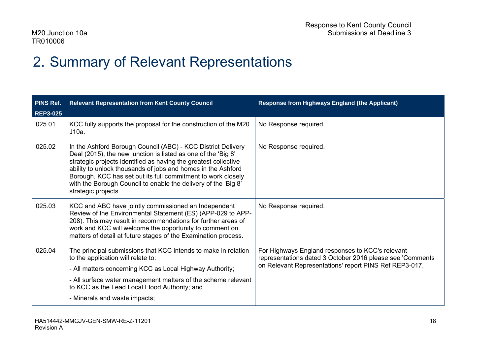### 2. Summary of Relevant Representations

| <b>PINS Ref.</b> | <b>Relevant Representation from Kent County Council</b>                                                                                                                                                                                                                                                                                                                                                                   | <b>Response from Highways England (the Applicant)</b>                                                                                                                    |
|------------------|---------------------------------------------------------------------------------------------------------------------------------------------------------------------------------------------------------------------------------------------------------------------------------------------------------------------------------------------------------------------------------------------------------------------------|--------------------------------------------------------------------------------------------------------------------------------------------------------------------------|
| <b>REP3-025</b>  |                                                                                                                                                                                                                                                                                                                                                                                                                           |                                                                                                                                                                          |
| 025.01           | KCC fully supports the proposal for the construction of the M20<br>J10a.                                                                                                                                                                                                                                                                                                                                                  | No Response required.                                                                                                                                                    |
| 025.02           | In the Ashford Borough Council (ABC) - KCC District Delivery<br>Deal (2015), the new junction is listed as one of the 'Big 8'<br>strategic projects identified as having the greatest collective<br>ability to unlock thousands of jobs and homes in the Ashford<br>Borough. KCC has set out its full commitment to work closely<br>with the Borough Council to enable the delivery of the 'Big 8'<br>strategic projects. | No Response required.                                                                                                                                                    |
| 025.03           | KCC and ABC have jointly commissioned an Independent<br>Review of the Environmental Statement (ES) (APP-029 to APP-<br>208). This may result in recommendations for further areas of<br>work and KCC will welcome the opportunity to comment on<br>matters of detail at future stages of the Examination process.                                                                                                         | No Response required.                                                                                                                                                    |
| 025.04           | The principal submissions that KCC intends to make in relation<br>to the application will relate to:<br>- All matters concerning KCC as Local Highway Authority;<br>- All surface water management matters of the scheme relevant<br>to KCC as the Lead Local Flood Authority; and<br>- Minerals and waste impacts;                                                                                                       | For Highways England responses to KCC's relevant<br>representations dated 3 October 2016 please see 'Comments'<br>on Relevant Representations' report PINS Ref REP3-017. |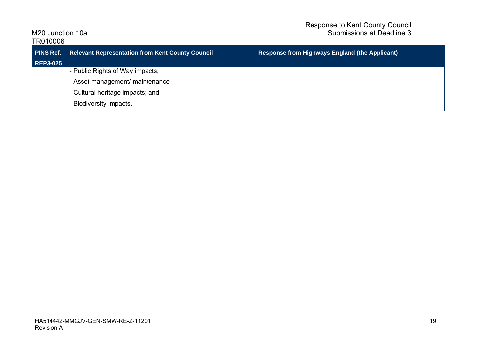| <b>PINS Ref.</b><br><b>REP3-025</b> | <b>Relevant Representation from Kent County Council</b> | <b>Response from Highways England (the Applicant)</b> |
|-------------------------------------|---------------------------------------------------------|-------------------------------------------------------|
|                                     | - Public Rights of Way impacts;                         |                                                       |
|                                     |                                                         |                                                       |
|                                     | - Asset management/ maintenance                         |                                                       |
|                                     | - Cultural heritage impacts; and                        |                                                       |
|                                     | - Biodiversity impacts.                                 |                                                       |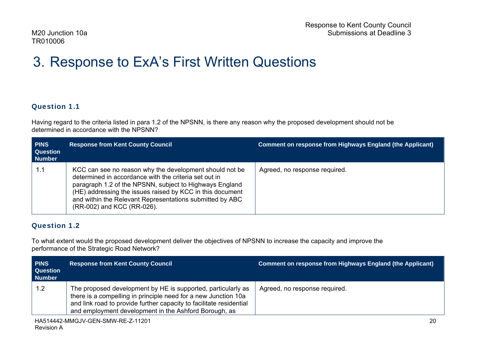### 3. Response to ExA's First Written Questions

#### Question 1.1

Having regard to the criteria listed in para 1.2 of the NPSNN, is there any reason why the proposed development should not be determined in accordance with the NPSNN?

| <b>PINS</b><br><b>Question</b><br><b>Number</b> | <b>Response from Kent County Council</b>                                                                                                                                                                                                                                                                                           | Comment on response from Highways England (the Applicant) |
|-------------------------------------------------|------------------------------------------------------------------------------------------------------------------------------------------------------------------------------------------------------------------------------------------------------------------------------------------------------------------------------------|-----------------------------------------------------------|
| 1.1                                             | KCC can see no reason why the development should not be<br>determined in accordance with the criteria set out in<br>paragraph 1.2 of the NPSNN, subject to Highways England<br>(HE) addressing the issues raised by KCC in this document<br>and within the Relevant Representations submitted by ABC<br>(RR-002) and KCC (RR-026). | Agreed, no response required.                             |

#### Question 1.2

To what extent would the proposed development deliver the objectives of NPSNN to increase the capacity and improve the performance of the Strategic Road Network?

| <b>PINS</b><br><b>Question</b><br><b>Number</b> | <b>Response from Kent County Council</b>                                                                                                                                                                                                                       | <b>Comment on response from Highways England (the Applicant)</b> |
|-------------------------------------------------|----------------------------------------------------------------------------------------------------------------------------------------------------------------------------------------------------------------------------------------------------------------|------------------------------------------------------------------|
| 1.2                                             | The proposed development by HE is supported, particularly as<br>there is a compelling in principle need for a new Junction 10a<br>and link road to provide further capacity to facilitate residential<br>and employment development in the Ashford Borough, as | Agreed, no response required.                                    |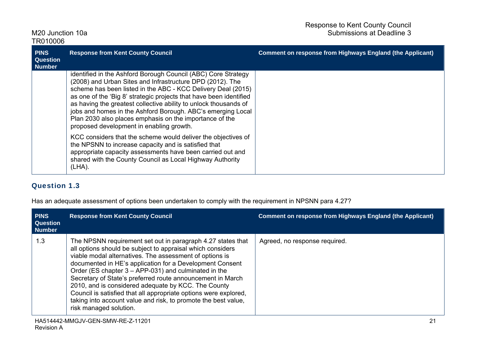| <b>PINS</b><br><b>Question</b><br><b>Number</b> | <b>Response from Kent County Council</b>                                                                                                                                                                                                                                                                                                                                                                                                                                                                   | <b>Comment on response from Highways England (the Applicant)</b> |
|-------------------------------------------------|------------------------------------------------------------------------------------------------------------------------------------------------------------------------------------------------------------------------------------------------------------------------------------------------------------------------------------------------------------------------------------------------------------------------------------------------------------------------------------------------------------|------------------------------------------------------------------|
|                                                 | identified in the Ashford Borough Council (ABC) Core Strategy<br>(2008) and Urban Sites and Infrastructure DPD (2012). The<br>scheme has been listed in the ABC - KCC Delivery Deal (2015)<br>as one of the 'Big 8' strategic projects that have been identified<br>as having the greatest collective ability to unlock thousands of<br>jobs and homes in the Ashford Borough. ABC's emerging Local<br>Plan 2030 also places emphasis on the importance of the<br>proposed development in enabling growth. |                                                                  |
|                                                 | KCC considers that the scheme would deliver the objectives of<br>the NPSNN to increase capacity and is satisfied that<br>appropriate capacity assessments have been carried out and<br>shared with the County Council as Local Highway Authority<br>$(LHA)$ .                                                                                                                                                                                                                                              |                                                                  |

#### Question 1.3

Has an adequate assessment of options been undertaken to comply with the requirement in NPSNN para 4.27?

| <b>PINS</b><br><b>Question</b><br><b>Number</b> | <b>Response from Kent County Council</b>                                                                                                                                                                                                                                                                                                                                                                                                                                                                                                                                                         | Comment on response from Highways England (the Applicant) |
|-------------------------------------------------|--------------------------------------------------------------------------------------------------------------------------------------------------------------------------------------------------------------------------------------------------------------------------------------------------------------------------------------------------------------------------------------------------------------------------------------------------------------------------------------------------------------------------------------------------------------------------------------------------|-----------------------------------------------------------|
| 1.3                                             | The NPSNN requirement set out in paragraph 4.27 states that<br>all options should be subject to appraisal which considers<br>viable modal alternatives. The assessment of options is<br>documented in HE's application for a Development Consent<br>Order (ES chapter $3 - APP-031$ ) and culminated in the<br>Secretary of State's preferred route announcement in March<br>2010, and is considered adequate by KCC. The County<br>Council is satisfied that all appropriate options were explored,<br>taking into account value and risk, to promote the best value,<br>risk managed solution. | Agreed, no response required.                             |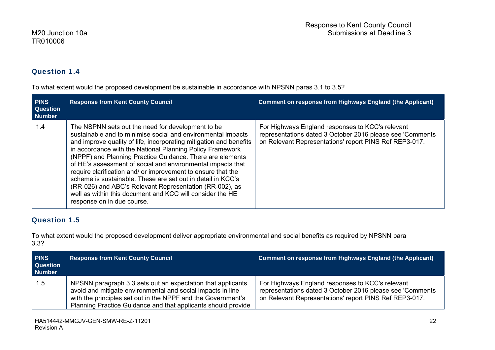#### Question 1.4

To what extent would the proposed development be sustainable in accordance with NPSNN paras 3.1 to 3.5?

| <b>PINS</b><br><b>Question</b><br><b>Number</b> | <b>Response from Kent County Council</b>                                                                                                                                                                                                                                                                                                                                                                                                                                                                                                                                                                                                                              | <b>Comment on response from Highways England (the Applicant)</b>                                                                                                        |
|-------------------------------------------------|-----------------------------------------------------------------------------------------------------------------------------------------------------------------------------------------------------------------------------------------------------------------------------------------------------------------------------------------------------------------------------------------------------------------------------------------------------------------------------------------------------------------------------------------------------------------------------------------------------------------------------------------------------------------------|-------------------------------------------------------------------------------------------------------------------------------------------------------------------------|
| 1.4                                             | The NSPNN sets out the need for development to be<br>sustainable and to minimise social and environmental impacts<br>and improve quality of life, incorporating mitigation and benefits<br>in accordance with the National Planning Policy Framework<br>(NPPF) and Planning Practice Guidance. There are elements<br>of HE's assessment of social and environmental impacts that<br>require clarification and/ or improvement to ensure that the<br>scheme is sustainable. These are set out in detail in KCC's<br>(RR-026) and ABC's Relevant Representation (RR-002), as<br>well as within this document and KCC will consider the HE<br>response on in due course. | For Highways England responses to KCC's relevant<br>representations dated 3 October 2016 please see 'Comments<br>on Relevant Representations' report PINS Ref REP3-017. |

#### Question 1.5

To what extent would the proposed development deliver appropriate environmental and social benefits as required by NPSNN para 3.3?

| <b>PINS</b><br><b>Question</b><br><b>Number</b> | <b>Response from Kent County Council</b>                                                                                                                                                                                                                    | <b>Comment on response from Highways England (the Applicant)</b>                                                                                                        |
|-------------------------------------------------|-------------------------------------------------------------------------------------------------------------------------------------------------------------------------------------------------------------------------------------------------------------|-------------------------------------------------------------------------------------------------------------------------------------------------------------------------|
| 1.5                                             | NPSNN paragraph 3.3 sets out an expectation that applicants<br>avoid and mitigate environmental and social impacts in line<br>with the principles set out in the NPPF and the Government's<br>Planning Practice Guidance and that applicants should provide | For Highways England responses to KCC's relevant<br>representations dated 3 October 2016 please see 'Comments<br>on Relevant Representations' report PINS Ref REP3-017. |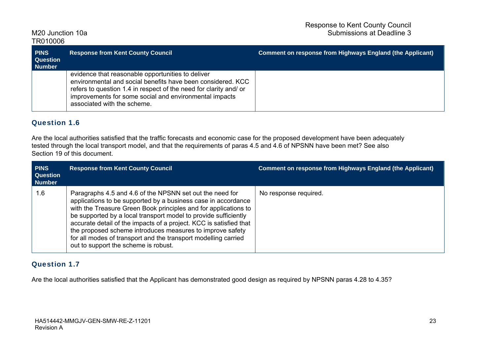| <b>PINS</b><br><b>Question</b><br>Number | <b>Response from Kent County Council</b>                                                                                                                                                                                                                                      | <b>Comment on response from Highways England (the Applicant)</b> |
|------------------------------------------|-------------------------------------------------------------------------------------------------------------------------------------------------------------------------------------------------------------------------------------------------------------------------------|------------------------------------------------------------------|
|                                          | evidence that reasonable opportunities to deliver<br>environmental and social benefits have been considered. KCC<br>refers to question 1.4 in respect of the need for clarity and/or<br>improvements for some social and environmental impacts<br>associated with the scheme. |                                                                  |

#### Question 1.6

Are the local authorities satisfied that the traffic forecasts and economic case for the proposed development have been adequately tested through the local transport model, and that the requirements of paras 4.5 and 4.6 of NPSNN have been met? See also Section 19 of this document.

| <b>PINS</b><br><b>Question</b><br><b>Number</b> | <b>Response from Kent County Council</b>                                                                                                                                                                                                                                                                                                                                                                                                                                                                     | <b>Comment on response from Highways England (the Applicant)</b> |
|-------------------------------------------------|--------------------------------------------------------------------------------------------------------------------------------------------------------------------------------------------------------------------------------------------------------------------------------------------------------------------------------------------------------------------------------------------------------------------------------------------------------------------------------------------------------------|------------------------------------------------------------------|
| 1.6                                             | Paragraphs 4.5 and 4.6 of the NPSNN set out the need for<br>applications to be supported by a business case in accordance<br>with the Treasure Green Book principles and for applications to<br>be supported by a local transport model to provide sufficiently<br>accurate detail of the impacts of a project. KCC is satisfied that<br>the proposed scheme introduces measures to improve safety<br>for all modes of transport and the transport modelling carried<br>out to support the scheme is robust. | No response required.                                            |

#### Question 1.7

Are the local authorities satisfied that the Applicant has demonstrated good design as required by NPSNN paras 4.28 to 4.35?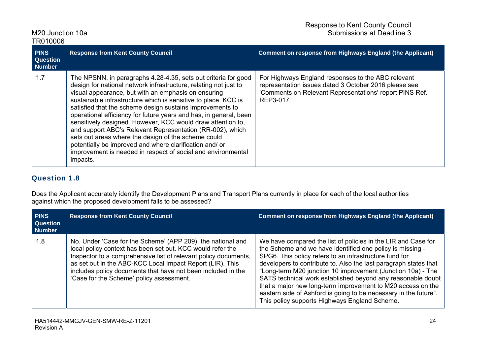| <b>PINS</b><br><b>Question</b><br><b>Number</b> | <b>Response from Kent County Council</b>                                                                                                                                                                                                                                                                                                                                                                                                                                                                                                                                                                                                                                                                                | <b>Comment on response from Highways England (the Applicant)</b>                                                                                                                    |
|-------------------------------------------------|-------------------------------------------------------------------------------------------------------------------------------------------------------------------------------------------------------------------------------------------------------------------------------------------------------------------------------------------------------------------------------------------------------------------------------------------------------------------------------------------------------------------------------------------------------------------------------------------------------------------------------------------------------------------------------------------------------------------------|-------------------------------------------------------------------------------------------------------------------------------------------------------------------------------------|
| 1.7                                             | The NPSNN, in paragraphs 4.28-4.35, sets out criteria for good<br>design for national network infrastructure, relating not just to<br>visual appearance, but with an emphasis on ensuring<br>sustainable infrastructure which is sensitive to place. KCC is<br>satisfied that the scheme design sustains improvements to<br>operational efficiency for future years and has, in general, been<br>sensitively designed. However, KCC would draw attention to,<br>and support ABC's Relevant Representation (RR-002), which<br>sets out areas where the design of the scheme could<br>potentially be improved and where clarification and/ or<br>improvement is needed in respect of social and environmental<br>impacts. | For Highways England responses to the ABC relevant<br>representation issues dated 3 October 2016 please see<br>'Comments on Relevant Representations' report PINS Ref.<br>REP3-017. |

#### Question 1.8

Does the Applicant accurately identify the Development Plans and Transport Plans currently in place for each of the local authorities against which the proposed development falls to be assessed?

| <b>PINS</b><br><b>Question</b><br><b>Number</b> | <b>Response from Kent County Council</b>                                                                                                                                                                                                                                                                                                                              | <b>Comment on response from Highways England (the Applicant)</b>                                                                                                                                                                                                                                                                                                                                                                                                                                                                                                           |
|-------------------------------------------------|-----------------------------------------------------------------------------------------------------------------------------------------------------------------------------------------------------------------------------------------------------------------------------------------------------------------------------------------------------------------------|----------------------------------------------------------------------------------------------------------------------------------------------------------------------------------------------------------------------------------------------------------------------------------------------------------------------------------------------------------------------------------------------------------------------------------------------------------------------------------------------------------------------------------------------------------------------------|
| 1.8                                             | No. Under 'Case for the Scheme' (APP 209), the national and<br>local policy context has been set out. KCC would refer the<br>Inspector to a comprehensive list of relevant policy documents,<br>as set out in the ABC-KCC Local Impact Report (LIR). This<br>includes policy documents that have not been included in the<br>'Case for the Scheme' policy assessment. | We have compared the list of policies in the LIR and Case for<br>the Scheme and we have identified one policy is missing -<br>SPG6. This policy refers to an infrastructure fund for<br>developers to contribute to. Also the last paragraph states that<br>"Long-term M20 junction 10 improvement (Junction 10a) - The<br>SATS technical work established beyond any reasonable doubt<br>that a major new long-term improvement to M20 access on the<br>eastern side of Ashford is going to be necessary in the future".<br>This policy supports Highways England Scheme. |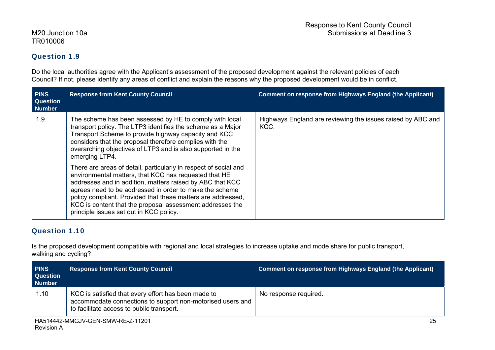#### Question 1.9

Do the local authorities agree with the Applicant's assessment of the proposed development against the relevant policies of each Council? If not, please identify any areas of conflict and explain the reasons why the proposed development would be in conflict.

| <b>PINS</b><br><b>Question</b><br><b>Number</b> | <b>Response from Kent County Council</b>                                                                                                                                                                                                                                                                                                                                                                                                                                                                                                                                                                                                                                                                                                                | <b>Comment on response from Highways England (the Applicant)</b>    |
|-------------------------------------------------|---------------------------------------------------------------------------------------------------------------------------------------------------------------------------------------------------------------------------------------------------------------------------------------------------------------------------------------------------------------------------------------------------------------------------------------------------------------------------------------------------------------------------------------------------------------------------------------------------------------------------------------------------------------------------------------------------------------------------------------------------------|---------------------------------------------------------------------|
| 1.9                                             | The scheme has been assessed by HE to comply with local<br>transport policy. The LTP3 identifies the scheme as a Major<br>Transport Scheme to provide highway capacity and KCC<br>considers that the proposal therefore complies with the<br>overarching objectives of LTP3 and is also supported in the<br>emerging LTP4.<br>There are areas of detail, particularly in respect of social and<br>environmental matters, that KCC has requested that HE<br>addresses and in addition, matters raised by ABC that KCC<br>agrees need to be addressed in order to make the scheme<br>policy compliant. Provided that these matters are addressed,<br>KCC is content that the proposal assessment addresses the<br>principle issues set out in KCC policy. | Highways England are reviewing the issues raised by ABC and<br>KCC. |

### Question 1.10

Is the proposed development compatible with regional and local strategies to increase uptake and mode share for public transport, walking and cycling?

| <b>PINS</b><br><b>Question</b><br><b>Number</b> | <b>Response from Kent County Council</b>                                                                                                                       | <b>Comment on response from Highways England (the Applicant)</b> |
|-------------------------------------------------|----------------------------------------------------------------------------------------------------------------------------------------------------------------|------------------------------------------------------------------|
| 1.10                                            | KCC is satisfied that every effort has been made to<br>accommodate connections to support non-motorised users and<br>to facilitate access to public transport. | No response required.                                            |
|                                                 |                                                                                                                                                                |                                                                  |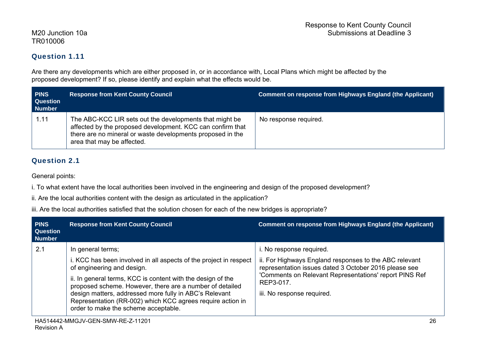### Question 1.11

Are there any developments which are either proposed in, or in accordance with, Local Plans which might be affected by the proposed development? If so, please identify and explain what the effects would be.

| <b>PINS</b><br><b>Question</b><br><b>Number</b> | <b>Response from Kent County Council</b>                                                                                                                                                                          | <b>Comment on response from Highways England (the Applicant)</b> |
|-------------------------------------------------|-------------------------------------------------------------------------------------------------------------------------------------------------------------------------------------------------------------------|------------------------------------------------------------------|
| 1.11                                            | The ABC-KCC LIR sets out the developments that might be<br>affected by the proposed development. KCC can confirm that<br>there are no mineral or waste developments proposed in the<br>area that may be affected. | No response required.                                            |

#### Question 2.1

General points:

i. To what extent have the local authorities been involved in the engineering and design of the proposed development?

ii. Are the local authorities content with the design as articulated in the application?

iii. Are the local authorities satisfied that the solution chosen for each of the new bridges is appropriate?

| <b>PINS</b><br><b>Question</b><br><b>Number</b> | <b>Response from Kent County Council</b>                                                                                                                                                                                                                                                                                                                                                                        | <b>Comment on response from Highways England (the Applicant)</b>                                                                                                                                                                                 |
|-------------------------------------------------|-----------------------------------------------------------------------------------------------------------------------------------------------------------------------------------------------------------------------------------------------------------------------------------------------------------------------------------------------------------------------------------------------------------------|--------------------------------------------------------------------------------------------------------------------------------------------------------------------------------------------------------------------------------------------------|
| 2.1                                             | In general terms;<br>i. KCC has been involved in all aspects of the project in respect<br>of engineering and design.<br>ii. In general terms, KCC is content with the design of the<br>proposed scheme. However, there are a number of detailed<br>design matters, addressed more fully in ABC's Relevant<br>Representation (RR-002) which KCC agrees require action in<br>order to make the scheme acceptable. | i. No response required.<br>ii. For Highways England responses to the ABC relevant<br>representation issues dated 3 October 2016 please see<br>'Comments on Relevant Representations' report PINS Ref<br>REP3-017.<br>iii. No response required. |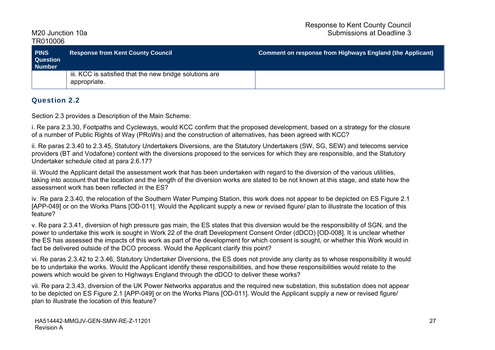| <b>PINS</b><br><b>Question</b><br><b>Number</b> | <b>Response from Kent County Council</b>                                | <b>Comment on response from Highways England (the Applicant)</b> |
|-------------------------------------------------|-------------------------------------------------------------------------|------------------------------------------------------------------|
|                                                 | iii. KCC is satisfied that the new bridge solutions are<br>appropriate. |                                                                  |

#### Question 2.2

Section 2.3 provides a Description of the Main Scheme:

i. Re para 2.3.30, Footpaths and Cycleways, would KCC confirm that the proposed development, based on a strategy for the closure of a number of Public Rights of Way (PRoWs) and the construction of alternatives, has been agreed with KCC?

ii. Re paras 2.3.40 to 2.3.45, Statutory Undertakers Diversions, are the Statutory Undertakers (SW, SG, SEW) and telecoms service providers (BT and Vodafone) content with the diversions proposed to the services for which they are responsible, and the Statutory Undertaker schedule cited at para 2.6.17?

iii. Would the Applicant detail the assessment work that has been undertaken with regard to the diversion of the various utilities, taking into account that the location and the length of the diversion works are stated to be not known at this stage, and state how the assessment work has been reflected in the ES?

iv. Re para 2.3.40, the relocation of the Southern Water Pumping Station, this work does not appear to be depicted on ES Figure 2.1 [APP-049] or on the Works Plans [OD-011]. Would the Applicant supply a new or revised figure/ plan to illustrate the location of this feature?

v. Re para 2.3.41, diversion of high pressure gas main, the ES states that this diversion would be the responsibility of SGN, and the power to undertake this work is sought in Work 22 of the draft Development Consent Order (dDCO) [OD-008]. It is unclear whether the ES has assessed the impacts of this work as part of the development for which consent is sought, or whether this Work would in fact be delivered outside of the DCO process. Would the Applicant clarify this point?

vi. Re paras 2.3.42 to 2.3.46, Statutory Undertaker Diversions, the ES does not provide any clarity as to whose responsibility it would be to undertake the works. Would the Applicant identify these responsibilities, and how these responsibilities would relate to the powers which would be given to Highways England through the dDCO to deliver these works?

vii. Re para 2.3.43, diversion of the UK Power Networks apparatus and the required new substation, this substation does not appear to be depicted on ES Figure 2.1 [APP-049] or on the Works Plans [OD-011]. Would the Applicant supply a new or revised figure/ plan to illustrate the location of this feature?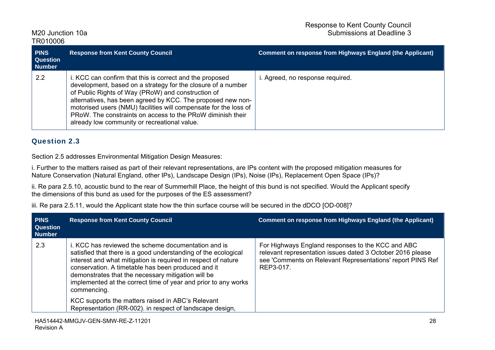| <b>PINS</b><br><b>Question</b><br><b>Number</b> | <b>Response from Kent County Council</b>                                                                                                                                                                                                                                                                                                                                                                                        | <b>Comment on response from Highways England (the Applicant)</b> |
|-------------------------------------------------|---------------------------------------------------------------------------------------------------------------------------------------------------------------------------------------------------------------------------------------------------------------------------------------------------------------------------------------------------------------------------------------------------------------------------------|------------------------------------------------------------------|
| 2.2                                             | i. KCC can confirm that this is correct and the proposed<br>development, based on a strategy for the closure of a number<br>of Public Rights of Way (PRoW) and construction of<br>alternatives, has been agreed by KCC. The proposed new non-<br>motorised users (NMU) facilities will compensate for the loss of<br>PRoW. The constraints on access to the PRoW diminish their<br>already low community or recreational value. | i. Agreed, no response required.                                 |

#### Question 2.3

Section 2.5 addresses Environmental Mitigation Design Measures:

i. Further to the matters raised as part of their relevant representations, are IPs content with the proposed mitigation measures for Nature Conservation (Natural England, other IPs), Landscape Design (IPs), Noise (IPs), Replacement Open Space (IPs)?

ii. Re para 2.5.10, acoustic bund to the rear of Summerhill Place, the height of this bund is not specified. Would the Applicant specify the dimensions of this bund as used for the purposes of the ES assessment?

iii. Re para 2.5.11, would the Applicant state how the thin surface course will be secured in the dDCO [OD-008]?

| <b>PINS</b><br><b>Question</b><br><b>Number</b> | <b>Response from Kent County Council</b>                                                                                                                                                                                                                                                                                                                                                                                                                                                             | <b>Comment on response from Highways England (the Applicant)</b>                                                                                                                           |
|-------------------------------------------------|------------------------------------------------------------------------------------------------------------------------------------------------------------------------------------------------------------------------------------------------------------------------------------------------------------------------------------------------------------------------------------------------------------------------------------------------------------------------------------------------------|--------------------------------------------------------------------------------------------------------------------------------------------------------------------------------------------|
| 2.3                                             | i. KCC has reviewed the scheme documentation and is<br>satisfied that there is a good understanding of the ecological<br>interest and what mitigation is required in respect of nature<br>conservation. A timetable has been produced and it<br>demonstrates that the necessary mitigation will be<br>implemented at the correct time of year and prior to any works<br>commencing.<br>KCC supports the matters raised in ABC's Relevant<br>Representation (RR-002). in respect of landscape design, | For Highways England responses to the KCC and ABC<br>relevant representation issues dated 3 October 2016 please<br>see 'Comments on Relevant Representations' report PINS Ref<br>REP3-017. |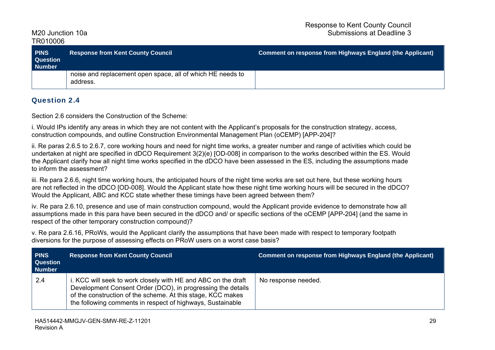| <b>PINS</b><br><b>Question</b><br><b>Number</b> | <b>Response from Kent County Council</b>                               | Comment on response from Highways England (the Applicant) |
|-------------------------------------------------|------------------------------------------------------------------------|-----------------------------------------------------------|
|                                                 | noise and replacement open space, all of which HE needs to<br>address. |                                                           |

#### Question 2.4

Section 2.6 considers the Construction of the Scheme:

i. Would IPs identify any areas in which they are not content with the Applicant's proposals for the construction strategy, access, construction compounds, and outline Construction Environmental Management Plan (oCEMP) [APP-204]?

ii. Re paras 2.6.5 to 2.6.7, core working hours and need for night time works, a greater number and range of activities which could be undertaken at night are specified in dDCO Requirement 3(2)(e) [OD-008] in comparison to the works described within the ES. Would the Applicant clarify how all night time works specified in the dDCO have been assessed in the ES, including the assumptions made to inform the assessment?

iii. Re para 2.6.6, night time working hours, the anticipated hours of the night time works are set out here, but these working hours are not reflected in the dDCO [OD-008]. Would the Applicant state how these night time working hours will be secured in the dDCO? Would the Applicant, ABC and KCC state whether these timings have been agreed between them?

iv. Re para 2.6.10, presence and use of main construction compound, would the Applicant provide evidence to demonstrate how all assumptions made in this para have been secured in the dDCO and/ or specific sections of the oCEMP [APP-204] (and the same in respect of the other temporary construction compound)?

v. Re para 2.6.16, PRoWs, would the Applicant clarify the assumptions that have been made with respect to temporary footpath diversions for the purpose of assessing effects on PRoW users on a worst case basis?

| <b>PINS</b><br><b>Question</b><br><b>Number</b> | <b>Response from Kent County Council</b>                                                                                                                                                                                                                  | <b>Comment on response from Highways England (the Applicant)</b> |
|-------------------------------------------------|-----------------------------------------------------------------------------------------------------------------------------------------------------------------------------------------------------------------------------------------------------------|------------------------------------------------------------------|
| 2.4                                             | i. KCC will seek to work closely with HE and ABC on the draft<br>Development Consent Order (DCO), in progressing the details<br>of the construction of the scheme. At this stage, KCC makes<br>the following comments in respect of highways, Sustainable | No response needed.                                              |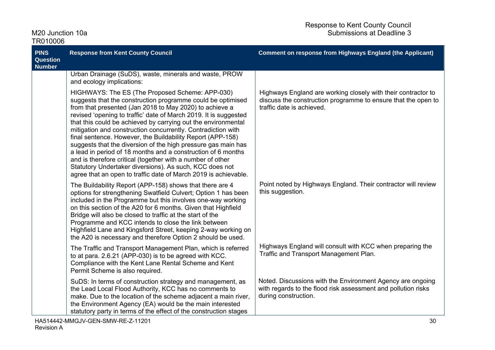| M20 Junction 10a<br>TR010006                    |                                                                                                                                                                                                                                                                                                                                                                                                                                                                                                                                                                                                                                                                                                                                                                           | Submissions at Deadline 3                                                                                                                                   |
|-------------------------------------------------|---------------------------------------------------------------------------------------------------------------------------------------------------------------------------------------------------------------------------------------------------------------------------------------------------------------------------------------------------------------------------------------------------------------------------------------------------------------------------------------------------------------------------------------------------------------------------------------------------------------------------------------------------------------------------------------------------------------------------------------------------------------------------|-------------------------------------------------------------------------------------------------------------------------------------------------------------|
| <b>PINS</b><br><b>Question</b><br><b>Number</b> | <b>Response from Kent County Council</b>                                                                                                                                                                                                                                                                                                                                                                                                                                                                                                                                                                                                                                                                                                                                  | <b>Comment on response from Highways England (the Applicant)</b>                                                                                            |
|                                                 | Urban Drainage (SuDS), waste, minerals and waste, PROW<br>and ecology implications:                                                                                                                                                                                                                                                                                                                                                                                                                                                                                                                                                                                                                                                                                       |                                                                                                                                                             |
|                                                 | HIGHWAYS: The ES (The Proposed Scheme: APP-030)<br>suggests that the construction programme could be optimised<br>from that presented (Jan 2018 to May 2020) to achieve a<br>revised 'opening to traffic' date of March 2019. It is suggested<br>that this could be achieved by carrying out the environmental<br>mitigation and construction concurrently. Contradiction with<br>final sentence. However, the Buildability Report (APP-158)<br>suggests that the diversion of the high pressure gas main has<br>a lead in period of 18 months and a construction of 6 months<br>and is therefore critical (together with a number of other<br>Statutory Undertaker diversions). As such, KCC does not<br>agree that an open to traffic date of March 2019 is achievable. | Highways England are working closely with their contractor to<br>discuss the construction programme to ensure that the open to<br>traffic date is achieved. |
|                                                 | The Buildability Report (APP-158) shows that there are 4<br>options for strengthening Swatfield Culvert; Option 1 has been<br>included in the Programme but this involves one-way working<br>on this section of the A20 for 6 months. Given that Highfield<br>Bridge will also be closed to traffic at the start of the<br>Programme and KCC intends to close the link between<br>Highfield Lane and Kingsford Street, keeping 2-way working on<br>the A20 is necessary and therefore Option 2 should be used.                                                                                                                                                                                                                                                            | Point noted by Highways England. Their contractor will review<br>this suggestion.                                                                           |
|                                                 | The Traffic and Transport Management Plan, which is referred<br>to at para. 2.6.21 (APP-030) is to be agreed with KCC.<br>Compliance with the Kent Lane Rental Scheme and Kent<br>Permit Scheme is also required.                                                                                                                                                                                                                                                                                                                                                                                                                                                                                                                                                         | Highways England will consult with KCC when preparing the<br>Traffic and Transport Management Plan.                                                         |
|                                                 | SuDS: In terms of construction strategy and management, as<br>the Lead Local Flood Authority, KCC has no comments to<br>make. Due to the location of the scheme adjacent a main river,<br>the Environment Agency (EA) would be the main interested<br>statutory party in terms of the effect of the construction stages                                                                                                                                                                                                                                                                                                                                                                                                                                                   | Noted. Discussions with the Environment Agency are ongoing<br>with regards to the flood risk assessment and pollution risks<br>during construction.         |

Response to Kent County Council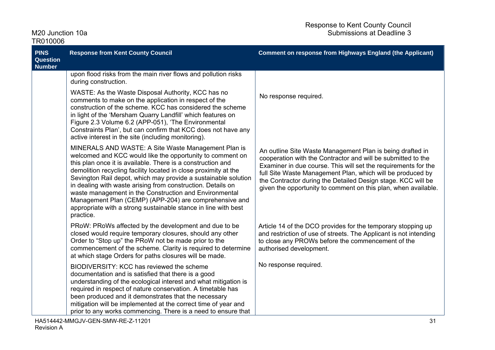| ,,,,,,,,,,<br><b>PINS</b><br>Question | <b>Response from Kent County Council</b>                                                                                                                                                                                                                                                                                                                                                                                                                                                                                                                                               | <b>Comment on response from Highways England (the Applicant)</b>                                                                                                                                                                                                                                                                                                                            |
|---------------------------------------|----------------------------------------------------------------------------------------------------------------------------------------------------------------------------------------------------------------------------------------------------------------------------------------------------------------------------------------------------------------------------------------------------------------------------------------------------------------------------------------------------------------------------------------------------------------------------------------|---------------------------------------------------------------------------------------------------------------------------------------------------------------------------------------------------------------------------------------------------------------------------------------------------------------------------------------------------------------------------------------------|
| <b>Number</b>                         |                                                                                                                                                                                                                                                                                                                                                                                                                                                                                                                                                                                        |                                                                                                                                                                                                                                                                                                                                                                                             |
|                                       | upon flood risks from the main river flows and pollution risks<br>during construction.                                                                                                                                                                                                                                                                                                                                                                                                                                                                                                 |                                                                                                                                                                                                                                                                                                                                                                                             |
|                                       | WASTE: As the Waste Disposal Authority, KCC has no<br>comments to make on the application in respect of the<br>construction of the scheme. KCC has considered the scheme<br>in light of the 'Mersham Quarry Landfill' which features on<br>Figure 2.3 Volume 6.2 (APP-051), 'The Environmental<br>Constraints Plan', but can confirm that KCC does not have any<br>active interest in the site (including monitoring).                                                                                                                                                                 | No response required.                                                                                                                                                                                                                                                                                                                                                                       |
|                                       | MINERALS AND WASTE: A Site Waste Management Plan is<br>welcomed and KCC would like the opportunity to comment on<br>this plan once it is available. There is a construction and<br>demolition recycling facility located in close proximity at the<br>Sevington Rail depot, which may provide a sustainable solution<br>in dealing with waste arising from construction. Details on<br>waste management in the Construction and Environmental<br>Management Plan (CEMP) (APP-204) are comprehensive and<br>appropriate with a strong sustainable stance in line with best<br>practice. | An outline Site Waste Management Plan is being drafted in<br>cooperation with the Contractor and will be submitted to the<br>Examiner in due course. This will set the requirements for the<br>full Site Waste Management Plan, which will be produced by<br>the Contractor during the Detailed Design stage. KCC will be<br>given the opportunity to comment on this plan, when available. |
|                                       | PRoW: PRoWs affected by the development and due to be<br>closed would require temporary closures, should any other<br>Order to "Stop up" the PRoW not be made prior to the<br>commencement of the scheme. Clarity is required to determine<br>at which stage Orders for paths closures will be made.                                                                                                                                                                                                                                                                                   | Article 14 of the DCO provides for the temporary stopping up<br>and restriction of use of streets. The Applicant is not intending<br>to close any PROWs before the commencement of the<br>authorised development.                                                                                                                                                                           |
|                                       | BIODIVERSITY: KCC has reviewed the scheme<br>documentation and is satisfied that there is a good<br>understanding of the ecological interest and what mitigation is<br>required in respect of nature conservation. A timetable has<br>been produced and it demonstrates that the necessary<br>mitigation will be implemented at the correct time of year and<br>prior to any works commencing. There is a need to ensure that                                                                                                                                                          | No response required.                                                                                                                                                                                                                                                                                                                                                                       |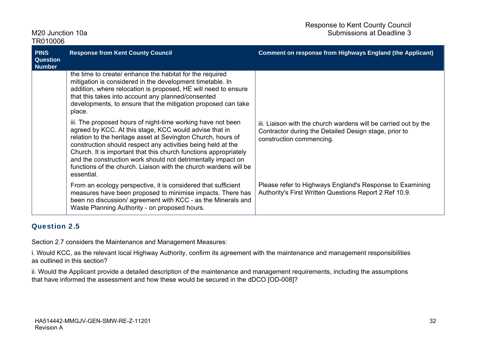| <b>PINS</b><br><b>Question</b><br><b>Number</b> | <b>Response from Kent County Council</b>                                                                                                                                                                                                                                                                                                                                                                                                                                    | <b>Comment on response from Highways England (the Applicant)</b>                                                                                     |
|-------------------------------------------------|-----------------------------------------------------------------------------------------------------------------------------------------------------------------------------------------------------------------------------------------------------------------------------------------------------------------------------------------------------------------------------------------------------------------------------------------------------------------------------|------------------------------------------------------------------------------------------------------------------------------------------------------|
|                                                 | the time to create/ enhance the habitat for the required<br>mitigation is considered in the development timetable. In<br>addition, where relocation is proposed, HE will need to ensure<br>that this takes into account any planned/consented<br>developments, to ensure that the mitigation proposed can take<br>place.                                                                                                                                                    |                                                                                                                                                      |
|                                                 | iii. The proposed hours of night-time working have not been<br>agreed by KCC. At this stage, KCC would advise that in<br>relation to the heritage asset at Sevington Church, hours of<br>construction should respect any activities being held at the<br>Church. It is important that this church functions appropriately<br>and the construction work should not detrimentally impact on<br>functions of the church. Liaison with the church wardens will be<br>essential. | iii. Liaison with the church wardens will be carried out by the<br>Contractor during the Detailed Design stage, prior to<br>construction commencing. |
|                                                 | From an ecology perspective, it is considered that sufficient<br>measures have been proposed to minimise impacts. There has<br>been no discussion/agreement with KCC - as the Minerals and<br>Waste Planning Authority - on proposed hours.                                                                                                                                                                                                                                 | Please refer to Highways England's Response to Examining<br>Authority's First Written Questions Report 2 Ref 10.9.                                   |

### Question 2.5

Section 2.7 considers the Maintenance and Management Measures:

i. Would KCC, as the relevant local Highway Authority, confirm its agreement with the maintenance and management responsibilities as outlined in this section?

ii. Would the Applicant provide a detailed description of the maintenance and management requirements, including the assumptions that have informed the assessment and how these would be secured in the dDCO [OD-008]?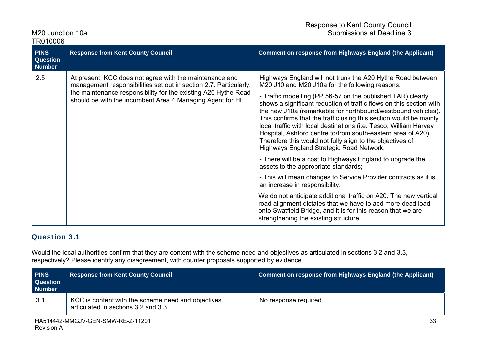| M <sub>20</sub> Junction 10a |  |
|------------------------------|--|
| TR010006                     |  |

| 101000                                          |                                                                                                                                                                                                                                                              |                                                                                                                                                                                                                                                                                                                                                                                                                                                                                                                                                                                                                                                                                                                                                                                                                                                                                                                                                                                                                                                                                             |
|-------------------------------------------------|--------------------------------------------------------------------------------------------------------------------------------------------------------------------------------------------------------------------------------------------------------------|---------------------------------------------------------------------------------------------------------------------------------------------------------------------------------------------------------------------------------------------------------------------------------------------------------------------------------------------------------------------------------------------------------------------------------------------------------------------------------------------------------------------------------------------------------------------------------------------------------------------------------------------------------------------------------------------------------------------------------------------------------------------------------------------------------------------------------------------------------------------------------------------------------------------------------------------------------------------------------------------------------------------------------------------------------------------------------------------|
| <b>PINS</b><br><b>Question</b><br><b>Number</b> | <b>Response from Kent County Council</b>                                                                                                                                                                                                                     | <b>Comment on response from Highways England (the Applicant)</b>                                                                                                                                                                                                                                                                                                                                                                                                                                                                                                                                                                                                                                                                                                                                                                                                                                                                                                                                                                                                                            |
| 2.5                                             | At present, KCC does not agree with the maintenance and<br>management responsibilities set out in section 2.7. Particularly,<br>the maintenance responsibility for the existing A20 Hythe Road<br>should be with the incumbent Area 4 Managing Agent for HE. | Highways England will not trunk the A20 Hythe Road between<br>M20 J10 and M20 J10a for the following reasons:<br>- Traffic modelling (PP.56-57 on the published TAR) clearly<br>shows a significant reduction of traffic flows on this section with<br>the new J10a (remarkable for northbound/westbound vehicles).<br>This confirms that the traffic using this section would be mainly<br>local traffic with local destinations (i.e. Tesco, William Harvey<br>Hospital, Ashford centre to/from south-eastern area of A20).<br>Therefore this would not fully align to the objectives of<br>Highways England Strategic Road Network;<br>- There will be a cost to Highways England to upgrade the<br>assets to the appropriate standards;<br>- This will mean changes to Service Provider contracts as it is<br>an increase in responsibility.<br>We do not anticipate additional traffic on A20. The new vertical<br>road alignment dictates that we have to add more dead load<br>onto Swatfield Bridge, and it is for this reason that we are<br>strengthening the existing structure. |

#### Question 3.1

Would the local authorities confirm that they are content with the scheme need and objectives as articulated in sections 3.2 and 3.3, respectively? Please identify any disagreement, with counter proposals supported by evidence.

| <b>PINS</b><br><b>Question</b><br><b>Number</b> | <b>Response from Kent County Council</b>                                                   | Comment on response from Highways England (the Applicant) |
|-------------------------------------------------|--------------------------------------------------------------------------------------------|-----------------------------------------------------------|
| 3.1                                             | KCC is content with the scheme need and objectives<br>articulated in sections 3.2 and 3.3. | No response required.                                     |
|                                                 |                                                                                            |                                                           |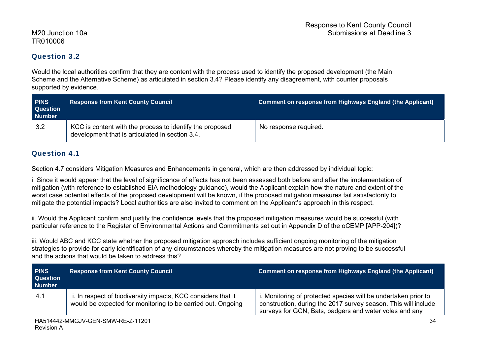### Question 3.2

Would the local authorities confirm that they are content with the process used to identify the proposed development (the Main Scheme and the Alternative Scheme) as articulated in section 3.4? Please identify any disagreement, with counter proposals supported by evidence.

| <b>PINS</b><br><b>Question</b><br><b>Number</b> | <b>Response from Kent County Council</b>                                                                    | <b>Comment on response from Highways England (the Applicant)</b> |
|-------------------------------------------------|-------------------------------------------------------------------------------------------------------------|------------------------------------------------------------------|
| 3.2                                             | KCC is content with the process to identify the proposed<br>development that is articulated in section 3.4. | No response required.                                            |

### Question 4.1

Section 4.7 considers Mitigation Measures and Enhancements in general, which are then addressed by individual topic:

i. Since it would appear that the level of significance of effects has not been assessed both before and after the implementation of mitigation (with reference to established EIA methodology guidance), would the Applicant explain how the nature and extent of the worst case potential effects of the proposed development will be known, if the proposed mitigation measures fail satisfactorily to mitigate the potential impacts? Local authorities are also invited to comment on the Applicant's approach in this respect.

ii. Would the Applicant confirm and justify the confidence levels that the proposed mitigation measures would be successful (with particular reference to the Register of Environmental Actions and Commitments set out in Appendix D of the oCEMP [APP-204])?

iii. Would ABC and KCC state whether the proposed mitigation approach includes sufficient ongoing monitoring of the mitigation strategies to provide for early identification of any circumstances whereby the mitigation measures are not proving to be successful and the actions that would be taken to address this?

| <b>PINS</b><br><b>Question</b><br><b>Number</b> | <b>Response from Kent County Council</b>                                                                                    | Comment on response from Highways England (the Applicant)                                                                                                                                  |
|-------------------------------------------------|-----------------------------------------------------------------------------------------------------------------------------|--------------------------------------------------------------------------------------------------------------------------------------------------------------------------------------------|
| 4.1                                             | i. In respect of biodiversity impacts, KCC considers that it<br>would be expected for monitoring to be carried out. Ongoing | i. Monitoring of protected species will be undertaken prior to<br>construction, during the 2017 survey season. This will include<br>surveys for GCN, Bats, badgers and water voles and any |
|                                                 |                                                                                                                             |                                                                                                                                                                                            |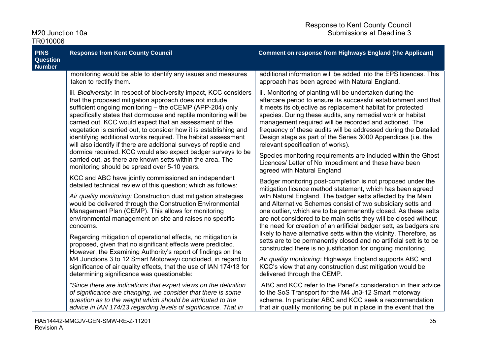| M20 Junction 10a<br>TR010006                                                                                                                                                                                                                                                                                                                                                                                                                                                                                                                                                                                                                                |                                                                                                                                                                                                                                                                                                                                                                                                                                                                                                                                     | Submissions at Deadline 3                                                                                                                                                                                                                                                                                                                                                                                                                                                                    |  |
|-------------------------------------------------------------------------------------------------------------------------------------------------------------------------------------------------------------------------------------------------------------------------------------------------------------------------------------------------------------------------------------------------------------------------------------------------------------------------------------------------------------------------------------------------------------------------------------------------------------------------------------------------------------|-------------------------------------------------------------------------------------------------------------------------------------------------------------------------------------------------------------------------------------------------------------------------------------------------------------------------------------------------------------------------------------------------------------------------------------------------------------------------------------------------------------------------------------|----------------------------------------------------------------------------------------------------------------------------------------------------------------------------------------------------------------------------------------------------------------------------------------------------------------------------------------------------------------------------------------------------------------------------------------------------------------------------------------------|--|
| <b>PINS</b><br><b>Question</b><br><b>Number</b>                                                                                                                                                                                                                                                                                                                                                                                                                                                                                                                                                                                                             | <b>Response from Kent County Council</b>                                                                                                                                                                                                                                                                                                                                                                                                                                                                                            | <b>Comment on response from Highways England (the Applicant)</b>                                                                                                                                                                                                                                                                                                                                                                                                                             |  |
|                                                                                                                                                                                                                                                                                                                                                                                                                                                                                                                                                                                                                                                             | monitoring would be able to identify any issues and measures<br>taken to rectify them.                                                                                                                                                                                                                                                                                                                                                                                                                                              | additional information will be added into the EPS licences. This<br>approach has been agreed with Natural England.                                                                                                                                                                                                                                                                                                                                                                           |  |
|                                                                                                                                                                                                                                                                                                                                                                                                                                                                                                                                                                                                                                                             | iii. Biodiversity: In respect of biodiversity impact, KCC considers<br>that the proposed mitigation approach does not include<br>sufficient ongoing monitoring - the oCEMP (APP-204) only<br>specifically states that dormouse and reptile monitoring will be<br>carried out. KCC would expect that an assessment of the<br>vegetation is carried out, to consider how it is establishing and<br>identifying additional works required. The habitat assessment<br>will also identify if there are additional surveys of reptile and | iii. Monitoring of planting will be undertaken during the<br>aftercare period to ensure its successful establishment and that<br>it meets its objective as replacement habitat for protected<br>species. During these audits, any remedial work or habitat<br>management required will be recorded and actioned. The<br>frequency of these audits will be addressed during the Detailed<br>Design stage as part of the Series 3000 Appendices (i.e. the<br>relevant specification of works). |  |
|                                                                                                                                                                                                                                                                                                                                                                                                                                                                                                                                                                                                                                                             | dormice required. KCC would also expect badger surveys to be<br>carried out, as there are known setts within the area. The<br>monitoring should be spread over 5-10 years.                                                                                                                                                                                                                                                                                                                                                          | Species monitoring requirements are included within the Ghost<br>Licences/ Letter of No Impediment and these have been<br>agreed with Natural England                                                                                                                                                                                                                                                                                                                                        |  |
|                                                                                                                                                                                                                                                                                                                                                                                                                                                                                                                                                                                                                                                             | KCC and ABC have jointly commissioned an independent<br>detailed technical review of this question; which as follows:                                                                                                                                                                                                                                                                                                                                                                                                               | Badger monitoring post-completion is not proposed under the<br>mitigation licence method statement, which has been agreed                                                                                                                                                                                                                                                                                                                                                                    |  |
| Air quality monitoring: Construction dust mitigation strategies<br>would be delivered through the Construction Environmental<br>Management Plan (CEMP). This allows for monitoring<br>environmental management on site and raises no specific<br>concerns.<br>Regarding mitigation of operational effects, no mitigation is<br>proposed, given that no significant effects were predicted.<br>However, the Examining Authority's report of findings on the<br>M4 Junctions 3 to 12 Smart Motorway <sub>1</sub> concluded, in regard to<br>significance of air quality effects, that the use of IAN 174/13 for<br>determining significance was questionable: | with Natural England. The badger setts affected by the Main<br>and Alternative Schemes consist of two subsidiary setts and<br>one outlier, which are to be permanently closed. As these setts<br>are not considered to be main setts they will be closed without<br>the need for creation of an artificial badger sett, as badgers are                                                                                                                                                                                              |                                                                                                                                                                                                                                                                                                                                                                                                                                                                                              |  |
|                                                                                                                                                                                                                                                                                                                                                                                                                                                                                                                                                                                                                                                             | likely to have alternative setts within the vicinity. Therefore, as<br>setts are to be permanently closed and no artificial sett is to be<br>constructed there is no justification for ongoing monitoring.                                                                                                                                                                                                                                                                                                                          |                                                                                                                                                                                                                                                                                                                                                                                                                                                                                              |  |
|                                                                                                                                                                                                                                                                                                                                                                                                                                                                                                                                                                                                                                                             | Air quality monitoring: Highways England supports ABC and<br>KCC's view that any construction dust mitigation would be<br>delivered through the CEMP.                                                                                                                                                                                                                                                                                                                                                                               |                                                                                                                                                                                                                                                                                                                                                                                                                                                                                              |  |
|                                                                                                                                                                                                                                                                                                                                                                                                                                                                                                                                                                                                                                                             | "Since there are indications that expert views on the definition<br>of significance are changing, we consider that there is some<br>question as to the weight which should be attributed to the<br>advice in IAN 174/13 regarding levels of significance. That in                                                                                                                                                                                                                                                                   | ABC and KCC refer to the Panel's consideration in their advice<br>to the SoS Transport for the M4 Jn3-12 Smart motorway<br>scheme. In particular ABC and KCC seek a recommendation<br>that air quality monitoring be put in place in the event that the                                                                                                                                                                                                                                      |  |

Response to Kent County Council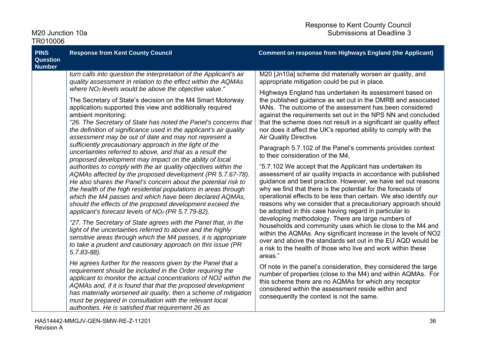| M20 Junction 10a |  |
|------------------|--|
| TR010006         |  |

| <b>PINS</b><br><b>Question</b><br><b>Number</b>                                                                                                                                                                                                                                    | <b>Response from Kent County Council</b>                                                                                                                                                                                                                                                                                                                                                                                                                                                                                 | <b>Comment on response from Highways England (the Applicant)</b>                                                                                                                                                                                                                                                                                                                                                                                          |
|------------------------------------------------------------------------------------------------------------------------------------------------------------------------------------------------------------------------------------------------------------------------------------|--------------------------------------------------------------------------------------------------------------------------------------------------------------------------------------------------------------------------------------------------------------------------------------------------------------------------------------------------------------------------------------------------------------------------------------------------------------------------------------------------------------------------|-----------------------------------------------------------------------------------------------------------------------------------------------------------------------------------------------------------------------------------------------------------------------------------------------------------------------------------------------------------------------------------------------------------------------------------------------------------|
|                                                                                                                                                                                                                                                                                    | turn calls into question the interpretation of the Applicant's air<br>quality assessment in relation to the effect within the AQMAs                                                                                                                                                                                                                                                                                                                                                                                      | M20 [Jn10a] scheme did materially worsen air quality, and<br>appropriate mitigation could be put in place.                                                                                                                                                                                                                                                                                                                                                |
|                                                                                                                                                                                                                                                                                    | where NO <sub>2</sub> levels would be above the objective value."<br>The Secretary of State's decision on the M4 Smart Motorway<br>application <sub>2</sub> supported this view and additionally required<br>ambient monitoring:<br>"26. The Secretary of State has noted the Panel's concerns that<br>the definition of significance used in the applicant's air quality<br>assessment may be out of date and may not represent a                                                                                       | Highways England has undertaken its assessment based on<br>the published guidance as set out in the DMRB and associated<br>IANs. The outcome of the assessment has been considered<br>against the requirements set out in the NPS NN and concluded<br>that the scheme does not result in a significant air quality effect<br>nor does it affect the UK's reported ability to comply with the<br>Air Quality Directive.                                    |
|                                                                                                                                                                                                                                                                                    | sufficiently precautionary approach in the light of the<br>uncertainties referred to above, and that as a result the                                                                                                                                                                                                                                                                                                                                                                                                     | Paragraph 5.7.102 of the Panel's comments provides context<br>to their consideration of the M4,                                                                                                                                                                                                                                                                                                                                                           |
|                                                                                                                                                                                                                                                                                    | proposed development may impact on the ability of local<br>authorities to comply with the air quality objectives within the<br>AQMAs affected by the proposed development (PR 5.7.67-78).<br>He also shares the Panel's concern about the potential risk to<br>the health of the high residential populations in areas through<br>which the M4 passes and which have been declared AQMAs,<br>should the effects of the proposed development exceed the<br>applicant's forecast levels of NO <sub>2</sub> (PR 5.7.79-82). | "5.7.102 We accept that the Applicant has undertaken its<br>assessment of air quality impacts in accordance with published<br>guidance and best practice. However, we have set out reasons<br>why we find that there is the potential for the forecasts of<br>operational effects to be less than certain. We also identify our<br>reasons why we consider that a precautionary approach should<br>be adopted in this case having regard in particular to |
| "27. The Secretary of State agrees with the Panel that, in the<br>light of the uncertainties referred to above and the highly<br>sensitive areas through which the M4 passes, it is appropriate<br>to take a prudent and cautionary approach on this issue (PR<br>$5.7.83 - 88$ ). | developing methodology. There are large numbers of<br>households and community uses which lie close to the M4 and<br>within the AQMAs. Any significant increase in the levels of NO2<br>over and above the standards set out in the EU AQD would be<br>a risk to the health of those who live and work within these<br>areas."                                                                                                                                                                                           |                                                                                                                                                                                                                                                                                                                                                                                                                                                           |
|                                                                                                                                                                                                                                                                                    | He agrees further for the reasons given by the Panel that a<br>requirement should be included in the Order requiring the<br>applicant to monitor the actual concentrations of NO2 within the<br>AQMAs and, if it is found that that the proposed development<br>has materially worsened air quality, then a scheme of mitigation<br>must be prepared in consultation with the relevant local<br>authorities. He is satisfied that requirement 26 as                                                                      | Of note in the panel's consideration, they considered the large<br>number of properties (close to the M4) and within AQMAs. For<br>this scheme there are no AQMAs for which any receptor<br>considered within the assessment reside within and<br>consequently the context is not the same.                                                                                                                                                               |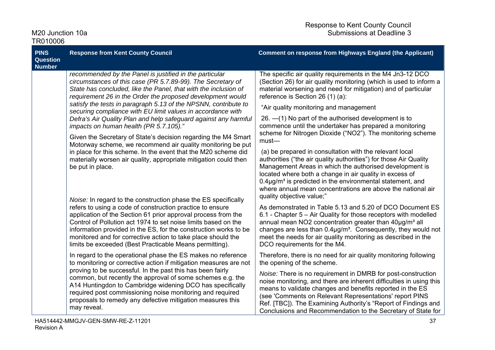| M20 Junction 10a |  |
|------------------|--|
| TR010006         |  |

| <b>PINS</b><br><b>Question</b><br><b>Number</b>                                                                                                                                                                                                                                                                                                                                                                                                               | <b>Response from Kent County Council</b>                                                                                                                                                                                                                                                                                                                                  | <b>Comment on response from Highways England (the Applicant)</b>                                                                                                                                                                                                                                                                                                                                                             |
|---------------------------------------------------------------------------------------------------------------------------------------------------------------------------------------------------------------------------------------------------------------------------------------------------------------------------------------------------------------------------------------------------------------------------------------------------------------|---------------------------------------------------------------------------------------------------------------------------------------------------------------------------------------------------------------------------------------------------------------------------------------------------------------------------------------------------------------------------|------------------------------------------------------------------------------------------------------------------------------------------------------------------------------------------------------------------------------------------------------------------------------------------------------------------------------------------------------------------------------------------------------------------------------|
|                                                                                                                                                                                                                                                                                                                                                                                                                                                               | recommended by the Panel is justified in the particular<br>circumstances of this case (PR 5.7.89-99). The Secretary of<br>State has concluded, like the Panel, that with the inclusion of<br>requirement 26 in the Order the proposed development would                                                                                                                   | The specific air quality requirements in the M4 Jn3-12 DCO<br>(Section 26) for air quality monitoring (which is used to inform a<br>material worsening and need for mitigation) and of particular<br>reference is Section 26 (1) (a):                                                                                                                                                                                        |
|                                                                                                                                                                                                                                                                                                                                                                                                                                                               | satisfy the tests in paragraph 5.13 of the NPSNN, contribute to<br>securing compliance with EU limit values in accordance with                                                                                                                                                                                                                                            | "Air quality monitoring and management                                                                                                                                                                                                                                                                                                                                                                                       |
|                                                                                                                                                                                                                                                                                                                                                                                                                                                               | Defra's Air Quality Plan and help safeguard against any harmful<br>impacts on human health (PR 5.7.105)."                                                                                                                                                                                                                                                                 | 26. - (1) No part of the authorised development is to<br>commence until the undertaker has prepared a monitoring                                                                                                                                                                                                                                                                                                             |
|                                                                                                                                                                                                                                                                                                                                                                                                                                                               | Given the Secretary of State's decision regarding the M4 Smart                                                                                                                                                                                                                                                                                                            | scheme for Nitrogen Dioxide ("NO2"). The monitoring scheme<br>$must-$                                                                                                                                                                                                                                                                                                                                                        |
|                                                                                                                                                                                                                                                                                                                                                                                                                                                               | Motorway scheme, we recommend air quality monitoring be put<br>in place for this scheme. In the event that the M20 scheme did<br>materially worsen air quality, appropriate mitigation could then<br>be put in place.                                                                                                                                                     | (a) be prepared in consultation with the relevant local<br>authorities ("the air quality authorities") for those Air Quality<br>Management Areas in which the authorised development is<br>located where both a change in air quality in excess of<br>$0.4\mu$ g/m <sup>3</sup> is predicted in the environmental statement, and<br>where annual mean concentrations are above the national air<br>quality objective value;" |
| Noise: In regard to the construction phase the ES specifically<br>refers to using a code of construction practice to ensure<br>application of the Section 61 prior approval process from the<br>Control of Pollution act 1974 to set noise limits based on the<br>information provided in the ES, for the construction works to be<br>monitored and for corrective action to take place should the<br>limits be exceeded (Best Practicable Means permitting). | As demonstrated in Table 5.13 and 5.20 of DCO Document ES<br>6.1 - Chapter 5 - Air Quality for those receptors with modelled<br>annual mean NO2 concentration greater than 40µg/m <sup>3</sup> all<br>changes are less than $0.4\mu g/m3$ . Consequently, they would not<br>meet the needs for air quality monitoring as described in the<br>DCO requirements for the M4. |                                                                                                                                                                                                                                                                                                                                                                                                                              |
|                                                                                                                                                                                                                                                                                                                                                                                                                                                               | In regard to the operational phase the ES makes no reference<br>to monitoring or corrective action if mitigation measures are not                                                                                                                                                                                                                                         | Therefore, there is no need for air quality monitoring following<br>the opening of the scheme.                                                                                                                                                                                                                                                                                                                               |
|                                                                                                                                                                                                                                                                                                                                                                                                                                                               | proving to be successful. In the past this has been fairly<br>common, but recently the approval of some schemes e.g. the<br>A14 Huntingdon to Cambridge widening DCO has specifically<br>required post commissioning noise monitoring and required<br>proposals to remedy any defective mitigation measures this<br>may reveal.                                           | Noise: There is no requirement in DMRB for post-construction<br>noise monitoring, and there are inherent difficulties in using this<br>means to validate changes and benefits reported in the ES<br>(see 'Comments on Relevant Representations' report PINS<br>Ref. [TBC]). The Examining Authority's "Report of Findings and<br>Conclusions and Recommendation to the Secretary of State for                                |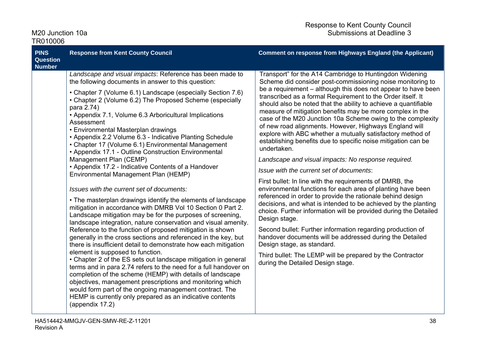| TR010006                                 |                                                                                                                                                                                                                                                                                                                                                                                                                                                                                                                                                                                                                                                                                                                                                                                                                                                                                                                                                                                                                                                                                                                                                                                                                                                                                                                                                                                                                                                                                                                                                                                                                                         |                                                                                                                                                                                                                                                                                                                                                                                                                                                                                                                                                                                                                                                                                                                                                                                                                                                                                                                                                                                                                                                                                                                                                                                                                                                                                                                                                                           |
|------------------------------------------|-----------------------------------------------------------------------------------------------------------------------------------------------------------------------------------------------------------------------------------------------------------------------------------------------------------------------------------------------------------------------------------------------------------------------------------------------------------------------------------------------------------------------------------------------------------------------------------------------------------------------------------------------------------------------------------------------------------------------------------------------------------------------------------------------------------------------------------------------------------------------------------------------------------------------------------------------------------------------------------------------------------------------------------------------------------------------------------------------------------------------------------------------------------------------------------------------------------------------------------------------------------------------------------------------------------------------------------------------------------------------------------------------------------------------------------------------------------------------------------------------------------------------------------------------------------------------------------------------------------------------------------------|---------------------------------------------------------------------------------------------------------------------------------------------------------------------------------------------------------------------------------------------------------------------------------------------------------------------------------------------------------------------------------------------------------------------------------------------------------------------------------------------------------------------------------------------------------------------------------------------------------------------------------------------------------------------------------------------------------------------------------------------------------------------------------------------------------------------------------------------------------------------------------------------------------------------------------------------------------------------------------------------------------------------------------------------------------------------------------------------------------------------------------------------------------------------------------------------------------------------------------------------------------------------------------------------------------------------------------------------------------------------------|
| <b>PINS</b><br>Question<br><b>Number</b> | <b>Response from Kent County Council</b>                                                                                                                                                                                                                                                                                                                                                                                                                                                                                                                                                                                                                                                                                                                                                                                                                                                                                                                                                                                                                                                                                                                                                                                                                                                                                                                                                                                                                                                                                                                                                                                                | <b>Comment on response from Highways England (the Applicant)</b>                                                                                                                                                                                                                                                                                                                                                                                                                                                                                                                                                                                                                                                                                                                                                                                                                                                                                                                                                                                                                                                                                                                                                                                                                                                                                                          |
|                                          | Landscape and visual impacts: Reference has been made to<br>the following documents in answer to this question:<br>• Chapter 7 (Volume 6.1) Landscape (especially Section 7.6)<br>• Chapter 2 (Volume 6.2) The Proposed Scheme (especially<br>para 2.74)<br>• Appendix 7.1, Volume 6.3 Arboricultural Implications<br>Assessment<br>• Environmental Masterplan drawings<br>• Appendix 2.2 Volume 6.3 - Indicative Planting Schedule<br>• Chapter 17 (Volume 6.1) Environmental Management<br>• Appendix 17.1 - Outline Construction Environmental<br>Management Plan (CEMP)<br>• Appendix 17.2 - Indicative Contents of a Handover<br>Environmental Management Plan (HEMP)<br>Issues with the current set of documents:<br>• The masterplan drawings identify the elements of landscape<br>mitigation in accordance with DMRB Vol 10 Section 0 Part 2.<br>Landscape mitigation may be for the purposes of screening,<br>landscape integration, nature conservation and visual amenity.<br>Reference to the function of proposed mitigation is shown<br>generally in the cross sections and referenced in the key, but<br>there is insufficient detail to demonstrate how each mitigation<br>element is supposed to function.<br>• Chapter 2 of the ES sets out landscape mitigation in general<br>terms and in para 2.74 refers to the need for a full handover on<br>completion of the scheme (HEMP) with details of landscape<br>objectives, management prescriptions and monitoring which<br>would form part of the ongoing management contract. The<br>HEMP is currently only prepared as an indicative contents<br>(appendix 17.2) | Transport" for the A14 Cambridge to Huntingdon Widening<br>Scheme did consider post-commissioning noise monitoring to<br>be a requirement – although this does not appear to have been<br>transcribed as a formal Requirement to the Order itself. It<br>should also be noted that the ability to achieve a quantifiable<br>measure of mitigation benefits may be more complex in the<br>case of the M20 Junction 10a Scheme owing to the complexity<br>of new road alignments. However, Highways England will<br>explore with ABC whether a mutually satisfactory method of<br>establishing benefits due to specific noise mitigation can be<br>undertaken.<br>Landscape and visual impacts: No response required.<br>Issue with the current set of documents:<br>First bullet: In line with the requirements of DMRB, the<br>environmental functions for each area of planting have been<br>referenced in order to provide the rationale behind design<br>decisions, and what is intended to be achieved by the planting<br>choice. Further information will be provided during the Detailed<br>Design stage.<br>Second bullet: Further information regarding production of<br>handover documents will be addressed during the Detailed<br>Design stage, as standard.<br>Third bullet: The LEMP will be prepared by the Contractor<br>during the Detailed Design stage. |

M20 Junction 10a Submissions at Deadline 3

Response to Kent County Council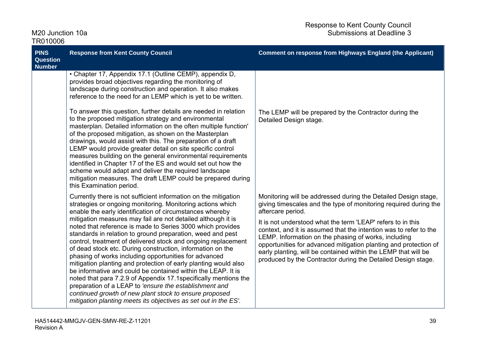| <b>PINS</b><br><b>Question</b><br><b>Number</b> | <b>Response from Kent County Council</b>                                                                                                                                                                                                                                                                                                                                                                                                                                                                                                                                                                                                                                                                                                                                                                                                                                                                                                                                    | <b>Comment on response from Highways England (the Applicant)</b>                                                                                                                                                                                                                                                                                                                                                                                                                                                                                          |
|-------------------------------------------------|-----------------------------------------------------------------------------------------------------------------------------------------------------------------------------------------------------------------------------------------------------------------------------------------------------------------------------------------------------------------------------------------------------------------------------------------------------------------------------------------------------------------------------------------------------------------------------------------------------------------------------------------------------------------------------------------------------------------------------------------------------------------------------------------------------------------------------------------------------------------------------------------------------------------------------------------------------------------------------|-----------------------------------------------------------------------------------------------------------------------------------------------------------------------------------------------------------------------------------------------------------------------------------------------------------------------------------------------------------------------------------------------------------------------------------------------------------------------------------------------------------------------------------------------------------|
|                                                 | • Chapter 17, Appendix 17.1 (Outline CEMP), appendix D,<br>provides broad objectives regarding the monitoring of<br>landscape during construction and operation. It also makes<br>reference to the need for an LEMP which is yet to be written.                                                                                                                                                                                                                                                                                                                                                                                                                                                                                                                                                                                                                                                                                                                             |                                                                                                                                                                                                                                                                                                                                                                                                                                                                                                                                                           |
|                                                 | To answer this question, further details are needed in relation<br>to the proposed mitigation strategy and environmental<br>masterplan. Detailed information on the often multiple function'<br>of the proposed mitigation, as shown on the Masterplan<br>drawings, would assist with this. The preparation of a draft<br>LEMP would provide greater detail on site specific control<br>measures building on the general environmental requirements<br>identified in Chapter 17 of the ES and would set out how the<br>scheme would adapt and deliver the required landscape<br>mitigation measures. The draft LEMP could be prepared during<br>this Examination period.                                                                                                                                                                                                                                                                                                    | The LEMP will be prepared by the Contractor during the<br>Detailed Design stage.                                                                                                                                                                                                                                                                                                                                                                                                                                                                          |
|                                                 | Currently there is not sufficient information on the mitigation<br>strategies or ongoing monitoring. Monitoring actions which<br>enable the early identification of circumstances whereby<br>mitigation measures may fail are not detailed although it is<br>noted that reference is made to Series 3000 which provides<br>standards in relation to ground preparation, weed and pest<br>control, treatment of delivered stock and ongoing replacement<br>of dead stock etc. During construction, information on the<br>phasing of works including opportunities for advanced<br>mitigation planting and protection of early planting would also<br>be informative and could be contained within the LEAP. It is<br>noted that para 7.2.9 of Appendix 17.1 specifically mentions the<br>preparation of a LEAP to 'ensure the establishment and<br>continued growth of new plant stock to ensure proposed<br>mitigation planting meets its objectives as set out in the ES'. | Monitoring will be addressed during the Detailed Design stage,<br>giving timescales and the type of monitoring required during the<br>aftercare period.<br>It is not understood what the term 'LEAP' refers to in this<br>context, and it is assumed that the intention was to refer to the<br>LEMP. Information on the phasing of works, including<br>opportunities for advanced mitigation planting and protection of<br>early planting, will be contained within the LEMP that will be<br>produced by the Contractor during the Detailed Design stage. |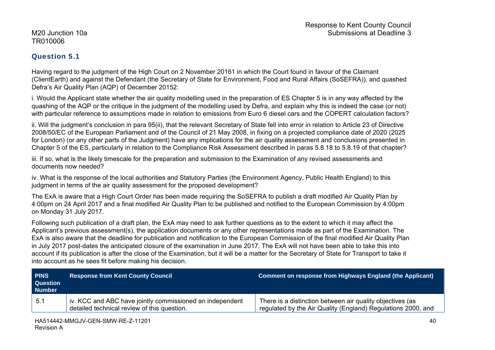### Question 5.1

Having regard to the judgment of the High Court on 2 November 20161 in which the Court found in favour of the Claimant (ClientEarth) and against the Defendant (the Secretary of State for Environment, Food and Rural Affairs (SoSEFRA)), and quashed Defra's Air Quality Plan (AQP) of December 20152:

i. Would the Applicant state whether the air quality modelling used in the preparation of ES Chapter 5 is in any way affected by the quashing of the AQP or the critique in the judgment of the modelling used by Defra, and explain why this is indeed the case (or not) with particular reference to assumptions made in relation to emissions from Euro 6 diesel cars and the COPERT calculation factors?

ii. Will the judgment's conclusion in para 95(ii), that the relevant Secretary of State fell into error in relation to Article 23 of Directive 2008/50/EC of the European Parliament and of the Council of 21 May 2008, in fixing on a projected compliance date of 2020 (2025 for London) (or any other parts of the Judgment) have any implications for the air quality assessment and conclusions presented in Chapter 5 of the ES, particularly in relation to the Compliance Risk Assessment described in paras 5.8.18 to 5.8.19 of that chapter?

iii. If so, what is the likely timescale for the preparation and submission to the Examination of any revised assessments and documents now needed?

iv. What is the response of the local authorities and Statutory Parties (the Environment Agency, Public Health England) to this judgment in terms of the air quality assessment for the proposed development?

The ExA is aware that a High Court Order has been made requiring the SoSEFRA to publish a draft modified Air Quality Plan by 4:00pm on 24 April 2017 and a final modified Air Quality Plan to be published and notified to the European Commission by 4:00pm on Monday 31 July 2017.

Following such publication of a draft plan, the ExA may need to ask further questions as to the extent to which it may affect the Applicant's previous assessment(s), the application documents or any other representations made as part of the Examination. The ExA is also aware that the deadline for publication and notification to the European Commission of the final modified Air Quality Plan in July 2017 post-dates the anticipated closure of the examination in June 2017. The ExA will not have been able to take this into account if its publication is after the close of the Examination, but it will be a matter for the Secretary of State for Transport to take it into account as he sees fit before making his decision.

| <b>PINS</b><br><b>Question</b><br><b>Number</b> | <b>Response from Kent County Council</b>                                                                | Comment on response from Highways England (the Applicant)                                                                 |
|-------------------------------------------------|---------------------------------------------------------------------------------------------------------|---------------------------------------------------------------------------------------------------------------------------|
| $-5.1$                                          | iv. KCC and ABC have jointly commissioned an independent<br>detailed technical review of this question. | There is a distinction between air quality objectives (as<br>regulated by the Air Quality (England) Regulations 2000, and |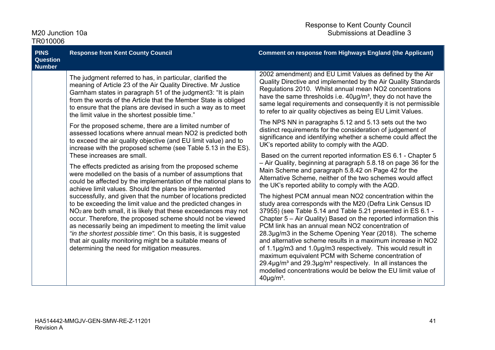| M20 Junction 10a<br>TR010006                                                                                                                                                                                                                                                                                                                                                                                                                                                                                                                                                                                                                                                                                                                                                                                                                                                                                                                                                                                                                                                   |                                                                                                                                                                                                                                                                                                                                                                                     | <b>Response to Kent County Council</b><br>Submissions at Deadline 3                                                                                                                                                                                                                                                                                                                                                                                                                                                                                                                                                                                                                                                   |
|--------------------------------------------------------------------------------------------------------------------------------------------------------------------------------------------------------------------------------------------------------------------------------------------------------------------------------------------------------------------------------------------------------------------------------------------------------------------------------------------------------------------------------------------------------------------------------------------------------------------------------------------------------------------------------------------------------------------------------------------------------------------------------------------------------------------------------------------------------------------------------------------------------------------------------------------------------------------------------------------------------------------------------------------------------------------------------|-------------------------------------------------------------------------------------------------------------------------------------------------------------------------------------------------------------------------------------------------------------------------------------------------------------------------------------------------------------------------------------|-----------------------------------------------------------------------------------------------------------------------------------------------------------------------------------------------------------------------------------------------------------------------------------------------------------------------------------------------------------------------------------------------------------------------------------------------------------------------------------------------------------------------------------------------------------------------------------------------------------------------------------------------------------------------------------------------------------------------|
| <b>PINS</b><br><b>Question</b><br><b>Number</b>                                                                                                                                                                                                                                                                                                                                                                                                                                                                                                                                                                                                                                                                                                                                                                                                                                                                                                                                                                                                                                | <b>Response from Kent County Council</b>                                                                                                                                                                                                                                                                                                                                            | <b>Comment on response from Highways England (the Applicant)</b>                                                                                                                                                                                                                                                                                                                                                                                                                                                                                                                                                                                                                                                      |
|                                                                                                                                                                                                                                                                                                                                                                                                                                                                                                                                                                                                                                                                                                                                                                                                                                                                                                                                                                                                                                                                                | The judgment referred to has, in particular, clarified the<br>meaning of Article 23 of the Air Quality Directive. Mr Justice<br>Garnham states in paragraph 51 of the judgment3: "It is plain<br>from the words of the Article that the Member State is obliged<br>to ensure that the plans are devised in such a way as to meet<br>the limit value in the shortest possible time." | 2002 amendment) and EU Limit Values as defined by the Air<br>Quality Directive and implemented by the Air Quality Standards<br>Regulations 2010. Whilst annual mean NO2 concentrations<br>have the same thresholds i.e. $40\mu g/m^3$ , they do not have the<br>same legal requirements and consequently it is not permissible<br>to refer to air quality objectives as being EU Limit Values.                                                                                                                                                                                                                                                                                                                        |
| For the proposed scheme, there are a limited number of<br>assessed locations where annual mean NO2 is predicted both<br>to exceed the air quality objective (and EU limit value) and to<br>increase with the proposed scheme (see Table 5.13 in the ES).<br>These increases are small.<br>The effects predicted as arising from the proposed scheme<br>were modelled on the basis of a number of assumptions that<br>could be affected by the implementation of the national plans to<br>achieve limit values. Should the plans be implemented<br>successfully, and given that the number of locations predicted<br>to be exceeding the limit value and the predicted changes in<br>NO <sub>2</sub> are both small, it is likely that these exceedances may not<br>occur. Therefore, the proposed scheme should not be viewed<br>as necessarily being an impediment to meeting the limit value<br>"in the shortest possible time". On this basis, it is suggested<br>that air quality monitoring might be a suitable means of<br>determining the need for mitigation measures. | The NPS NN in paragraphs 5.12 and 5.13 sets out the two<br>distinct requirements for the consideration of judgement of<br>significance and identifying whether a scheme could affect the<br>UK's reported ability to comply with the AQD.                                                                                                                                           |                                                                                                                                                                                                                                                                                                                                                                                                                                                                                                                                                                                                                                                                                                                       |
|                                                                                                                                                                                                                                                                                                                                                                                                                                                                                                                                                                                                                                                                                                                                                                                                                                                                                                                                                                                                                                                                                | Based on the current reported information ES 6.1 - Chapter 5<br>- Air Quality, beginning at paragraph 5.8.18 on page 36 for the<br>Main Scheme and paragraph 5.8.42 on Page 42 for the<br>Alternative Scheme, neither of the two schemes would affect<br>the UK's reported ability to comply with the AQD.                                                                          |                                                                                                                                                                                                                                                                                                                                                                                                                                                                                                                                                                                                                                                                                                                       |
|                                                                                                                                                                                                                                                                                                                                                                                                                                                                                                                                                                                                                                                                                                                                                                                                                                                                                                                                                                                                                                                                                |                                                                                                                                                                                                                                                                                                                                                                                     | The highest PCM annual mean NO2 concentration within the<br>study area corresponds with the M20 (Defra Link Census ID<br>37955) (see Table 5.14 and Table 5.21 presented in ES 6.1 -<br>Chapter 5 – Air Quality) Based on the reported information this<br>PCM link has an annual mean NO2 concentration of<br>28.3µg/m3 in the Scheme Opening Year (2018). The scheme<br>and alternative scheme results in a maximum increase in NO2<br>of 1.1µg/m3 and 1.0µg/m3 respectively. This would result in<br>maximum equivalent PCM with Scheme concentration of<br>$29.4\mu g/m3$ and $29.3\mu g/m3$ respectively. In all instances the<br>modelled concentrations would be below the EU limit value of<br>$40\mu g/m3$ . |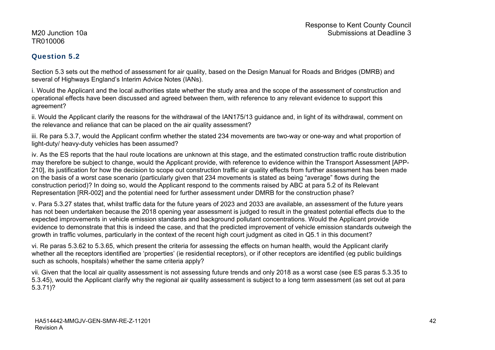### Question 5.2

Section 5.3 sets out the method of assessment for air quality, based on the Design Manual for Roads and Bridges (DMRB) and several of Highways England's Interim Advice Notes (IANs).

i. Would the Applicant and the local authorities state whether the study area and the scope of the assessment of construction and operational effects have been discussed and agreed between them, with reference to any relevant evidence to support this agreement?

ii. Would the Applicant clarify the reasons for the withdrawal of the IAN175/13 guidance and, in light of its withdrawal, comment on the relevance and reliance that can be placed on the air quality assessment?

iii. Re para 5.3.7, would the Applicant confirm whether the stated 234 movements are two-way or one-way and what proportion of light-duty/ heavy-duty vehicles has been assumed?

iv. As the ES reports that the haul route locations are unknown at this stage, and the estimated construction traffic route distribution may therefore be subject to change, would the Applicant provide, with reference to evidence within the Transport Assessment [APP-210], its justification for how the decision to scope out construction traffic air quality effects from further assessment has been made on the basis of a worst case scenario (particularly given that 234 movements is stated as being "average" flows during the construction period)? In doing so, would the Applicant respond to the comments raised by ABC at para 5.2 of its Relevant Representation [RR-002] and the potential need for further assessment under DMRB for the construction phase?

v. Para 5.3.27 states that, whilst traffic data for the future years of 2023 and 2033 are available, an assessment of the future years has not been undertaken because the 2018 opening year assessment is judged to result in the greatest potential effects due to the expected improvements in vehicle emission standards and background pollutant concentrations. Would the Applicant provide evidence to demonstrate that this is indeed the case, and that the predicted improvement of vehicle emission standards outweigh the growth in traffic volumes, particularly in the context of the recent high court judgment as cited in Q5.1 in this document?

vi. Re paras 5.3.62 to 5.3.65, which present the criteria for assessing the effects on human health, would the Applicant clarify whether all the receptors identified are 'properties' (ie residential receptors), or if other receptors are identified (eg public buildings such as schools, hospitals) whether the same criteria apply?

vii. Given that the local air quality assessment is not assessing future trends and only 2018 as a worst case (see ES paras 5.3.35 to 5.3.45), would the Applicant clarify why the regional air quality assessment is subject to a long term assessment (as set out at para 5.3.71)?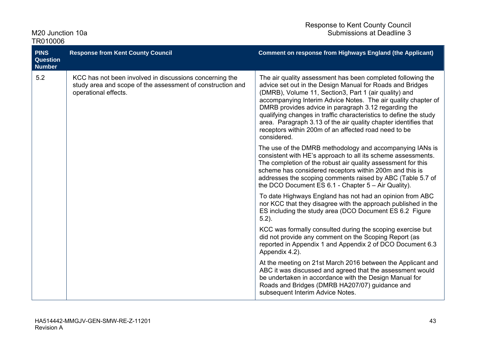| <b>PINS</b><br><b>Question</b><br><b>Number</b>                                                                                                      | <b>Response from Kent County Council</b>                                                                                                                                                                                                                                                                                                                                                                                                                                                                                  | <b>Comment on response from Highways England (the Applicant)</b>                                                                                                                                                                                                                                                                                                         |
|------------------------------------------------------------------------------------------------------------------------------------------------------|---------------------------------------------------------------------------------------------------------------------------------------------------------------------------------------------------------------------------------------------------------------------------------------------------------------------------------------------------------------------------------------------------------------------------------------------------------------------------------------------------------------------------|--------------------------------------------------------------------------------------------------------------------------------------------------------------------------------------------------------------------------------------------------------------------------------------------------------------------------------------------------------------------------|
| 5.2<br>KCC has not been involved in discussions concerning the<br>study area and scope of the assessment of construction and<br>operational effects. | The air quality assessment has been completed following the<br>advice set out in the Design Manual for Roads and Bridges<br>(DMRB), Volume 11, Section3, Part 1 (air quality) and<br>accompanying Interim Advice Notes. The air quality chapter of<br>DMRB provides advice in paragraph 3.12 regarding the<br>qualifying changes in traffic characteristics to define the study<br>area. Paragraph 3.13 of the air quality chapter identifies that<br>receptors within 200m of an affected road need to be<br>considered. |                                                                                                                                                                                                                                                                                                                                                                          |
|                                                                                                                                                      |                                                                                                                                                                                                                                                                                                                                                                                                                                                                                                                           | The use of the DMRB methodology and accompanying IANs is<br>consistent with HE's approach to all its scheme assessments.<br>The completion of the robust air quality assessment for this<br>scheme has considered receptors within 200m and this is<br>addresses the scoping comments raised by ABC (Table 5.7 of<br>the DCO Document ES 6.1 - Chapter 5 - Air Quality). |
|                                                                                                                                                      |                                                                                                                                                                                                                                                                                                                                                                                                                                                                                                                           | To date Highways England has not had an opinion from ABC<br>nor KCC that they disagree with the approach published in the<br>ES including the study area (DCO Document ES 6.2 Figure<br>$5.2$ ).                                                                                                                                                                         |
|                                                                                                                                                      |                                                                                                                                                                                                                                                                                                                                                                                                                                                                                                                           | KCC was formally consulted during the scoping exercise but<br>did not provide any comment on the Scoping Report (as<br>reported in Appendix 1 and Appendix 2 of DCO Document 6.3<br>Appendix 4.2).                                                                                                                                                                       |
|                                                                                                                                                      |                                                                                                                                                                                                                                                                                                                                                                                                                                                                                                                           | At the meeting on 21st March 2016 between the Applicant and<br>ABC it was discussed and agreed that the assessment would<br>be undertaken in accordance with the Design Manual for<br>Roads and Bridges (DMRB HA207/07) guidance and<br>subsequent Interim Advice Notes.                                                                                                 |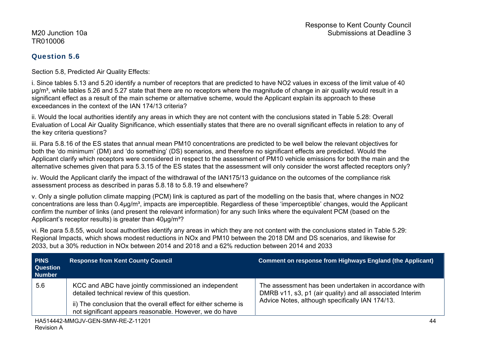### Question 5.6

Section 5.8, Predicted Air Quality Effects:

i. Since tables 5.13 and 5.20 identify a number of receptors that are predicted to have NO2 values in excess of the limit value of 40  $\mu$ g/m<sup>3</sup>, while tables 5.26 and 5.27 state that there are no receptors where the magnitude of change in air quality would result in a significant effect as a result of the main scheme or alternative scheme, would the Applicant explain its approach to these exceedances in the context of the IAN 174/13 criteria?

ii. Would the local authorities identify any areas in which they are not content with the conclusions stated in Table 5.28: Overall Evaluation of Local Air Quality Significance, which essentially states that there are no overall significant effects in relation to any of the key criteria questions?

iii. Para 5.8.16 of the ES states that annual mean PM10 concentrations are predicted to be well below the relevant objectives for both the 'do minimum' (DM) and 'do something' (DS) scenarios, and therefore no significant effects are predicted. Would the Applicant clarify which receptors were considered in respect to the assessment of PM10 vehicle emissions for both the main and the alternative schemes given that para 5.3.15 of the ES states that the assessment will only consider the worst affected receptors only?

iv. Would the Applicant clarify the impact of the withdrawal of the IAN175/13 guidance on the outcomes of the compliance risk assessment process as described in paras 5.8.18 to 5.8.19 and elsewhere?

v. Only a single pollution climate mapping (PCM) link is captured as part of the modelling on the basis that, where changes in NO2 concentrations are less than 0.4ug/m<sup>3</sup>, impacts are imperceptible. Regardless of these 'imperceptible' changes, would the Applicant confirm the number of links (and present the relevant information) for any such links where the equivalent PCM (based on the Applicant's receptor results) is greater than 40µg/m<sup>3</sup>?

vi. Re para 5.8.55, would local authorities identify any areas in which they are not content with the conclusions stated in Table 5.29: Regional Impacts, which shows modest reductions in NOx and PM10 between the 2018 DM and DS scenarios, and likewise for 2033, but a 30% reduction in NOx between 2014 and 2018 and a 62% reduction between 2014 and 2033

| <b>PINS</b><br><b>Question</b><br><b>Number</b> | <b>Response from Kent County Council</b>                                                                                                                                                                                          | Comment on response from Highways England (the Applicant)                                                                                                             |
|-------------------------------------------------|-----------------------------------------------------------------------------------------------------------------------------------------------------------------------------------------------------------------------------------|-----------------------------------------------------------------------------------------------------------------------------------------------------------------------|
| 5.6                                             | KCC and ABC have jointly commissioned an independent<br>detailed technical review of this question.<br>ii) The conclusion that the overall effect for either scheme is<br>not significant appears reasonable. However, we do have | The assessment has been undertaken in accordance with<br>DMRB v11, s3, p1 (air quality) and all associated Interim<br>Advice Notes, although specifically IAN 174/13. |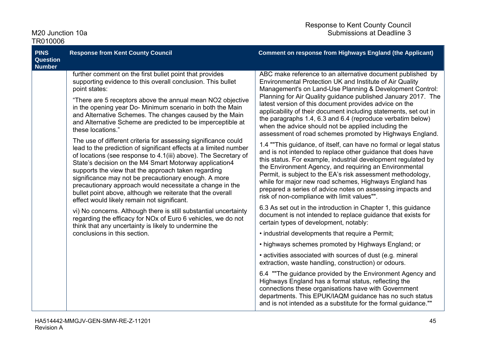| Response to Kent County Council |
|---------------------------------|
| Submissions at Deadline 3       |

M20 Junction 10a TR010006

| <b>PINS</b><br><b>Question</b><br><b>Number</b> | <b>Response from Kent County Council</b>                                                                                                                                                                                                                                                                                                                                                                                                                                                                                                                                                                                                                                                                                                                                                                                                                                                                                                                                                                                                                                                                                                                                                                              | <b>Comment on response from Highways England (the Applicant)</b>                                                                                                                                                                                                                                                                                                                                                                                                                                                                                                                                                                                                                                                                                                                                                                                                                                                                                                                                                                                                                                                                                                                                                                                                                                                                                                                                                                                                                                                                                                                                                                                                                                                                                                                                |
|-------------------------------------------------|-----------------------------------------------------------------------------------------------------------------------------------------------------------------------------------------------------------------------------------------------------------------------------------------------------------------------------------------------------------------------------------------------------------------------------------------------------------------------------------------------------------------------------------------------------------------------------------------------------------------------------------------------------------------------------------------------------------------------------------------------------------------------------------------------------------------------------------------------------------------------------------------------------------------------------------------------------------------------------------------------------------------------------------------------------------------------------------------------------------------------------------------------------------------------------------------------------------------------|-------------------------------------------------------------------------------------------------------------------------------------------------------------------------------------------------------------------------------------------------------------------------------------------------------------------------------------------------------------------------------------------------------------------------------------------------------------------------------------------------------------------------------------------------------------------------------------------------------------------------------------------------------------------------------------------------------------------------------------------------------------------------------------------------------------------------------------------------------------------------------------------------------------------------------------------------------------------------------------------------------------------------------------------------------------------------------------------------------------------------------------------------------------------------------------------------------------------------------------------------------------------------------------------------------------------------------------------------------------------------------------------------------------------------------------------------------------------------------------------------------------------------------------------------------------------------------------------------------------------------------------------------------------------------------------------------------------------------------------------------------------------------------------------------|
|                                                 | further comment on the first bullet point that provides<br>supporting evidence to this overall conclusion. This bullet<br>point states:<br>"There are 5 receptors above the annual mean NO2 objective<br>in the opening year Do-Minimum scenario in both the Main<br>and Alternative Schemes. The changes caused by the Main<br>and Alternative Scheme are predicted to be imperceptible at<br>these locations."<br>The use of different criteria for assessing significance could<br>lead to the prediction of significant effects at a limited number<br>of locations (see response to 4.1(iii) above). The Secretary of<br>State's decision on the M4 Smart Motorway application4<br>supports the view that the approach taken regarding<br>significance may not be precautionary enough. A more<br>precautionary approach would necessitate a change in the<br>bullet point above, although we reiterate that the overall<br>effect would likely remain not significant.<br>vi) No concerns. Although there is still substantial uncertainty<br>regarding the efficacy for NO <sub>x</sub> of Euro 6 vehicles, we do not<br>think that any uncertainty is likely to undermine the<br>conclusions in this section. | ABC make reference to an alternative document published by<br>Environmental Protection UK and Institute of Air Quality<br>Management's on Land-Use Planning & Development Control:<br>Planning for Air Quality guidance published January 2017. The<br>latest version of this document provides advice on the<br>applicability of their document including statements, set out in<br>the paragraphs 1.4, 6.3 and 6.4 (reproduce verbatim below)<br>when the advice should not be applied including the<br>assessment of road schemes promoted by Highways England.<br>1.4 ""This guidance, of itself, can have no formal or legal status<br>and is not intended to replace other guidance that does have<br>this status. For example, industrial development regulated by<br>the Environment Agency, and requiring an Environmental<br>Permit, is subject to the EA's risk assessment methodology,<br>while for major new road schemes, Highways England has<br>prepared a series of advice notes on assessing impacts and<br>risk of non-compliance with limit values"".<br>6.3 As set out in the introduction in Chapter 1, this guidance<br>document is not intended to replace guidance that exists for<br>certain types of development, notably:<br>• industrial developments that require a Permit;<br>• highways schemes promoted by Highways England; or<br>• activities associated with sources of dust (e.g. mineral<br>extraction, waste handling, construction) or odours.<br>6.4 "The guidance provided by the Environment Agency and<br>Highways England has a formal status, reflecting the<br>connections these organisations have with Government<br>departments. This EPUK/IAQM guidance has no such status<br>and is not intended as a substitute for the formal guidance."" |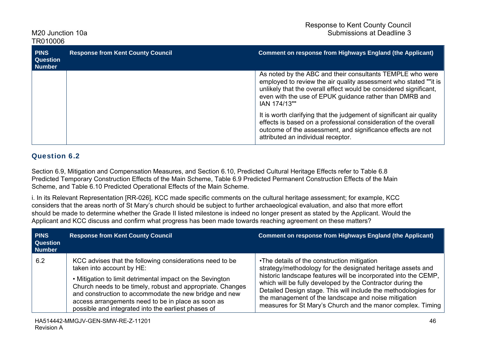| <b>PINS</b><br><b>Question</b><br><b>Number</b> | <b>Response from Kent County Council</b> | <b>Comment on response from Highways England (the Applicant)</b>                                                                                                                                                                                                              |
|-------------------------------------------------|------------------------------------------|-------------------------------------------------------------------------------------------------------------------------------------------------------------------------------------------------------------------------------------------------------------------------------|
|                                                 |                                          | As noted by the ABC and their consultants TEMPLE who were<br>employed to review the air quality assessment who stated ""it is<br>unlikely that the overall effect would be considered significant,<br>even with the use of EPUK guidance rather than DMRB and<br>IAN 174/13"" |
|                                                 |                                          | It is worth clarifying that the judgement of significant air quality<br>effects is based on a professional consideration of the overall<br>outcome of the assessment, and significance effects are not<br>attributed an individual receptor.                                  |

### Question 6.2

Section 6.9, Mitigation and Compensation Measures, and Section 6.10, Predicted Cultural Heritage Effects refer to Table 6.8 Predicted Temporary Construction Effects of the Main Scheme, Table 6.9 Predicted Permanent Construction Effects of the Main Scheme, and Table 6.10 Predicted Operational Effects of the Main Scheme.

i. In its Relevant Representation [RR-026], KCC made specific comments on the cultural heritage assessment; for example, KCC considers that the areas north of St Mary's church should be subject to further archaeological evaluation, and also that more effort should be made to determine whether the Grade II listed milestone is indeed no longer present as stated by the Applicant. Would the Applicant and KCC discuss and confirm what progress has been made towards reaching agreement on these matters?

| <b>PINS</b><br><b>Question</b><br><b>Number</b> | <b>Response from Kent County Council</b>                                                                                                                                                                                                                                                                                                                                                | <b>Comment on response from Highways England (the Applicant)</b>                                                                                                                                                                                                                                                                                                                                                                     |
|-------------------------------------------------|-----------------------------------------------------------------------------------------------------------------------------------------------------------------------------------------------------------------------------------------------------------------------------------------------------------------------------------------------------------------------------------------|--------------------------------------------------------------------------------------------------------------------------------------------------------------------------------------------------------------------------------------------------------------------------------------------------------------------------------------------------------------------------------------------------------------------------------------|
| 6.2                                             | KCC advises that the following considerations need to be<br>taken into account by HE:<br>• Mitigation to limit detrimental impact on the Sevington<br>Church needs to be timely, robust and appropriate. Changes<br>and construction to accommodate the new bridge and new<br>access arrangements need to be in place as soon as<br>possible and integrated into the earliest phases of | •The details of the construction mitigation<br>strategy/methodology for the designated heritage assets and<br>historic landscape features will be incorporated into the CEMP,<br>which will be fully developed by the Contractor during the<br>Detailed Design stage. This will include the methodologies for<br>the management of the landscape and noise mitigation<br>measures for St Mary's Church and the manor complex. Timing |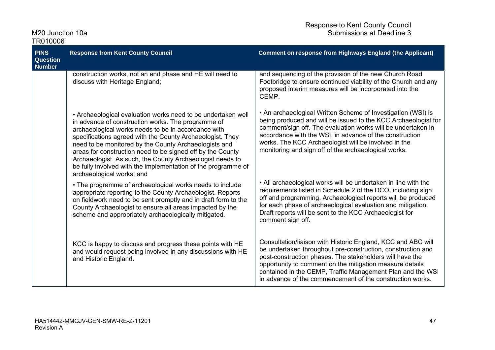| M <sub>20</sub> Junction 10a |  |
|------------------------------|--|
| TR010006                     |  |

| <b>PINS</b><br><b>Question</b><br><b>Number</b> | <b>Response from Kent County Council</b>                                                                                                                                                                                                                                                                                                                                                                                                                                                                                 | <b>Comment on response from Highways England (the Applicant)</b>                                                                                                                                                                                                                                                                                                               |
|-------------------------------------------------|--------------------------------------------------------------------------------------------------------------------------------------------------------------------------------------------------------------------------------------------------------------------------------------------------------------------------------------------------------------------------------------------------------------------------------------------------------------------------------------------------------------------------|--------------------------------------------------------------------------------------------------------------------------------------------------------------------------------------------------------------------------------------------------------------------------------------------------------------------------------------------------------------------------------|
|                                                 | construction works, not an end phase and HE will need to<br>discuss with Heritage England;                                                                                                                                                                                                                                                                                                                                                                                                                               | and sequencing of the provision of the new Church Road<br>Footbridge to ensure continued viability of the Church and any<br>proposed interim measures will be incorporated into the<br>CEMP.                                                                                                                                                                                   |
|                                                 | • Archaeological evaluation works need to be undertaken well<br>in advance of construction works. The programme of<br>archaeological works needs to be in accordance with<br>specifications agreed with the County Archaeologist. They<br>need to be monitored by the County Archaeologists and<br>areas for construction need to be signed off by the County<br>Archaeologist. As such, the County Archaeologist needs to<br>be fully involved with the implementation of the programme of<br>archaeological works; and | • An archaeological Written Scheme of Investigation (WSI) is<br>being produced and will be issued to the KCC Archaeologist for<br>comment/sign off. The evaluation works will be undertaken in<br>accordance with the WSI, in advance of the construction<br>works. The KCC Archaeologist will be involved in the<br>monitoring and sign off of the archaeological works.      |
|                                                 | • The programme of archaeological works needs to include<br>appropriate reporting to the County Archaeologist. Reports<br>on fieldwork need to be sent promptly and in draft form to the<br>County Archaeologist to ensure all areas impacted by the<br>scheme and appropriately archaeologically mitigated.                                                                                                                                                                                                             | • All archaeological works will be undertaken in line with the<br>requirements listed in Schedule 2 of the DCO, including sign<br>off and programming. Archaeological reports will be produced<br>for each phase of archaeological evaluation and mitigation.<br>Draft reports will be sent to the KCC Archaeologist for<br>comment sign off.                                  |
|                                                 | KCC is happy to discuss and progress these points with HE<br>and would request being involved in any discussions with HE<br>and Historic England.                                                                                                                                                                                                                                                                                                                                                                        | Consultation/liaison with Historic England, KCC and ABC will<br>be undertaken throughout pre-construction, construction and<br>post-construction phases. The stakeholders will have the<br>opportunity to comment on the mitigation measure details<br>contained in the CEMP, Traffic Management Plan and the WSI<br>in advance of the commencement of the construction works. |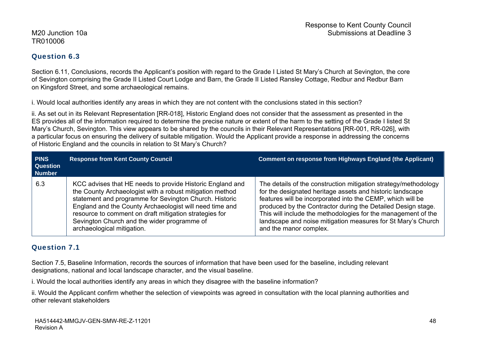### Question 6.3

Section 6.11, Conclusions, records the Applicant's position with regard to the Grade I Listed St Mary's Church at Sevington, the core of Sevington comprising the Grade II Listed Court Lodge and Barn, the Grade II Listed Ransley Cottage, Redbur and Redbur Barn on Kingsford Street, and some archaeological remains.

i. Would local authorities identify any areas in which they are not content with the conclusions stated in this section?

ii. As set out in its Relevant Representation [RR-018], Historic England does not consider that the assessment as presented in the ES provides all of the information required to determine the precise nature or extent of the harm to the setting of the Grade I listed St Mary's Church, Sevington. This view appears to be shared by the councils in their Relevant Representations [RR-001, RR-026], with a particular focus on ensuring the delivery of suitable mitigation. Would the Applicant provide a response in addressing the concerns of Historic England and the councils in relation to St Mary's Church?

| <b>PINS</b><br><b>Question</b><br><b>Number</b> | <b>Response from Kent County Council</b>                                                                                                                                                                                                                                                                                                                                          | <b>Comment on response from Highways England (the Applicant)</b>                                                                                                                                                                                                                                                                                                                                                      |
|-------------------------------------------------|-----------------------------------------------------------------------------------------------------------------------------------------------------------------------------------------------------------------------------------------------------------------------------------------------------------------------------------------------------------------------------------|-----------------------------------------------------------------------------------------------------------------------------------------------------------------------------------------------------------------------------------------------------------------------------------------------------------------------------------------------------------------------------------------------------------------------|
| 6.3                                             | KCC advises that HE needs to provide Historic England and<br>the County Archaeologist with a robust mitigation method<br>statement and programme for Sevington Church. Historic<br>England and the County Archaeologist will need time and<br>resource to comment on draft mitigation strategies for<br>Sevington Church and the wider programme of<br>archaeological mitigation. | The details of the construction mitigation strategy/methodology<br>for the designated heritage assets and historic landscape<br>features will be incorporated into the CEMP, which will be<br>produced by the Contractor during the Detailed Design stage.<br>This will include the methodologies for the management of the<br>landscape and noise mitigation measures for St Mary's Church<br>and the manor complex. |

### Question 7.1

Section 7.5, Baseline Information, records the sources of information that have been used for the baseline, including relevant designations, national and local landscape character, and the visual baseline.

i. Would the local authorities identify any areas in which they disagree with the baseline information?

ii. Would the Applicant confirm whether the selection of viewpoints was agreed in consultation with the local planning authorities and other relevant stakeholders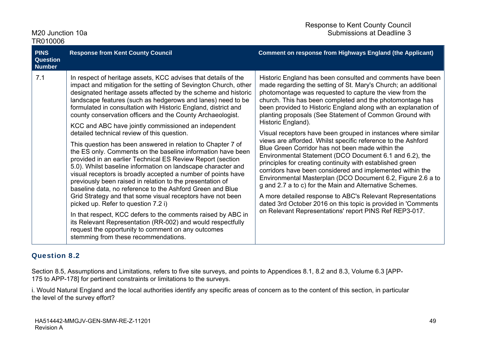| M <sub>20</sub> Junction 10a |  |
|------------------------------|--|
| TR010006                     |  |

| <b>PINS</b><br><b>Question</b><br><b>Number</b> | <b>Response from Kent County Council</b>                                                                                                                                                                                                                                                                                                                                                                                                                                                                                                                                                                                                                                                                                                                                                                                                                                                                                                                                                                                                                                                                                                                                                                                                                                                           | <b>Comment on response from Highways England (the Applicant)</b>                                                                                                                                                                                                                                                                                                                                                                                                                                                                                                                                                                                                                                                                                                                                                                                                                                                                                                                                                                                                                                    |
|-------------------------------------------------|----------------------------------------------------------------------------------------------------------------------------------------------------------------------------------------------------------------------------------------------------------------------------------------------------------------------------------------------------------------------------------------------------------------------------------------------------------------------------------------------------------------------------------------------------------------------------------------------------------------------------------------------------------------------------------------------------------------------------------------------------------------------------------------------------------------------------------------------------------------------------------------------------------------------------------------------------------------------------------------------------------------------------------------------------------------------------------------------------------------------------------------------------------------------------------------------------------------------------------------------------------------------------------------------------|-----------------------------------------------------------------------------------------------------------------------------------------------------------------------------------------------------------------------------------------------------------------------------------------------------------------------------------------------------------------------------------------------------------------------------------------------------------------------------------------------------------------------------------------------------------------------------------------------------------------------------------------------------------------------------------------------------------------------------------------------------------------------------------------------------------------------------------------------------------------------------------------------------------------------------------------------------------------------------------------------------------------------------------------------------------------------------------------------------|
| 7.1                                             | In respect of heritage assets, KCC advises that details of the<br>impact and mitigation for the setting of Sevington Church, other<br>designated heritage assets affected by the scheme and historic<br>landscape features (such as hedgerows and lanes) need to be<br>formulated in consultation with Historic England, district and<br>county conservation officers and the County Archaeologist.<br>KCC and ABC have jointly commissioned an independent<br>detailed technical review of this question.<br>This question has been answered in relation to Chapter 7 of<br>the ES only. Comments on the baseline information have been<br>provided in an earlier Technical ES Review Report (section<br>5.0). Whilst baseline information on landscape character and<br>visual receptors is broadly accepted a number of points have<br>previously been raised in relation to the presentation of<br>baseline data, no reference to the Ashford Green and Blue<br>Grid Strategy and that some visual receptors have not been<br>picked up. Refer to question 7.2 i)<br>In that respect, KCC defers to the comments raised by ABC in<br>its Relevant Representation (RR-002) and would respectfully<br>request the opportunity to comment on any outcomes<br>stemming from these recommendations. | Historic England has been consulted and comments have been<br>made regarding the setting of St. Mary's Church; an additional<br>photomontage was requested to capture the view from the<br>church. This has been completed and the photomontage has<br>been provided to Historic England along with an explanation of<br>planting proposals (See Statement of Common Ground with<br>Historic England).<br>Visual receptors have been grouped in instances where similar<br>views are afforded. Whilst specific reference to the Ashford<br>Blue Green Corridor has not been made within the<br>Environmental Statement (DCO Document 6.1 and 6.2), the<br>principles for creating continuity with established green<br>corridors have been considered and implemented within the<br>Environmental Masterplan (DCO Document 6.2, Figure 2.6 a to<br>g and 2.7 a to c) for the Main and Alternative Schemes.<br>A more detailed response to ABC's Relevant Representations<br>dated 3rd October 2016 on this topic is provided in 'Comments<br>on Relevant Representations' report PINS Ref REP3-017. |

### Question 8.2

Section 8.5, Assumptions and Limitations, refers to five site surveys, and points to Appendices 8.1, 8.2 and 8.3, Volume 6.3 [APP-175 to APP-178] for pertinent constraints or limitations to the surveys.

i. Would Natural England and the local authorities identify any specific areas of concern as to the content of this section, in particular the level of the survey effort?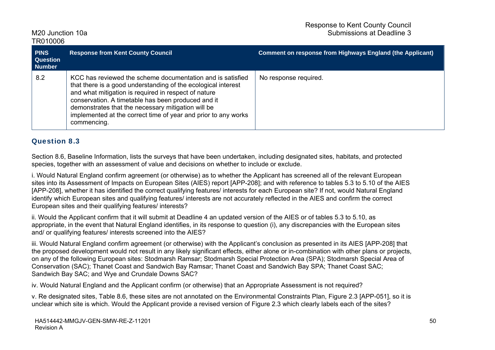| <b>PINS</b><br><b>Question</b><br><b>Number</b> | <b>Response from Kent County Council</b>                                                                                                                                                                                                                                                                                                                                         | <b>Comment on response from Highways England (the Applicant)</b> |
|-------------------------------------------------|----------------------------------------------------------------------------------------------------------------------------------------------------------------------------------------------------------------------------------------------------------------------------------------------------------------------------------------------------------------------------------|------------------------------------------------------------------|
| 8.2                                             | KCC has reviewed the scheme documentation and is satisfied<br>that there is a good understanding of the ecological interest<br>and what mitigation is required in respect of nature<br>conservation. A timetable has been produced and it<br>demonstrates that the necessary mitigation will be<br>implemented at the correct time of year and prior to any works<br>commencing. | No response required.                                            |

### Question 8.3

Section 8.6, Baseline Information, lists the surveys that have been undertaken, including designated sites, habitats, and protected species, together with an assessment of value and decisions on whether to include or exclude.

i. Would Natural England confirm agreement (or otherwise) as to whether the Applicant has screened all of the relevant European sites into its Assessment of Impacts on European Sites (AIES) report [APP-208]; and with reference to tables 5.3 to 5.10 of the AIES [APP-208], whether it has identified the correct qualifying features/ interests for each European site? If not, would Natural England identify which European sites and qualifying features/ interests are not accurately reflected in the AIES and confirm the correct European sites and their qualifying features/ interests?

ii. Would the Applicant confirm that it will submit at Deadline 4 an updated version of the AIES or of tables 5.3 to 5.10, as appropriate, in the event that Natural England identifies, in its response to question (i), any discrepancies with the European sites and/ or qualifying features/ interests screened into the AIES?

iii. Would Natural England confirm agreement (or otherwise) with the Applicant's conclusion as presented in its AIES [APP-208] that the proposed development would not result in any likely significant effects, either alone or in-combination with other plans or projects, on any of the following European sites: Stodmarsh Ramsar; Stodmarsh Special Protection Area (SPA); Stodmarsh Special Area of Conservation (SAC); Thanet Coast and Sandwich Bay Ramsar; Thanet Coast and Sandwich Bay SPA; Thanet Coast SAC; Sandwich Bay SAC; and Wye and Crundale Downs SAC?

iv. Would Natural England and the Applicant confirm (or otherwise) that an Appropriate Assessment is not required?

v. Re designated sites, Table 8.6, these sites are not annotated on the Environmental Constraints Plan, Figure 2.3 [APP-051], so it is unclear which site is which. Would the Applicant provide a revised version of Figure 2.3 which clearly labels each of the sites?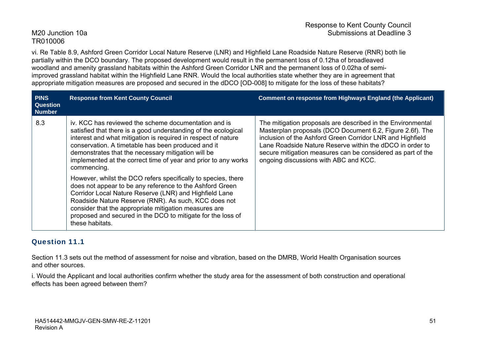vi. Re Table 8.9, Ashford Green Corridor Local Nature Reserve (LNR) and Highfield Lane Roadside Nature Reserve (RNR) both lie partially within the DCO boundary. The proposed development would result in the permanent loss of 0.12ha of broadleaved woodland and amenity grassland habitats within the Ashford Green Corridor LNR and the permanent loss of 0.02ha of semiimproved grassland habitat within the Highfield Lane RNR. Would the local authorities state whether they are in agreement that appropriate mitigation measures are proposed and secured in the dDCO [OD-008] to mitigate for the loss of these habitats?

| <b>PINS</b><br><b>Question</b><br><b>Number</b> | <b>Response from Kent County Council</b>                                                                                                                                                                                                                                                                                                                                                                                                                                                                                                                                                                                                                                                                                                                    | <b>Comment on response from Highways England (the Applicant)</b>                                                                                                                                                                                                                                                                                          |
|-------------------------------------------------|-------------------------------------------------------------------------------------------------------------------------------------------------------------------------------------------------------------------------------------------------------------------------------------------------------------------------------------------------------------------------------------------------------------------------------------------------------------------------------------------------------------------------------------------------------------------------------------------------------------------------------------------------------------------------------------------------------------------------------------------------------------|-----------------------------------------------------------------------------------------------------------------------------------------------------------------------------------------------------------------------------------------------------------------------------------------------------------------------------------------------------------|
| 8.3                                             | iv. KCC has reviewed the scheme documentation and is<br>satisfied that there is a good understanding of the ecological<br>interest and what mitigation is required in respect of nature<br>conservation. A timetable has been produced and it<br>demonstrates that the necessary mitigation will be<br>implemented at the correct time of year and prior to any works<br>commencing.<br>However, whilst the DCO refers specifically to species, there<br>does not appear to be any reference to the Ashford Green<br>Corridor Local Nature Reserve (LNR) and Highfield Lane<br>Roadside Nature Reserve (RNR). As such, KCC does not<br>consider that the appropriate mitigation measures are<br>proposed and secured in the DCO to mitigate for the loss of | The mitigation proposals are described in the Environmental<br>Masterplan proposals (DCO Document 6.2, Figure 2.6f). The<br>inclusion of the Ashford Green Corridor LNR and Highfield<br>Lane Roadside Nature Reserve within the dDCO in order to<br>secure mitigation measures can be considered as part of the<br>ongoing discussions with ABC and KCC. |
|                                                 | these habitats.                                                                                                                                                                                                                                                                                                                                                                                                                                                                                                                                                                                                                                                                                                                                             |                                                                                                                                                                                                                                                                                                                                                           |

### Question 11.1

Section 11.3 sets out the method of assessment for noise and vibration, based on the DMRB, World Health Organisation sources and other sources.

i. Would the Applicant and local authorities confirm whether the study area for the assessment of both construction and operational effects has been agreed between them?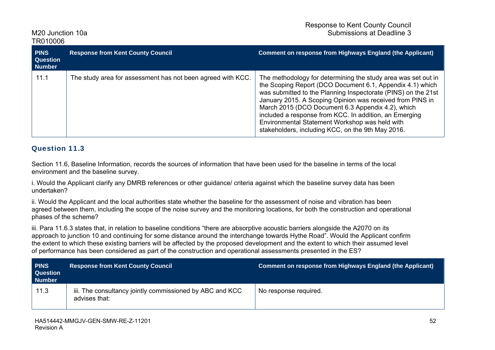| <b>PINS</b><br><b>Question</b><br><b>Number</b> | <b>Response from Kent County Council</b>                    | <b>Comment on response from Highways England (the Applicant)</b>                                                                                                                                                                                                                                                                                                                                                                                                               |
|-------------------------------------------------|-------------------------------------------------------------|--------------------------------------------------------------------------------------------------------------------------------------------------------------------------------------------------------------------------------------------------------------------------------------------------------------------------------------------------------------------------------------------------------------------------------------------------------------------------------|
| 11.1                                            | The study area for assessment has not been agreed with KCC. | The methodology for determining the study area was set out in<br>the Scoping Report (DCO Document 6.1, Appendix 4.1) which<br>was submitted to the Planning Inspectorate (PINS) on the 21st<br>January 2015. A Scoping Opinion was received from PINS in<br>March 2015 (DCO Document 6.3 Appendix 4.2), which<br>included a response from KCC. In addition, an Emerging<br>Environmental Statement Workshop was held with<br>stakeholders, including KCC, on the 9th May 2016. |

### Question 11.3

Section 11.6, Baseline Information, records the sources of information that have been used for the baseline in terms of the local environment and the baseline survey.

i. Would the Applicant clarify any DMRB references or other guidance/ criteria against which the baseline survey data has been undertaken?

ii. Would the Applicant and the local authorities state whether the baseline for the assessment of noise and vibration has been agreed between them, including the scope of the noise survey and the monitoring locations, for both the construction and operational phases of the scheme?

iii. Para 11.6.3 states that, in relation to baseline conditions "there are absorptive acoustic barriers alongside the A2070 on its approach to junction 10 and continuing for some distance around the interchange towards Hythe Road". Would the Applicant confirm the extent to which these existing barriers will be affected by the proposed development and the extent to which their assumed level of performance has been considered as part of the construction and operational assessments presented in the ES?

| <b>PINS</b><br><b>Question</b><br><b>Number</b> | <b>Response from Kent County Council</b>                                  | Comment on response from Highways England (the Applicant) |
|-------------------------------------------------|---------------------------------------------------------------------------|-----------------------------------------------------------|
| 11.3                                            | iii. The consultancy jointly commissioned by ABC and KCC<br>advises that: | No response required.                                     |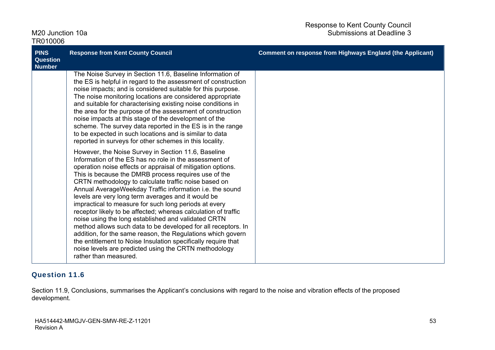| M <sub>20</sub> Junction 10a<br>TR010006                                                                                                                                                                                                                                                                                                                                                                                                                                                                                                                                                                                                                                                                                                                                                                                                                                                                                                                                                                                                                                                                                                                                                                                                                                                                                                                                                                                                                                                                                 | Submissions at Deadline 3                                        |
|--------------------------------------------------------------------------------------------------------------------------------------------------------------------------------------------------------------------------------------------------------------------------------------------------------------------------------------------------------------------------------------------------------------------------------------------------------------------------------------------------------------------------------------------------------------------------------------------------------------------------------------------------------------------------------------------------------------------------------------------------------------------------------------------------------------------------------------------------------------------------------------------------------------------------------------------------------------------------------------------------------------------------------------------------------------------------------------------------------------------------------------------------------------------------------------------------------------------------------------------------------------------------------------------------------------------------------------------------------------------------------------------------------------------------------------------------------------------------------------------------------------------------|------------------------------------------------------------------|
| <b>PINS</b><br><b>Response from Kent County Council</b><br><b>Question</b><br><b>Number</b>                                                                                                                                                                                                                                                                                                                                                                                                                                                                                                                                                                                                                                                                                                                                                                                                                                                                                                                                                                                                                                                                                                                                                                                                                                                                                                                                                                                                                              | <b>Comment on response from Highways England (the Applicant)</b> |
| The Noise Survey in Section 11.6, Baseline Information of<br>the ES is helpful in regard to the assessment of construction<br>noise impacts; and is considered suitable for this purpose.<br>The noise monitoring locations are considered appropriate<br>and suitable for characterising existing noise conditions in<br>the area for the purpose of the assessment of construction<br>noise impacts at this stage of the development of the<br>scheme. The survey data reported in the ES is in the range<br>to be expected in such locations and is similar to data<br>reported in surveys for other schemes in this locality.<br>However, the Noise Survey in Section 11.6, Baseline<br>Information of the ES has no role in the assessment of<br>operation noise effects or appraisal of mitigation options.<br>This is because the DMRB process requires use of the<br>CRTN methodology to calculate traffic noise based on<br>Annual AverageWeekday Traffic information i.e. the sound<br>levels are very long term averages and it would be<br>impractical to measure for such long periods at every<br>receptor likely to be affected; whereas calculation of traffic<br>noise using the long established and validated CRTN<br>method allows such data to be developed for all receptors. In<br>addition, for the same reason, the Regulations which govern<br>the entitlement to Noise Insulation specifically require that<br>noise levels are predicted using the CRTN methodology<br>rather than measured. |                                                                  |

### Question 11.6

Section 11.9, Conclusions, summarises the Applicant's conclusions with regard to the noise and vibration effects of the proposed development.

Response to Kent County Council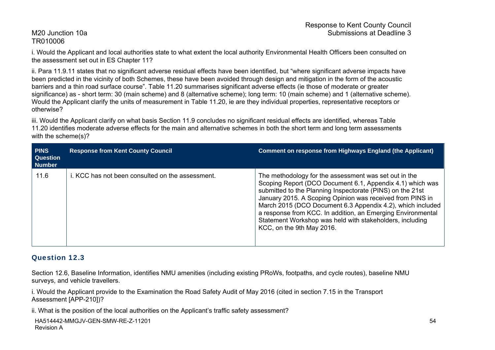i. Would the Applicant and local authorities state to what extent the local authority Environmental Health Officers been consulted on the assessment set out in ES Chapter 11?

ii. Para 11.9.11 states that no significant adverse residual effects have been identified, but "where significant adverse impacts have been predicted in the vicinity of both Schemes, these have been avoided through design and mitigation in the form of the acoustic barriers and a thin road surface course". Table 11.20 summarises significant adverse effects (ie those of moderate or greater significance) as - short term: 30 (main scheme) and 8 (alternative scheme); long term: 10 (main scheme) and 1 (alternative scheme). Would the Applicant clarify the units of measurement in Table 11.20, ie are they individual properties, representative receptors or otherwise?

iii. Would the Applicant clarify on what basis Section 11.9 concludes no significant residual effects are identified, whereas Table 11.20 identifies moderate adverse effects for the main and alternative schemes in both the short term and long term assessments with the scheme(s)?

| <b>PINS</b><br><b>Question</b><br><b>Number</b> | <b>Response from Kent County Council</b>         | <b>Comment on response from Highways England (the Applicant)</b>                                                                                                                                                                                                                                                                                                                                                                                                   |
|-------------------------------------------------|--------------------------------------------------|--------------------------------------------------------------------------------------------------------------------------------------------------------------------------------------------------------------------------------------------------------------------------------------------------------------------------------------------------------------------------------------------------------------------------------------------------------------------|
| 11.6                                            | i. KCC has not been consulted on the assessment. | The methodology for the assessment was set out in the<br>Scoping Report (DCO Document 6.1, Appendix 4.1) which was<br>submitted to the Planning Inspectorate (PINS) on the 21st<br>January 2015. A Scoping Opinion was received from PINS in<br>March 2015 (DCO Document 6.3 Appendix 4.2), which included<br>a response from KCC. In addition, an Emerging Environmental<br>Statement Workshop was held with stakeholders, including<br>KCC, on the 9th May 2016. |

### Question 12.3

Section 12.6, Baseline Information, identifies NMU amenities (including existing PRoWs, footpaths, and cycle routes), baseline NMU surveys, and vehicle travellers.

i. Would the Applicant provide to the Examination the Road Safety Audit of May 2016 (cited in section 7.15 in the Transport Assessment [APP-210])?

ii. What is the position of the local authorities on the Applicant's traffic safety assessment?

```
HA514442-MMGJV-GEN-SMW-RE-Z-11201 
Revision A
```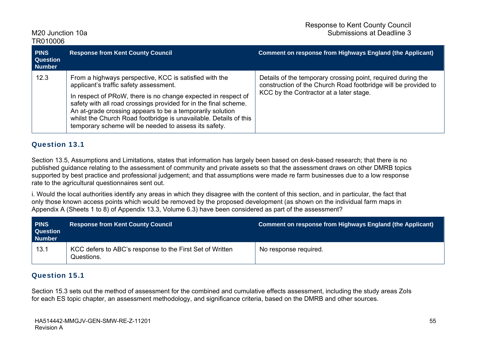| <b>PINS</b><br><b>Question</b><br><b>Number</b> | <b>Response from Kent County Council</b>                                                                                                                                                                                                                                                                                                                                                                                         | <b>Comment on response from Highways England (the Applicant)</b>                                                                                                          |
|-------------------------------------------------|----------------------------------------------------------------------------------------------------------------------------------------------------------------------------------------------------------------------------------------------------------------------------------------------------------------------------------------------------------------------------------------------------------------------------------|---------------------------------------------------------------------------------------------------------------------------------------------------------------------------|
| 12.3                                            | From a highways perspective, KCC is satisfied with the<br>applicant's traffic safety assessment.<br>In respect of PRoW, there is no change expected in respect of<br>safety with all road crossings provided for in the final scheme.<br>An at-grade crossing appears to be a temporarily solution<br>whilst the Church Road footbridge is unavailable. Details of this<br>temporary scheme will be needed to assess its safety. | Details of the temporary crossing point, required during the<br>construction of the Church Road footbridge will be provided to<br>KCC by the Contractor at a later stage. |

#### Question 13.1

Section 13.5, Assumptions and Limitations, states that information has largely been based on desk-based research; that there is no published guidance relating to the assessment of community and private assets so that the assessment draws on other DMRB topics supported by best practice and professional judgement; and that assumptions were made re farm businesses due to a low response rate to the agricultural questionnaires sent out.

i. Would the local authorities identify any areas in which they disagree with the content of this section, and in particular, the fact that only those known access points which would be removed by the proposed development (as shown on the individual farm maps in Appendix A (Sheets 1 to 8) of Appendix 13.3, Volume 6.3) have been considered as part of the assessment?

| <b>PINS</b><br><b>Question</b><br>Number | <b>Response from Kent County Council</b>                               | Comment on response from Highways England (the Applicant) |
|------------------------------------------|------------------------------------------------------------------------|-----------------------------------------------------------|
| 13.1                                     | KCC defers to ABC's response to the First Set of Written<br>Questions. | No response required.                                     |

### Question 15.1

Section 15.3 sets out the method of assessment for the combined and cumulative effects assessment, including the study areas ZoIs for each ES topic chapter, an assessment methodology, and significance criteria, based on the DMRB and other sources.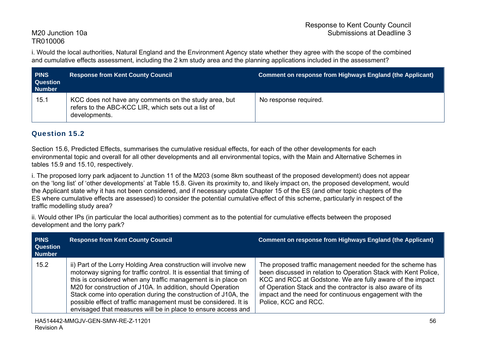i. Would the local authorities, Natural England and the Environment Agency state whether they agree with the scope of the combined and cumulative effects assessment, including the 2 km study area and the planning applications included in the assessment?

| <b>PINS</b><br><b>Question</b><br><b>Number</b> | <b>Response from Kent County Council</b>                                                                                      | <b>Comment on response from Highways England (the Applicant)</b> |
|-------------------------------------------------|-------------------------------------------------------------------------------------------------------------------------------|------------------------------------------------------------------|
| 15.1                                            | KCC does not have any comments on the study area, but<br>refers to the ABC-KCC LIR, which sets out a list of<br>developments. | No response required.                                            |

### Question 15.2

Section 15.6, Predicted Effects, summarises the cumulative residual effects, for each of the other developments for each environmental topic and overall for all other developments and all environmental topics, with the Main and Alternative Schemes in tables 15.9 and 15.10, respectively.

i. The proposed lorry park adjacent to Junction 11 of the M203 (some 8km southeast of the proposed development) does not appear on the 'long list' of 'other developments' at Table 15.8. Given its proximity to, and likely impact on, the proposed development, would the Applicant state why it has not been considered, and if necessary update Chapter 15 of the ES (and other topic chapters of the ES where cumulative effects are assessed) to consider the potential cumulative effect of this scheme, particularly in respect of the traffic modelling study area?

ii. Would other IPs (in particular the local authorities) comment as to the potential for cumulative effects between the proposed development and the lorry park?

| <b>PINS</b><br><b>Question</b><br><b>Number</b> | <b>Response from Kent County Council</b>                                                                                                                                                                                                                                                                                                                                                                                                                                       | <b>Comment on response from Highways England (the Applicant)</b>                                                                                                                                                                                                                                                                          |
|-------------------------------------------------|--------------------------------------------------------------------------------------------------------------------------------------------------------------------------------------------------------------------------------------------------------------------------------------------------------------------------------------------------------------------------------------------------------------------------------------------------------------------------------|-------------------------------------------------------------------------------------------------------------------------------------------------------------------------------------------------------------------------------------------------------------------------------------------------------------------------------------------|
| 15.2                                            | ii) Part of the Lorry Holding Area construction will involve new<br>motorway signing for traffic control. It is essential that timing of<br>this is considered when any traffic management is in place on<br>M20 for construction of J10A. In addition, should Operation<br>Stack come into operation during the construction of J10A, the<br>possible effect of traffic management must be considered. It is<br>envisaged that measures will be in place to ensure access and | The proposed traffic management needed for the scheme has<br>been discussed in relation to Operation Stack with Kent Police,<br>KCC and RCC at Godstone. We are fully aware of the impact<br>of Operation Stack and the contractor is also aware of its<br>impact and the need for continuous engagement with the<br>Police, KCC and RCC. |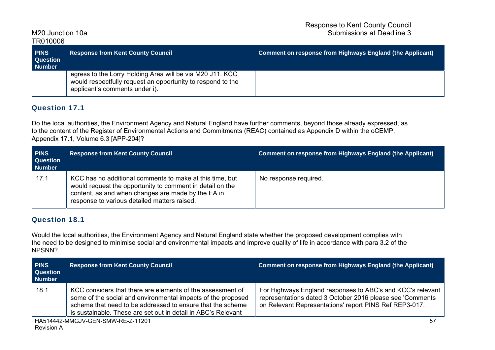| <b>PINS</b><br><b>Question</b><br>Number | <b>Response from Kent County Council</b>                                                                                                                   | Comment on response from Highways England (the Applicant) |
|------------------------------------------|------------------------------------------------------------------------------------------------------------------------------------------------------------|-----------------------------------------------------------|
|                                          | egress to the Lorry Holding Area will be via M20 J11. KCC<br>would respectfully request an opportunity to respond to the<br>applicant's comments under i). |                                                           |

### Question 17.1

Do the local authorities, the Environment Agency and Natural England have further comments, beyond those already expressed, as to the content of the Register of Environmental Actions and Commitments (REAC) contained as Appendix D within the oCEMP, Appendix 17.1, Volume 6.3 [APP-204]?

| <b>PINS</b><br><b>Question</b><br><b>Number</b> | <b>Response from Kent County Council</b>                                                                                                                                                                                    | <b>Comment on response from Highways England (the Applicant)</b> |
|-------------------------------------------------|-----------------------------------------------------------------------------------------------------------------------------------------------------------------------------------------------------------------------------|------------------------------------------------------------------|
| 17.1                                            | KCC has no additional comments to make at this time, but<br>would request the opportunity to comment in detail on the<br>content, as and when changes are made by the EA in<br>response to various detailed matters raised. | No response required.                                            |

#### Question 18.1

Would the local authorities, the Environment Agency and Natural England state whether the proposed development complies with the need to be designed to minimise social and environmental impacts and improve quality of life in accordance with para 3.2 of the NPSNN?

| <b>PINS</b><br><b>Question</b><br><b>Number</b> | <b>Response from Kent County Council</b>                                                                                                                                                                                                                  | <b>Comment on response from Highways England (the Applicant)</b>                                                                                                                  |
|-------------------------------------------------|-----------------------------------------------------------------------------------------------------------------------------------------------------------------------------------------------------------------------------------------------------------|-----------------------------------------------------------------------------------------------------------------------------------------------------------------------------------|
| 18.1                                            | KCC considers that there are elements of the assessment of<br>some of the social and environmental impacts of the proposed<br>scheme that need to be addressed to ensure that the scheme<br>is sustainable. These are set out in detail in ABC's Relevant | For Highways England responses to ABC's and KCC's relevant<br>representations dated 3 October 2016 please see 'Comments<br>on Relevant Representations' report PINS Ref REP3-017. |
|                                                 | HA514442-MMG IV-GEN-SMM-RE-7-11201                                                                                                                                                                                                                        | 57                                                                                                                                                                                |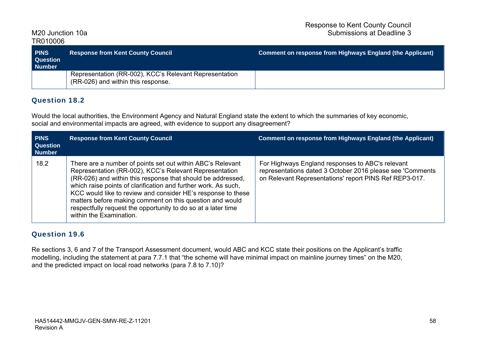| <b>PINS</b><br><b>Question</b><br><b>Number</b> | <b>Response from Kent County Council</b>                                                     | Comment on response from Highways England (the Applicant) |
|-------------------------------------------------|----------------------------------------------------------------------------------------------|-----------------------------------------------------------|
|                                                 | Representation (RR-002), KCC's Relevant Representation<br>(RR-026) and within this response. |                                                           |

### Question 18.2

Would the local authorities, the Environment Agency and Natural England state the extent to which the summaries of key economic, social and environmental impacts are agreed, with evidence to support any disagreement?

| <b>PINS</b><br><b>Question</b><br><b>Number</b> | <b>Response from Kent County Council</b>                                                                                                                                                                                                                                                                                                                                                                                                                                      | <b>Comment on response from Highways England (the Applicant)</b>                                                                                                        |
|-------------------------------------------------|-------------------------------------------------------------------------------------------------------------------------------------------------------------------------------------------------------------------------------------------------------------------------------------------------------------------------------------------------------------------------------------------------------------------------------------------------------------------------------|-------------------------------------------------------------------------------------------------------------------------------------------------------------------------|
| 18.2                                            | There are a number of points set out within ABC's Relevant<br>Representation (RR-002), KCC's Relevant Representation<br>(RR-026) and within this response that should be addressed,<br>which raise points of clarification and further work. As such,<br>KCC would like to review and consider HE's response to these<br>matters before making comment on this question and would<br>respectfully request the opportunity to do so at a later time<br>within the Examination. | For Highways England responses to ABC's relevant<br>representations dated 3 October 2016 please see 'Comments<br>on Relevant Representations' report PINS Ref REP3-017. |

### Question 19.6

Re sections 3, 6 and 7 of the Transport Assessment document, would ABC and KCC state their positions on the Applicant's traffic modelling, including the statement at para 7.7.1 that "the scheme will have minimal impact on mainline journey times" on the M20, and the predicted impact on local road networks (para 7.8 to 7.10)?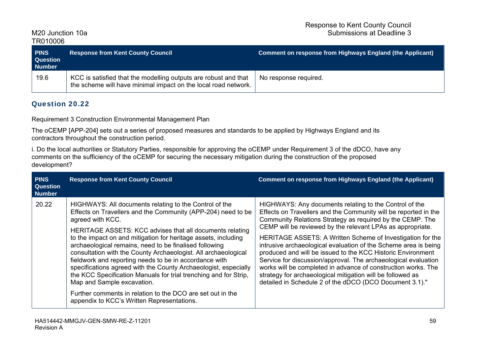Response to Kent County Council M<sub>20</sub> Junction 10a **Submissions at Deadline 3** 

TR010006

| <b>FINS</b><br><b>Question</b><br><b>Number</b> | <b>Response from Kent County Council</b>                                                                                          | Comment on response from Highways England (the Applicant) |
|-------------------------------------------------|-----------------------------------------------------------------------------------------------------------------------------------|-----------------------------------------------------------|
| 19.6                                            | KCC is satisfied that the modelling outputs are robust and that<br>the scheme will have minimal impact on the local road network. | No response required.                                     |

### Question 20.22

Requirement 3 Construction Environmental Management Plan

The oCEMP [APP-204] sets out a series of proposed measures and standards to be applied by Highways England and its contractors throughout the construction period.

i. Do the local authorities or Statutory Parties, responsible for approving the oCEMP under Requirement 3 of the dDCO, have any comments on the sufficiency of the oCEMP for securing the necessary mitigation during the construction of the proposed development?

| <b>PINS</b><br><b>Question</b><br><b>Number</b> | <b>Response from Kent County Council</b>                                                                                                                                                                                                                                                                                                                                                                                                                                                                                                                                                                                                                                                                                                        | <b>Comment on response from Highways England (the Applicant)</b>                                                                                                                                                                                                                                                                                                                                                                                                                                                                                                                                                                                                                                                 |
|-------------------------------------------------|-------------------------------------------------------------------------------------------------------------------------------------------------------------------------------------------------------------------------------------------------------------------------------------------------------------------------------------------------------------------------------------------------------------------------------------------------------------------------------------------------------------------------------------------------------------------------------------------------------------------------------------------------------------------------------------------------------------------------------------------------|------------------------------------------------------------------------------------------------------------------------------------------------------------------------------------------------------------------------------------------------------------------------------------------------------------------------------------------------------------------------------------------------------------------------------------------------------------------------------------------------------------------------------------------------------------------------------------------------------------------------------------------------------------------------------------------------------------------|
| 20.22                                           | HIGHWAYS: All documents relating to the Control of the<br>Effects on Travellers and the Community (APP-204) need to be<br>agreed with KCC.<br>HERITAGE ASSETS: KCC advises that all documents relating<br>to the impact on and mitigation for heritage assets, including<br>archaeological remains, need to be finalised following<br>consultation with the County Archaeologist. All archaeological<br>fieldwork and reporting needs to be in accordance with<br>specifications agreed with the County Archaeologist, especially<br>the KCC Specification Manuals for trial trenching and for Strip,<br>Map and Sample excavation.<br>Further comments in relation to the DCO are set out in the<br>appendix to KCC's Written Representations. | HIGHWAYS: Any documents relating to the Control of the<br>Effects on Travellers and the Community will be reported in the<br>Community Relations Strategy as required by the CEMP. The<br>CEMP will be reviewed by the relevant LPAs as appropriate.<br>HERITAGE ASSETS: A Written Scheme of Investigation for the<br>intrusive archaeological evaluation of the Scheme area is being<br>produced and will be issued to the KCC Historic Environment<br>Service for discussion/approval. The archaeological evaluation<br>works will be completed in advance of construction works. The<br>strategy for archaeological mitigation will be followed as<br>detailed in Schedule 2 of the dDCO (DCO Document 3.1)." |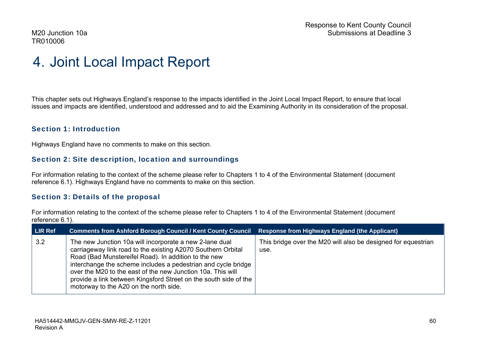### 4. Joint Local Impact Report

This chapter sets out Highways England's response to the impacts identified in the Joint Local Impact Report, to ensure that local issues and impacts are identified, understood and addressed and to aid the Examining Authority in its consideration of the proposal.

#### Section 1: Introduction

Highways England have no comments to make on this section.

#### Section 2: Site description, location and surroundings

For information relating to the context of the scheme please refer to Chapters 1 to 4 of the Environmental Statement (document reference 6.1). Highways England have no comments to make on this section.

#### Section 3: Details of the proposal

For information relating to the context of the scheme please refer to Chapters 1 to 4 of the Environmental Statement (document reference 6.1).

| <b>LIR Ref</b> | <b>Comments from Ashford Borough Council / Kent County Council</b>                                                                                                                                                                                                                                                                                                                                                            | <b>Response from Highways England (the Applicant)</b>                 |
|----------------|-------------------------------------------------------------------------------------------------------------------------------------------------------------------------------------------------------------------------------------------------------------------------------------------------------------------------------------------------------------------------------------------------------------------------------|-----------------------------------------------------------------------|
| 3.2            | The new Junction 10a will incorporate a new 2-lane dual<br>carriageway link road to the existing A2070 Southern Orbital<br>Road (Bad Munstereifel Road). In addition to the new<br>interchange the scheme includes a pedestrian and cycle bridge<br>over the M20 to the east of the new Junction 10a. This will<br>provide a link between Kingsford Street on the south side of the<br>motorway to the A20 on the north side. | This bridge over the M20 will also be designed for equestrian<br>use. |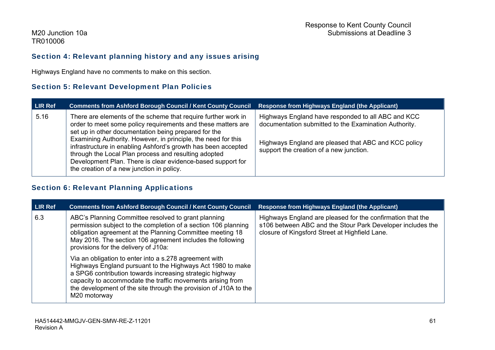### Section 4: Relevant planning history and any issues arising

Highways England have no comments to make on this section.

### Section 5: Relevant Development Plan Policies

| <b>LIR Ref</b> | Comments from Ashford Borough Council / Kent County Council Response from Highways England (the Applicant)                                                                                                                                                                                                                                                                                                                                     |                                                                                                                                                                                                                |
|----------------|------------------------------------------------------------------------------------------------------------------------------------------------------------------------------------------------------------------------------------------------------------------------------------------------------------------------------------------------------------------------------------------------------------------------------------------------|----------------------------------------------------------------------------------------------------------------------------------------------------------------------------------------------------------------|
| 5.16           | There are elements of the scheme that require further work in<br>order to meet some policy requirements and these matters are<br>set up in other documentation being prepared for the<br>Examining Authority. However, in principle, the need for this<br>infrastructure in enabling Ashford's growth has been accepted<br>through the Local Plan process and resulting adopted<br>Development Plan. There is clear evidence-based support for | Highways England have responded to all ABC and KCC<br>documentation submitted to the Examination Authority.<br>Highways England are pleased that ABC and KCC policy<br>support the creation of a new junction. |
|                | the creation of a new junction in policy.                                                                                                                                                                                                                                                                                                                                                                                                      |                                                                                                                                                                                                                |

### Section 6: Relevant Planning Applications

| LIR Ref | <b>Comments from Ashford Borough Council / Kent County Council</b>                                                                                                                                                                                                                                                                 | <b>Response from Highways England (the Applicant)</b>                                                                                                                      |
|---------|------------------------------------------------------------------------------------------------------------------------------------------------------------------------------------------------------------------------------------------------------------------------------------------------------------------------------------|----------------------------------------------------------------------------------------------------------------------------------------------------------------------------|
| 6.3     | ABC's Planning Committee resolved to grant planning<br>permission subject to the completion of a section 106 planning<br>obligation agreement at the Planning Committee meeting 18<br>May 2016. The section 106 agreement includes the following<br>provisions for the delivery of J10a:                                           | Highways England are pleased for the confirmation that the<br>s106 between ABC and the Stour Park Developer includes the<br>closure of Kingsford Street at Highfield Lane. |
|         | Via an obligation to enter into a s.278 agreement with<br>Highways England pursuant to the Highways Act 1980 to make<br>a SPG6 contribution towards increasing strategic highway<br>capacity to accommodate the traffic movements arising from<br>the development of the site through the provision of J10A to the<br>M20 motorway |                                                                                                                                                                            |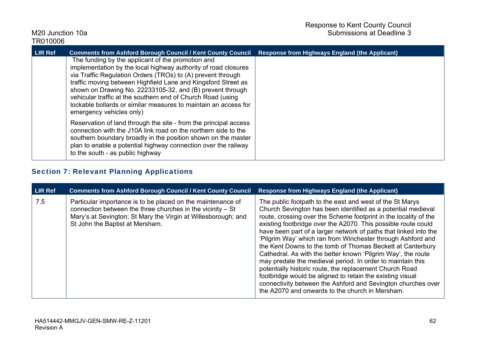| <b>LIR Ref</b> | <b>Comments from Ashford Borough Council / Kent County Council</b>                                                                                                                                                                                                                                                                                                                                                                                                             | <b>Response from Highways England (the Applicant)</b> |
|----------------|--------------------------------------------------------------------------------------------------------------------------------------------------------------------------------------------------------------------------------------------------------------------------------------------------------------------------------------------------------------------------------------------------------------------------------------------------------------------------------|-------------------------------------------------------|
|                | The funding by the applicant of the promotion and<br>implementation by the local highway authority of road closures<br>via Traffic Regulation Orders (TROs) to (A) prevent through<br>traffic moving between Highfield Lane and Kingsford Street as<br>shown on Drawing No. 22233105-32, and (B) prevent through<br>vehicular traffic at the southern end of Church Road (using<br>lockable bollards or similar measures to maintain an access for<br>emergency vehicles only) |                                                       |
|                | Reservation of land through the site - from the principal access<br>connection with the J10A link road on the northern side to the<br>southern boundary broadly in the position shown on the master<br>plan to enable a potential highway connection over the railway<br>to the south - as public highway                                                                                                                                                                      |                                                       |

### Section 7: Relevant Planning Applications

| <b>LIR Ref</b> | <b>Comments from Ashford Borough Council / Kent County Council</b>                                                                                                                                                            | <b>Response from Highways England (the Applicant)</b>                                                                                                                                                                                                                                                                                                                                                                                                                                                                                                                                                                                                                                                                                                                                                                                   |
|----------------|-------------------------------------------------------------------------------------------------------------------------------------------------------------------------------------------------------------------------------|-----------------------------------------------------------------------------------------------------------------------------------------------------------------------------------------------------------------------------------------------------------------------------------------------------------------------------------------------------------------------------------------------------------------------------------------------------------------------------------------------------------------------------------------------------------------------------------------------------------------------------------------------------------------------------------------------------------------------------------------------------------------------------------------------------------------------------------------|
| 7.5            | Particular importance is to be placed on the maintenance of<br>connection between the three churches in the vicinity - St<br>Mary's at Sevington; St Mary the Virgin at Willesborough; and<br>St John the Baptist at Mersham. | The public footpath to the east and west of the St Marys<br>Church Sevington has been identified as a potential medieval<br>route, crossing over the Scheme footprint in the locality of the<br>existing footbridge over the A2070. This possible route could<br>have been part of a larger network of paths that linked into the<br>'Pilgrim Way' which ran from Winchester through Ashford and<br>the Kent Downs to the tomb of Thomas Beckett at Canterbury<br>Cathedral. As with the better known 'Pilgrim Way', the route<br>may predate the medieval period. In order to maintain this<br>potentially historic route, the replacement Church Road<br>footbridge would be aligned to retain the existing visual<br>connectivity between the Ashford and Sevington churches over<br>the A2070 and onwards to the church in Mersham. |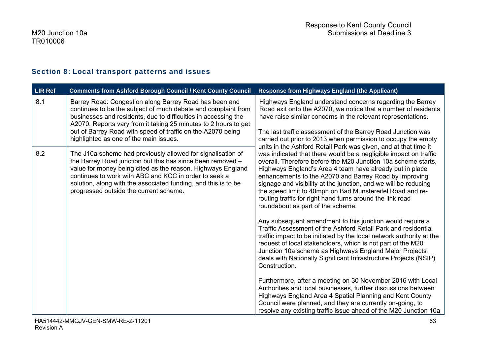### Section 8: Local transport patterns and issues

| LIR Ref | <b>Comments from Ashford Borough Council / Kent County Council</b>                                                                                                                                                                                                                                                                                                    | <b>Response from Highways England (the Applicant)</b>                                                                                                                                                                                                                                                                                                                                                                                                                                                                                                                                                                                                                                                                                                                                                                                                                                                                                                                                                                                                                                                                                                                                                                                                                                                                                                                          |
|---------|-----------------------------------------------------------------------------------------------------------------------------------------------------------------------------------------------------------------------------------------------------------------------------------------------------------------------------------------------------------------------|--------------------------------------------------------------------------------------------------------------------------------------------------------------------------------------------------------------------------------------------------------------------------------------------------------------------------------------------------------------------------------------------------------------------------------------------------------------------------------------------------------------------------------------------------------------------------------------------------------------------------------------------------------------------------------------------------------------------------------------------------------------------------------------------------------------------------------------------------------------------------------------------------------------------------------------------------------------------------------------------------------------------------------------------------------------------------------------------------------------------------------------------------------------------------------------------------------------------------------------------------------------------------------------------------------------------------------------------------------------------------------|
| 8.1     | Barrey Road: Congestion along Barrey Road has been and<br>continues to be the subject of much debate and complaint from<br>businesses and residents, due to difficulties in accessing the<br>A2070. Reports vary from it taking 25 minutes to 2 hours to get<br>out of Barrey Road with speed of traffic on the A2070 being<br>highlighted as one of the main issues. | Highways England understand concerns regarding the Barrey<br>Road exit onto the A2070, we notice that a number of residents<br>have raise similar concerns in the relevant representations.<br>The last traffic assessment of the Barrey Road Junction was<br>carried out prior to 2013 when permission to occupy the empty<br>units in the Ashford Retail Park was given, and at that time it<br>was indicated that there would be a negligible impact on traffic<br>overall. Therefore before the M20 Junction 10a scheme starts,<br>Highways England's Area 4 team have already put in place<br>enhancements to the A2070 and Barrey Road by improving<br>signage and visibility at the junction, and we will be reducing<br>the speed limit to 40mph on Bad Munstereifel Road and re-<br>routing traffic for right hand turns around the link road<br>roundabout as part of the scheme.<br>Any subsequent amendment to this junction would require a<br>Traffic Assessment of the Ashford Retail Park and residential<br>traffic impact to be initiated by the local network authority at the<br>request of local stakeholders, which is not part of the M20<br>Junction 10a scheme as Highways England Major Projects<br>deals with Nationally Significant Infrastructure Projects (NSIP)<br>Construction.<br>Furthermore, after a meeting on 30 November 2016 with Local |
| 8.2     | The J10a scheme had previously allowed for signalisation of<br>the Barrey Road junction but this has since been removed -<br>value for money being cited as the reason. Highways England<br>continues to work with ABC and KCC in order to seek a<br>solution, along with the associated funding, and this is to be<br>progressed outside the current scheme.         |                                                                                                                                                                                                                                                                                                                                                                                                                                                                                                                                                                                                                                                                                                                                                                                                                                                                                                                                                                                                                                                                                                                                                                                                                                                                                                                                                                                |
|         |                                                                                                                                                                                                                                                                                                                                                                       | Authorities and local businesses, further discussions between<br>Highways England Area 4 Spatial Planning and Kent County<br>Council were planned, and they are currently on-going, to<br>resolve any existing traffic issue ahead of the M20 Junction 10a                                                                                                                                                                                                                                                                                                                                                                                                                                                                                                                                                                                                                                                                                                                                                                                                                                                                                                                                                                                                                                                                                                                     |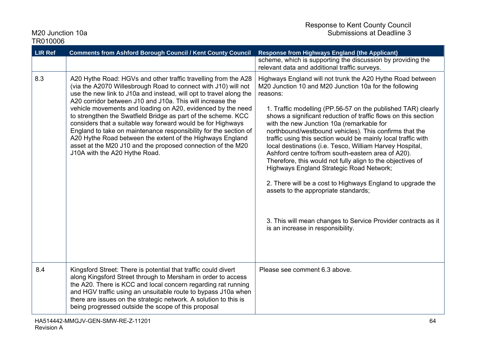| <b>LIR Ref</b> | <b>Comments from Ashford Borough Council / Kent County Council</b>                                                                                                                                                                                                                                                                                                                                                                                                                                                                                                                                                                                                                                  | <b>Response from Highways England (the Applicant)</b>                                                                                                                                                                                                                                                                                                                                                                                                                                                                                                                                                                                                                                                                                                                                                                                                                                     |
|----------------|-----------------------------------------------------------------------------------------------------------------------------------------------------------------------------------------------------------------------------------------------------------------------------------------------------------------------------------------------------------------------------------------------------------------------------------------------------------------------------------------------------------------------------------------------------------------------------------------------------------------------------------------------------------------------------------------------------|-------------------------------------------------------------------------------------------------------------------------------------------------------------------------------------------------------------------------------------------------------------------------------------------------------------------------------------------------------------------------------------------------------------------------------------------------------------------------------------------------------------------------------------------------------------------------------------------------------------------------------------------------------------------------------------------------------------------------------------------------------------------------------------------------------------------------------------------------------------------------------------------|
|                |                                                                                                                                                                                                                                                                                                                                                                                                                                                                                                                                                                                                                                                                                                     | scheme, which is supporting the discussion by providing the<br>relevant data and additional traffic surveys.                                                                                                                                                                                                                                                                                                                                                                                                                                                                                                                                                                                                                                                                                                                                                                              |
| 8.3            | A20 Hythe Road: HGVs and other traffic travelling from the A28<br>(via the A2070 Willesbrough Road to connect with J10) will not<br>use the new link to J10a and instead, will opt to travel along the<br>A20 corridor between J10 and J10a. This will increase the<br>vehicle movements and loading on A20, evidenced by the need<br>to strengthen the Swatfield Bridge as part of the scheme. KCC<br>considers that a suitable way forward would be for Highways<br>England to take on maintenance responsibility for the section of<br>A20 Hythe Road between the extent of the Highways England<br>asset at the M20 J10 and the proposed connection of the M20<br>J10A with the A20 Hythe Road. | Highways England will not trunk the A20 Hythe Road between<br>M20 Junction 10 and M20 Junction 10a for the following<br>reasons:<br>1. Traffic modelling (PP.56-57 on the published TAR) clearly<br>shows a significant reduction of traffic flows on this section<br>with the new Junction 10a (remarkable for<br>northbound/westbound vehicles). This confirms that the<br>traffic using this section would be mainly local traffic with<br>local destinations (i.e. Tesco, William Harvey Hospital,<br>Ashford centre to/from south-eastern area of A20).<br>Therefore, this would not fully align to the objectives of<br><b>Highways England Strategic Road Network;</b><br>2. There will be a cost to Highways England to upgrade the<br>assets to the appropriate standards;<br>3. This will mean changes to Service Provider contracts as it<br>is an increase in responsibility. |
| 8.4            | Kingsford Street: There is potential that traffic could divert<br>along Kingsford Street through to Mersham in order to access<br>the A20. There is KCC and local concern regarding rat running<br>and HGV traffic using an unsuitable route to bypass J10a when<br>there are issues on the strategic network. A solution to this is<br>being progressed outside the scope of this proposal                                                                                                                                                                                                                                                                                                         | Please see comment 6.3 above.                                                                                                                                                                                                                                                                                                                                                                                                                                                                                                                                                                                                                                                                                                                                                                                                                                                             |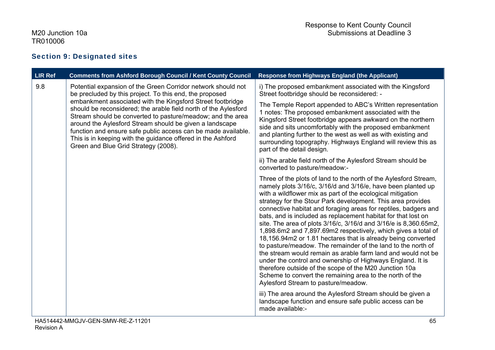### Section 9: Designated sites

| <b>LIR Ref</b> | <b>Comments from Ashford Borough Council / Kent County Council</b>                                                                                                                                                                                                                                                                                                                                                                                                                                                                                        | <b>Response from Highways England (the Applicant)</b>                                                                                                                                                                                                                                                                                                                                                                                                                                                                                                                                                                                                                                                                                                                                                                                                                                                                                                             |
|----------------|-----------------------------------------------------------------------------------------------------------------------------------------------------------------------------------------------------------------------------------------------------------------------------------------------------------------------------------------------------------------------------------------------------------------------------------------------------------------------------------------------------------------------------------------------------------|-------------------------------------------------------------------------------------------------------------------------------------------------------------------------------------------------------------------------------------------------------------------------------------------------------------------------------------------------------------------------------------------------------------------------------------------------------------------------------------------------------------------------------------------------------------------------------------------------------------------------------------------------------------------------------------------------------------------------------------------------------------------------------------------------------------------------------------------------------------------------------------------------------------------------------------------------------------------|
| 9.8            | Potential expansion of the Green Corridor network should not<br>be precluded by this project. To this end, the proposed<br>embankment associated with the Kingsford Street footbridge<br>should be reconsidered; the arable field north of the Aylesford<br>Stream should be converted to pasture/meadow; and the area<br>around the Aylesford Stream should be given a landscape<br>function and ensure safe public access can be made available.<br>This is in keeping with the guidance offered in the Ashford<br>Green and Blue Grid Strategy (2008). | i) The proposed embankment associated with the Kingsford<br>Street footbridge should be reconsidered: -                                                                                                                                                                                                                                                                                                                                                                                                                                                                                                                                                                                                                                                                                                                                                                                                                                                           |
|                |                                                                                                                                                                                                                                                                                                                                                                                                                                                                                                                                                           | The Temple Report appended to ABC's Written representation<br>1 notes: The proposed embankment associated with the<br>Kingsford Street footbridge appears awkward on the northern<br>side and sits uncomfortably with the proposed embankment<br>and planting further to the west as well as with existing and<br>surrounding topography. Highways England will review this as<br>part of the detail design.                                                                                                                                                                                                                                                                                                                                                                                                                                                                                                                                                      |
|                |                                                                                                                                                                                                                                                                                                                                                                                                                                                                                                                                                           | ii) The arable field north of the Aylesford Stream should be<br>converted to pasture/meadow:-                                                                                                                                                                                                                                                                                                                                                                                                                                                                                                                                                                                                                                                                                                                                                                                                                                                                     |
|                |                                                                                                                                                                                                                                                                                                                                                                                                                                                                                                                                                           | Three of the plots of land to the north of the Aylesford Stream,<br>namely plots 3/16/c, 3/16/d and 3/16/e, have been planted up<br>with a wildflower mix as part of the ecological mitigation<br>strategy for the Stour Park development. This area provides<br>connective habitat and foraging areas for reptiles, badgers and<br>bats, and is included as replacement habitat for that lost on<br>site. The area of plots 3/16/c, 3/16/d and 3/16/e is 8,360.65m2,<br>1,898.6m2 and 7,897.69m2 respectively, which gives a total of<br>18,156.94m2 or 1.81 hectares that is already being converted<br>to pasture/meadow. The remainder of the land to the north of<br>the stream would remain as arable farm land and would not be<br>under the control and ownership of Highways England. It is<br>therefore outside of the scope of the M20 Junction 10a<br>Scheme to convert the remaining area to the north of the<br>Aylesford Stream to pasture/meadow. |
|                |                                                                                                                                                                                                                                                                                                                                                                                                                                                                                                                                                           | iii) The area around the Aylesford Stream should be given a<br>landscape function and ensure safe public access can be<br>made available:-                                                                                                                                                                                                                                                                                                                                                                                                                                                                                                                                                                                                                                                                                                                                                                                                                        |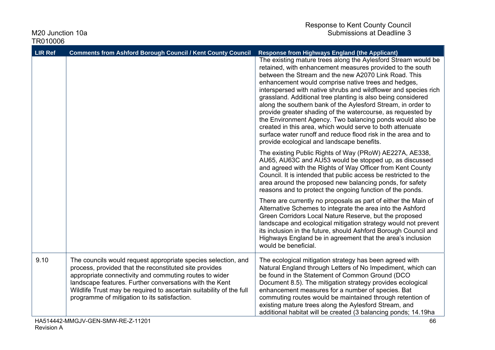| <b>LIR Ref</b> | <b>Comments from Ashford Borough Council / Kent County Council</b>                                                                                                                                                                                                                                                                                                  | <b>Response from Highways England (the Applicant)</b>                                                                                                                                                                                                                                                                                                                                                                                                                                                                                                                                                                                                                                                                                                |
|----------------|---------------------------------------------------------------------------------------------------------------------------------------------------------------------------------------------------------------------------------------------------------------------------------------------------------------------------------------------------------------------|------------------------------------------------------------------------------------------------------------------------------------------------------------------------------------------------------------------------------------------------------------------------------------------------------------------------------------------------------------------------------------------------------------------------------------------------------------------------------------------------------------------------------------------------------------------------------------------------------------------------------------------------------------------------------------------------------------------------------------------------------|
|                |                                                                                                                                                                                                                                                                                                                                                                     | The existing mature trees along the Aylesford Stream would be<br>retained, with enhancement measures provided to the south<br>between the Stream and the new A2070 Link Road. This<br>enhancement would comprise native trees and hedges,<br>interspersed with native shrubs and wildflower and species rich<br>grassland. Additional tree planting is also being considered<br>along the southern bank of the Aylesford Stream, in order to<br>provide greater shading of the watercourse, as requested by<br>the Environment Agency. Two balancing ponds would also be<br>created in this area, which would serve to both attenuate<br>surface water runoff and reduce flood risk in the area and to<br>provide ecological and landscape benefits. |
|                |                                                                                                                                                                                                                                                                                                                                                                     | The existing Public Rights of Way (PRoW) AE227A, AE338,<br>AU65, AU63C and AU53 would be stopped up, as discussed<br>and agreed with the Rights of Way Officer from Kent County<br>Council. It is intended that public access be restricted to the<br>area around the proposed new balancing ponds, for safety<br>reasons and to protect the ongoing function of the ponds.                                                                                                                                                                                                                                                                                                                                                                          |
|                |                                                                                                                                                                                                                                                                                                                                                                     | There are currently no proposals as part of either the Main of<br>Alternative Schemes to integrate the area into the Ashford<br>Green Corridors Local Nature Reserve, but the proposed<br>landscape and ecological mitigation strategy would not prevent<br>its inclusion in the future, should Ashford Borough Council and<br>Highways England be in agreement that the area's inclusion<br>would be beneficial.                                                                                                                                                                                                                                                                                                                                    |
| 9.10           | The councils would request appropriate species selection, and<br>process, provided that the reconstituted site provides<br>appropriate connectivity and commuting routes to wider<br>landscape features. Further conversations with the Kent<br>Wildlife Trust may be required to ascertain suitability of the full<br>programme of mitigation to its satisfaction. | The ecological mitigation strategy has been agreed with<br>Natural England through Letters of No Impediment, which can<br>be found in the Statement of Common Ground (DCO<br>Document 8.5). The mitigation strategy provides ecological<br>enhancement measures for a number of species. Bat<br>commuting routes would be maintained through retention of<br>existing mature trees along the Aylesford Stream, and<br>additional habitat will be created (3 balancing ponds; 14.19ha                                                                                                                                                                                                                                                                 |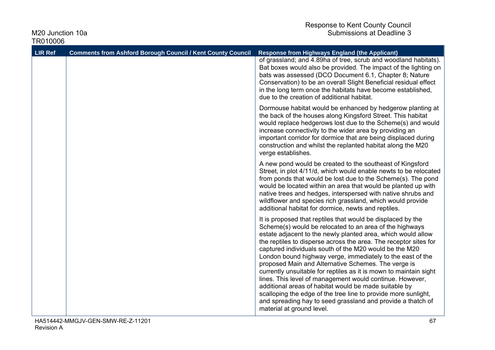| <b>LIR Ref</b> | <b>Comments from Ashford Borough Council / Kent County Council</b> | <b>Response from Highways England (the Applicant)</b>                                                                                                                                                                                                                                                                                                                                                                                                                                                                                                                                                                                                                                                                                                                                             |
|----------------|--------------------------------------------------------------------|---------------------------------------------------------------------------------------------------------------------------------------------------------------------------------------------------------------------------------------------------------------------------------------------------------------------------------------------------------------------------------------------------------------------------------------------------------------------------------------------------------------------------------------------------------------------------------------------------------------------------------------------------------------------------------------------------------------------------------------------------------------------------------------------------|
|                |                                                                    | of grassland; and 4.89ha of tree, scrub and woodland habitats).<br>Bat boxes would also be provided. The impact of the lighting on<br>bats was assessed (DCO Document 6.1, Chapter 8; Nature<br>Conservation) to be an overall Slight Beneficial residual effect<br>in the long term once the habitats have become established,<br>due to the creation of additional habitat.                                                                                                                                                                                                                                                                                                                                                                                                                     |
|                |                                                                    | Dormouse habitat would be enhanced by hedgerow planting at<br>the back of the houses along Kingsford Street. This habitat<br>would replace hedgerows lost due to the Scheme(s) and would<br>increase connectivity to the wider area by providing an<br>important corridor for dormice that are being displaced during<br>construction and whilst the replanted habitat along the M20<br>verge establishes.                                                                                                                                                                                                                                                                                                                                                                                        |
|                |                                                                    | A new pond would be created to the southeast of Kingsford<br>Street, in plot 4/11/d, which would enable newts to be relocated<br>from ponds that would be lost due to the Scheme(s). The pond<br>would be located within an area that would be planted up with<br>native trees and hedges, interspersed with native shrubs and<br>wildflower and species rich grassland, which would provide<br>additional habitat for dormice, newts and reptiles.                                                                                                                                                                                                                                                                                                                                               |
|                |                                                                    | It is proposed that reptiles that would be displaced by the<br>Scheme(s) would be relocated to an area of the highways<br>estate adjacent to the newly planted area, which would allow<br>the reptiles to disperse across the area. The receptor sites for<br>captured individuals south of the M20 would be the M20<br>London bound highway verge, immediately to the east of the<br>proposed Main and Alternative Schemes. The verge is<br>currently unsuitable for reptiles as it is mown to maintain sight<br>lines. This level of management would continue. However,<br>additional areas of habitat would be made suitable by<br>scalloping the edge of the tree line to provide more sunlight,<br>and spreading hay to seed grassland and provide a thatch of<br>material at ground level. |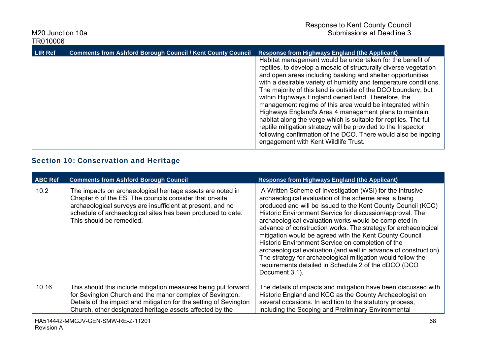| <b>LIR Ref</b> | <b>Comments from Ashford Borough Council / Kent County Council</b> | <b>Response from Highways England (the Applicant)</b>                                                                                                                                                                                                                                                                                                                                                                                                                                                                                                                                                                                                                                                                                                        |
|----------------|--------------------------------------------------------------------|--------------------------------------------------------------------------------------------------------------------------------------------------------------------------------------------------------------------------------------------------------------------------------------------------------------------------------------------------------------------------------------------------------------------------------------------------------------------------------------------------------------------------------------------------------------------------------------------------------------------------------------------------------------------------------------------------------------------------------------------------------------|
|                |                                                                    | Habitat management would be undertaken for the benefit of<br>reptiles, to develop a mosaic of structurally diverse vegetation<br>and open areas including basking and shelter opportunities<br>with a desirable variety of humidity and temperature conditions.<br>The majority of this land is outside of the DCO boundary, but<br>within Highways England owned land. Therefore, the<br>management regime of this area would be integrated within<br>Highways England's Area 4 management plans to maintain<br>habitat along the verge which is suitable for reptiles. The full<br>reptile mitigation strategy will be provided to the Inspector<br>following confirmation of the DCO. There would also be ingoing<br>engagement with Kent Wildlife Trust. |

## Section 10: Conservation and Heritage

| <b>ABC Ref</b> | <b>Comments from Ashford Borough Council</b>                                                                                                                                                                                                                                   | <b>Response from Highways England (the Applicant)</b>                                                                                                                                                                                                                                                                                                                                                                                                                                                                                                                                                                                                                                                   |
|----------------|--------------------------------------------------------------------------------------------------------------------------------------------------------------------------------------------------------------------------------------------------------------------------------|---------------------------------------------------------------------------------------------------------------------------------------------------------------------------------------------------------------------------------------------------------------------------------------------------------------------------------------------------------------------------------------------------------------------------------------------------------------------------------------------------------------------------------------------------------------------------------------------------------------------------------------------------------------------------------------------------------|
| 10.2           | The impacts on archaeological heritage assets are noted in<br>Chapter 6 of the ES. The councils consider that on-site<br>archaeological surveys are insufficient at present, and no<br>schedule of archaeological sites has been produced to date.<br>This should be remedied. | A Written Scheme of Investigation (WSI) for the intrusive<br>archaeological evaluation of the scheme area is being<br>produced and will be issued to the Kent County Council (KCC)<br>Historic Environment Service for discussion/approval. The<br>archaeological evaluation works would be completed in<br>advance of construction works. The strategy for archaeological<br>mitigation would be agreed with the Kent County Council<br>Historic Environment Service on completion of the<br>archaeological evaluation (and well in advance of construction).<br>The strategy for archaeological mitigation would follow the<br>requirements detailed in Schedule 2 of the dDCO (DCO<br>Document 3.1). |
| 10.16          | This should this include mitigation measures being put forward<br>for Sevington Church and the manor complex of Sevington.<br>Details of the impact and mitigation for the setting of Sevington<br>Church, other designated heritage assets affected by the                    | The details of impacts and mitigation have been discussed with<br>Historic England and KCC as the County Archaeologist on<br>several occasions. In addition to the statutory process,<br>including the Scoping and Preliminary Environmental                                                                                                                                                                                                                                                                                                                                                                                                                                                            |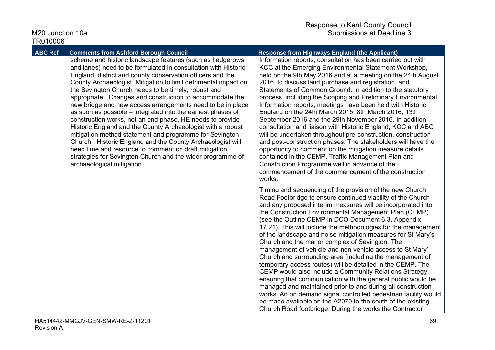| <b>ABC Ref</b> | <b>Comments from Ashford Borough Council</b>                                                                                                                                                                                                                                                                                                                                                                                                                                                                                                                                                                                                                                                                                                                                                                                                                                                                            | <b>Response from Highways England (the Applicant)</b>                                                                                                                                                                                                                                                                                                                                                                                                                                                                                                                                                                                                                                                                                                                                                                                                                                                                                                                                                                                                                   |
|----------------|-------------------------------------------------------------------------------------------------------------------------------------------------------------------------------------------------------------------------------------------------------------------------------------------------------------------------------------------------------------------------------------------------------------------------------------------------------------------------------------------------------------------------------------------------------------------------------------------------------------------------------------------------------------------------------------------------------------------------------------------------------------------------------------------------------------------------------------------------------------------------------------------------------------------------|-------------------------------------------------------------------------------------------------------------------------------------------------------------------------------------------------------------------------------------------------------------------------------------------------------------------------------------------------------------------------------------------------------------------------------------------------------------------------------------------------------------------------------------------------------------------------------------------------------------------------------------------------------------------------------------------------------------------------------------------------------------------------------------------------------------------------------------------------------------------------------------------------------------------------------------------------------------------------------------------------------------------------------------------------------------------------|
|                | scheme and historic landscape features (such as hedgerows<br>and lanes) need to be formulated in consultation with Historic<br>England, district and county conservation officers and the<br>County Archaeologist. Mitigation to limit detrimental impact on<br>the Sevington Church needs to be timely, robust and<br>appropriate. Changes and construction to accommodate the<br>new bridge and new access arrangements need to be in place<br>as soon as possible – integrated into the earliest phases of<br>construction works, not an end phase. HE needs to provide<br>Historic England and the County Archaeologist with a robust<br>mitigation method statement and programme for Sevington<br>Church. Historic England and the County Archaeologist will<br>need time and resource to comment on draft mitigation<br>strategies for Sevington Church and the wider programme of<br>archaeological mitigation. | Information reports, consultation has been carried out with<br>KCC at the Emerging Environmental Statement Workshop,<br>held on the 9th May 2016 and at a meeting on the 24th August<br>2016, to discuss land purchase and registration, and<br>Statements of Common Ground. In addition to the statutory<br>process, including the Scoping and Preliminary Environmental<br>Information reports, meetings have been held with Historic<br>England on the 24th March 2015, 8th March 2016, 13th<br>September 2016 and the 29th November 2016. In addition,<br>consultation and liaison with Historic England, KCC and ABC<br>will be undertaken throughout pre-construction, construction<br>and post-construction phases. The stakeholders will have the<br>opportunity to comment on the mitigation measure details<br>contained in the CEMP, Traffic Management Plan and<br>Construction Programme well in advance of the<br>commencement of the commencement of the construction<br>works.                                                                          |
|                |                                                                                                                                                                                                                                                                                                                                                                                                                                                                                                                                                                                                                                                                                                                                                                                                                                                                                                                         | Timing and sequencing of the provision of the new Church<br>Road Footbridge to ensure continued viability of the Church<br>and any proposed interim measures will be incorporated into<br>the Construction Environmental Management Plan (CEMP)<br>(see the Outline CEMP in DCO Document 6.3, Appendix<br>17.21). This will include the methodologies for the management<br>of the landscape and noise mitigation measures for St Mary's<br>Church and the manor complex of Sevington. The<br>management of vehicle and non-vehicle access to St Mary'<br>Church and surrounding area (including the management of<br>temporary access routes) will be detailed in the CEMP. The<br>CEMP would also include a Community Relations Strategy,<br>ensuring that communication with the general public would be<br>managed and maintained prior to and during all construction<br>works. An on demand signal controlled pedestrian facility would<br>be made available on the A2070 to the south of the existing<br>Church Road footbridge. During the works the Contractor |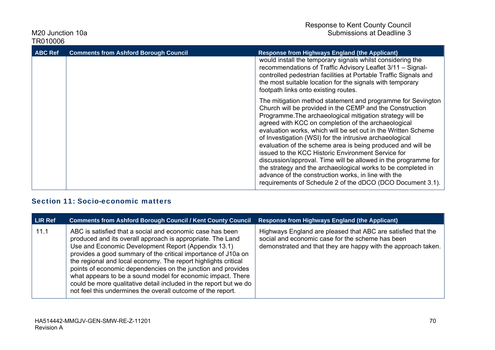| <b>ABC Ref</b> | <b>Comments from Ashford Borough Council</b> | <b>Response from Highways England (the Applicant)</b>                                                                                                                                                                                                                                                                                                                                                                                                                                                                                                                                                                                                                                                                                               |
|----------------|----------------------------------------------|-----------------------------------------------------------------------------------------------------------------------------------------------------------------------------------------------------------------------------------------------------------------------------------------------------------------------------------------------------------------------------------------------------------------------------------------------------------------------------------------------------------------------------------------------------------------------------------------------------------------------------------------------------------------------------------------------------------------------------------------------------|
|                |                                              | would install the temporary signals whilst considering the<br>recommendations of Traffic Advisory Leaflet 3/11 - Signal-<br>controlled pedestrian facilities at Portable Traffic Signals and<br>the most suitable location for the signals with temporary<br>footpath links onto existing routes.                                                                                                                                                                                                                                                                                                                                                                                                                                                   |
|                |                                              | The mitigation method statement and programme for Sevington<br>Church will be provided in the CEMP and the Construction<br>Programme. The archaeological mitigation strategy will be<br>agreed with KCC on completion of the archaeological<br>evaluation works, which will be set out in the Written Scheme<br>of Investigation (WSI) for the intrusive archaeological<br>evaluation of the scheme area is being produced and will be<br>issued to the KCC Historic Environment Service for<br>discussion/approval. Time will be allowed in the programme for<br>the strategy and the archaeological works to be completed in<br>advance of the construction works, in line with the<br>requirements of Schedule 2 of the dDCO (DCO Document 3.1). |

### Section 11: Socio-economic matters

| LIR Ref | <b>Comments from Ashford Borough Council / Kent County Council</b>                                                                                                                                                                                                                                                                                                                                                                                                                                                                                                                   | <b>Response from Highways England (the Applicant)</b>                                                                                                                             |
|---------|--------------------------------------------------------------------------------------------------------------------------------------------------------------------------------------------------------------------------------------------------------------------------------------------------------------------------------------------------------------------------------------------------------------------------------------------------------------------------------------------------------------------------------------------------------------------------------------|-----------------------------------------------------------------------------------------------------------------------------------------------------------------------------------|
| 11.1    | ABC is satisfied that a social and economic case has been<br>produced and its overall approach is appropriate. The Land<br>Use and Economic Development Report (Appendix 13.1)<br>provides a good summary of the critical importance of J10a on<br>the regional and local economy. The report highlights critical<br>points of economic dependencies on the junction and provides<br>what appears to be a sound model for economic impact. There<br>could be more qualitative detail included in the report but we do<br>not feel this undermines the overall outcome of the report. | Highways England are pleased that ABC are satisfied that the<br>social and economic case for the scheme has been<br>demonstrated and that they are happy with the approach taken. |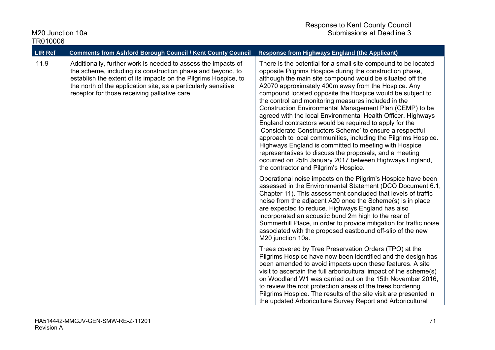| <b>LIR Ref</b> | <b>Comments from Ashford Borough Council / Kent County Council</b>                                                                                                                                                                                                                                                                                                                                                                                                                                                              | <b>Response from Highways England (the Applicant)</b>                                                                                                                                                                                                                                                                                                                                                                                                                                                                                                                                                                                                                                                                                                                                                                                                                                                         |
|----------------|---------------------------------------------------------------------------------------------------------------------------------------------------------------------------------------------------------------------------------------------------------------------------------------------------------------------------------------------------------------------------------------------------------------------------------------------------------------------------------------------------------------------------------|---------------------------------------------------------------------------------------------------------------------------------------------------------------------------------------------------------------------------------------------------------------------------------------------------------------------------------------------------------------------------------------------------------------------------------------------------------------------------------------------------------------------------------------------------------------------------------------------------------------------------------------------------------------------------------------------------------------------------------------------------------------------------------------------------------------------------------------------------------------------------------------------------------------|
| 11.9           | Additionally, further work is needed to assess the impacts of<br>the scheme, including its construction phase and beyond, to<br>establish the extent of its impacts on the Pilgrims Hospice, to<br>the north of the application site, as a particularly sensitive<br>receptor for those receiving palliative care.                                                                                                                                                                                                              | There is the potential for a small site compound to be located<br>opposite Pilgrims Hospice during the construction phase,<br>although the main site compound would be situated off the<br>A2070 approximately 400m away from the Hospice. Any<br>compound located opposite the Hospice would be subject to<br>the control and monitoring measures included in the<br>Construction Environmental Management Plan (CEMP) to be<br>agreed with the local Environmental Health Officer. Highways<br>England contractors would be required to apply for the<br>'Considerate Constructors Scheme' to ensure a respectful<br>approach to local communities, including the Pilgrims Hospice.<br>Highways England is committed to meeting with Hospice<br>representatives to discuss the proposals, and a meeting<br>occurred on 25th January 2017 between Highways England,<br>the contractor and Pilgrim's Hospice. |
|                | Operational noise impacts on the Pilgrim's Hospice have been<br>assessed in the Environmental Statement (DCO Document 6.1,<br>Chapter 11). This assessment concluded that levels of traffic<br>noise from the adjacent A20 once the Scheme(s) is in place<br>are expected to reduce. Highways England has also<br>incorporated an acoustic bund 2m high to the rear of<br>Summerhill Place, in order to provide mitigation for traffic noise<br>associated with the proposed eastbound off-slip of the new<br>M20 junction 10a. |                                                                                                                                                                                                                                                                                                                                                                                                                                                                                                                                                                                                                                                                                                                                                                                                                                                                                                               |
|                |                                                                                                                                                                                                                                                                                                                                                                                                                                                                                                                                 | Trees covered by Tree Preservation Orders (TPO) at the<br>Pilgrims Hospice have now been identified and the design has<br>been amended to avoid impacts upon these features. A site<br>visit to ascertain the full arboricultural impact of the scheme(s)<br>on Woodland W1 was carried out on the 15th November 2016,<br>to review the root protection areas of the trees bordering<br>Pilgrims Hospice. The results of the site visit are presented in<br>the updated Arboriculture Survey Report and Arboricultural                                                                                                                                                                                                                                                                                                                                                                                        |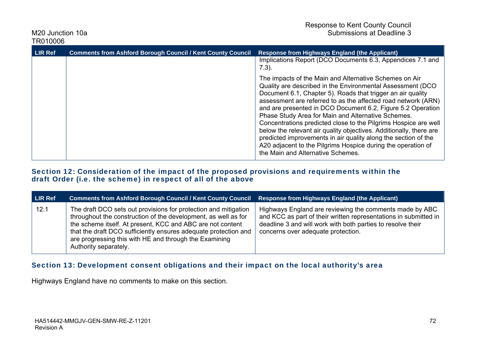| <b>LIR Ref</b> | <b>Comments from Ashford Borough Council / Kent County Council</b> | <b>Response from Highways England (the Applicant)</b>                                                                                                                                                                                                                                                                                                                                                                                                                                                                                                                                                                                                                                     |
|----------------|--------------------------------------------------------------------|-------------------------------------------------------------------------------------------------------------------------------------------------------------------------------------------------------------------------------------------------------------------------------------------------------------------------------------------------------------------------------------------------------------------------------------------------------------------------------------------------------------------------------------------------------------------------------------------------------------------------------------------------------------------------------------------|
|                |                                                                    | Implications Report (DCO Documents 6.3, Appendices 7.1 and<br>$7.3$ ).                                                                                                                                                                                                                                                                                                                                                                                                                                                                                                                                                                                                                    |
|                |                                                                    | The impacts of the Main and Alternative Schemes on Air<br>Quality are described in the Environmental Assessment (DCO<br>Document 6.1, Chapter 5). Roads that trigger an air quality<br>assessment are referred to as the affected road network (ARN)<br>and are presented in DCO Document 6.2, Figure 5.2 Operation<br>Phase Study Area for Main and Alternative Schemes.<br>Concentrations predicted close to the Pilgrims Hospice are well<br>below the relevant air quality objectives. Additionally, there are<br>predicted improvements in air quality along the section of the<br>A20 adjacent to the Pilgrims Hospice during the operation of<br>the Main and Alternative Schemes. |

#### Section 12: Consideration of the impact of the proposed provisions and requirements within the draft Order (i.e. the scheme) in respect of all of the above

| LIR Ref | <b>Comments from Ashford Borough Council / Kent County Council</b>                                                                                                                                                                                                                                                                                    | Response from Highways England (the Applicant)                                                                                                                                                                                   |
|---------|-------------------------------------------------------------------------------------------------------------------------------------------------------------------------------------------------------------------------------------------------------------------------------------------------------------------------------------------------------|----------------------------------------------------------------------------------------------------------------------------------------------------------------------------------------------------------------------------------|
| 12.1    | The draft DCO sets out provisions for protection and mitigation<br>throughout the construction of the development, as well as for<br>the scheme itself. At present, KCC and ABC are not content<br>that the draft DCO sufficiently ensures adequate protection and<br>are progressing this with HE and through the Examining<br>Authority separately. | Highways England are reviewing the comments made by ABC<br>and KCC as part of their written representations in submitted in<br>deadline 3 and will work with both parties to resolve their<br>concerns over adequate protection. |

## Section 13: Development consent obligations and their impact on the local authority's area

Highways England have no comments to make on this section.